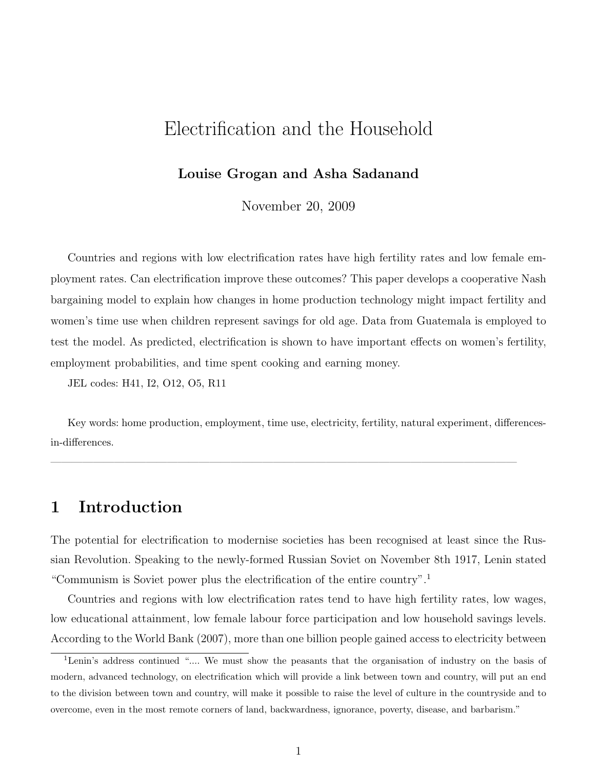# Electrification and the Household

#### Louise Grogan and Asha Sadanand

November 20, 2009

Countries and regions with low electrification rates have high fertility rates and low female employment rates. Can electrification improve these outcomes? This paper develops a cooperative Nash bargaining model to explain how changes in home production technology might impact fertility and women's time use when children represent savings for old age. Data from Guatemala is employed to test the model. As predicted, electrification is shown to have important effects on women's fertility, employment probabilities, and time spent cooking and earning money.

JEL codes: H41, I2, O12, O5, R11

Key words: home production, employment, time use, electricity, fertility, natural experiment, differencesin-differences.

 $\overline{\phantom{a}}$  , and the contract of the contract of the contract of the contract of the contract of the contract of the contract of the contract of the contract of the contract of the contract of the contract of the contrac

### 1 Introduction

The potential for electrification to modernise societies has been recognised at least since the Russian Revolution. Speaking to the newly-formed Russian Soviet on November 8th 1917, Lenin stated "Communism is Soviet power plus the electrification of the entire country".<sup>1</sup>

Countries and regions with low electrification rates tend to have high fertility rates, low wages, low educational attainment, low female labour force participation and low household savings levels. According to the World Bank (2007), more than one billion people gained access to electricity between

<sup>&</sup>lt;sup>1</sup>Lenin's address continued ".... We must show the peasants that the organisation of industry on the basis of modern, advanced technology, on electrification which will provide a link between town and country, will put an end to the division between town and country, will make it possible to raise the level of culture in the countryside and to overcome, even in the most remote corners of land, backwardness, ignorance, poverty, disease, and barbarism."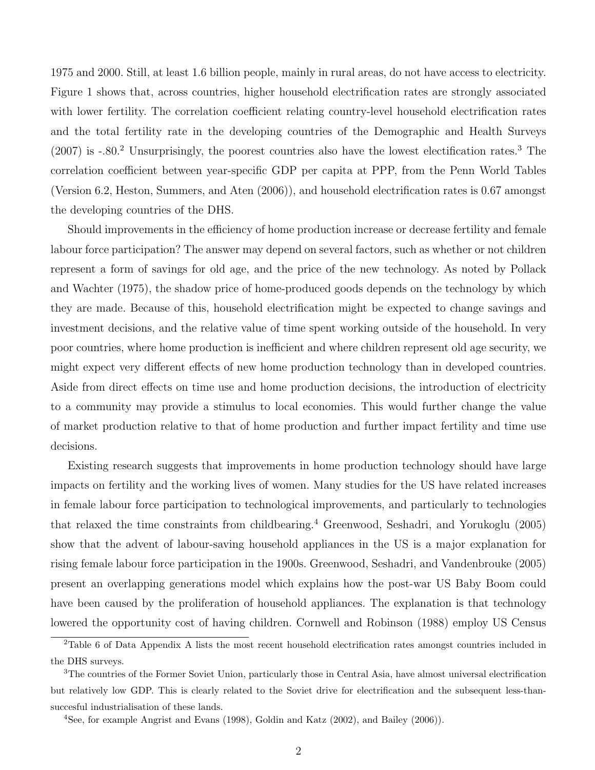1975 and 2000. Still, at least 1.6 billion people, mainly in rural areas, do not have access to electricity. Figure 1 shows that, across countries, higher household electrification rates are strongly associated with lower fertility. The correlation coefficient relating country-level household electrification rates and the total fertility rate in the developing countries of the Demographic and Health Surveys  $(2007)$  is  $-.80<sup>2</sup>$  Unsurprisingly, the poorest countries also have the lowest electification rates.<sup>3</sup> The correlation coefficient between year-specific GDP per capita at PPP, from the Penn World Tables (Version 6.2, Heston, Summers, and Aten (2006)), and household electrification rates is 0.67 amongst the developing countries of the DHS.

Should improvements in the efficiency of home production increase or decrease fertility and female labour force participation? The answer may depend on several factors, such as whether or not children represent a form of savings for old age, and the price of the new technology. As noted by Pollack and Wachter (1975), the shadow price of home-produced goods depends on the technology by which they are made. Because of this, household electrification might be expected to change savings and investment decisions, and the relative value of time spent working outside of the household. In very poor countries, where home production is inefficient and where children represent old age security, we might expect very different effects of new home production technology than in developed countries. Aside from direct effects on time use and home production decisions, the introduction of electricity to a community may provide a stimulus to local economies. This would further change the value of market production relative to that of home production and further impact fertility and time use decisions.

Existing research suggests that improvements in home production technology should have large impacts on fertility and the working lives of women. Many studies for the US have related increases in female labour force participation to technological improvements, and particularly to technologies that relaxed the time constraints from childbearing.<sup>4</sup> Greenwood, Seshadri, and Yorukoglu (2005) show that the advent of labour-saving household appliances in the US is a major explanation for rising female labour force participation in the 1900s. Greenwood, Seshadri, and Vandenbrouke (2005) present an overlapping generations model which explains how the post-war US Baby Boom could have been caused by the proliferation of household appliances. The explanation is that technology lowered the opportunity cost of having children. Cornwell and Robinson (1988) employ US Census

<sup>&</sup>lt;sup>2</sup>Table 6 of Data Appendix A lists the most recent household electrification rates amongst countries included in the DHS surveys.

<sup>3</sup>The countries of the Former Soviet Union, particularly those in Central Asia, have almost universal electrification but relatively low GDP. This is clearly related to the Soviet drive for electrification and the subsequent less-thansuccesful industrialisation of these lands.

<sup>4</sup>See, for example Angrist and Evans (1998), Goldin and Katz (2002), and Bailey (2006)).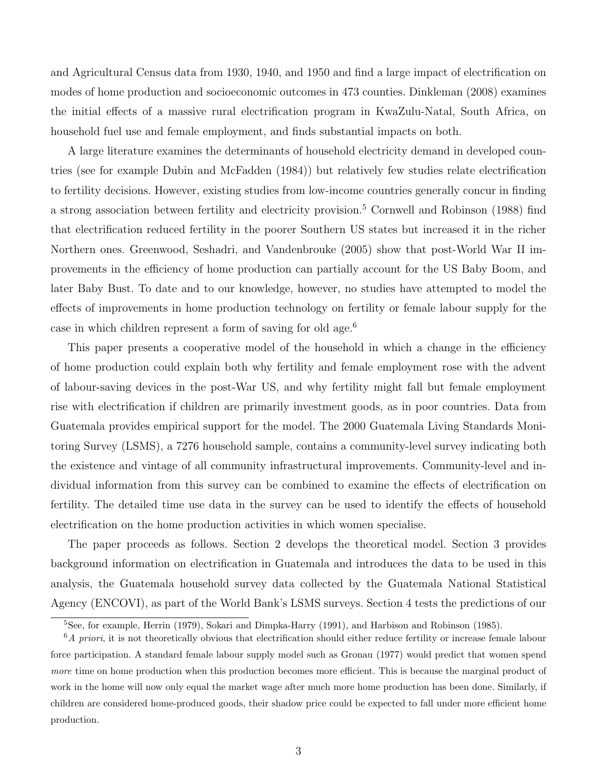and Agricultural Census data from 1930, 1940, and 1950 and find a large impact of electrification on modes of home production and socioeconomic outcomes in 473 counties. Dinkleman (2008) examines the initial effects of a massive rural electrification program in KwaZulu-Natal, South Africa, on household fuel use and female employment, and finds substantial impacts on both.

A large literature examines the determinants of household electricity demand in developed countries (see for example Dubin and McFadden (1984)) but relatively few studies relate electrification to fertility decisions. However, existing studies from low-income countries generally concur in finding a strong association between fertility and electricity provision.<sup>5</sup> Cornwell and Robinson (1988) find that electrification reduced fertility in the poorer Southern US states but increased it in the richer Northern ones. Greenwood, Seshadri, and Vandenbrouke (2005) show that post-World War II improvements in the efficiency of home production can partially account for the US Baby Boom, and later Baby Bust. To date and to our knowledge, however, no studies have attempted to model the effects of improvements in home production technology on fertility or female labour supply for the case in which children represent a form of saving for old age.<sup>6</sup>

This paper presents a cooperative model of the household in which a change in the efficiency of home production could explain both why fertility and female employment rose with the advent of labour-saving devices in the post-War US, and why fertility might fall but female employment rise with electrification if children are primarily investment goods, as in poor countries. Data from Guatemala provides empirical support for the model. The 2000 Guatemala Living Standards Monitoring Survey (LSMS), a 7276 household sample, contains a community-level survey indicating both the existence and vintage of all community infrastructural improvements. Community-level and individual information from this survey can be combined to examine the effects of electrification on fertility. The detailed time use data in the survey can be used to identify the effects of household electrification on the home production activities in which women specialise.

The paper proceeds as follows. Section 2 develops the theoretical model. Section 3 provides background information on electrification in Guatemala and introduces the data to be used in this analysis, the Guatemala household survey data collected by the Guatemala National Statistical Agency (ENCOVI), as part of the World Bank's LSMS surveys. Section 4 tests the predictions of our

<sup>5</sup>See, for example, Herrin (1979), Sokari and Dimpka-Harry (1991), and Harbison and Robinson (1985).

 $6A$  priori, it is not theoretically obvious that electrification should either reduce fertility or increase female labour force participation. A standard female labour supply model such as Gronau (1977) would predict that women spend more time on home production when this production becomes more efficient. This is because the marginal product of work in the home will now only equal the market wage after much more home production has been done. Similarly, if children are considered home-produced goods, their shadow price could be expected to fall under more efficient home production.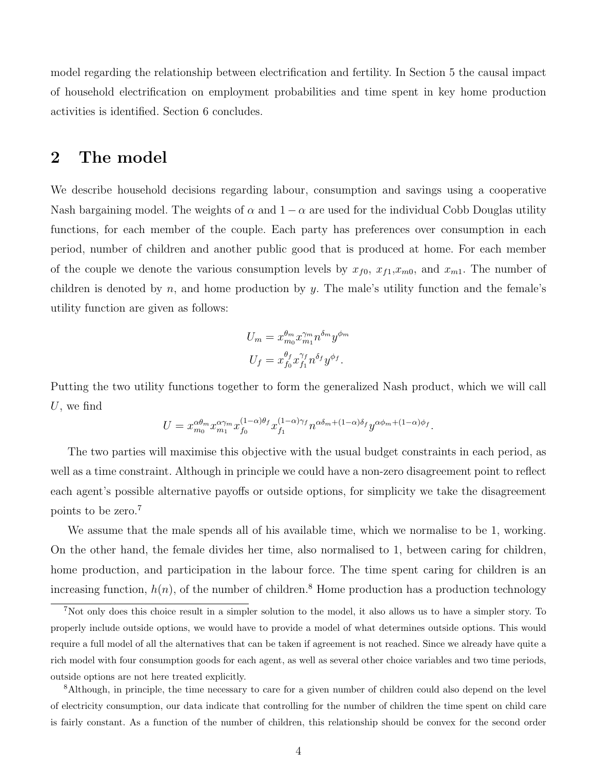model regarding the relationship between electrification and fertility. In Section 5 the causal impact of household electrification on employment probabilities and time spent in key home production activities is identified. Section 6 concludes.

# 2 The model

We describe household decisions regarding labour, consumption and savings using a cooperative Nash bargaining model. The weights of  $\alpha$  and  $1 - \alpha$  are used for the individual Cobb Douglas utility functions, for each member of the couple. Each party has preferences over consumption in each period, number of children and another public good that is produced at home. For each member of the couple we denote the various consumption levels by  $x_{f0}$ ,  $x_{f1},x_{m0}$ , and  $x_{m1}$ . The number of children is denoted by n, and home production by y. The male's utility function and the female's utility function are given as follows:

$$
U_m = x_{m_0}^{\theta_m} x_{m_1}^{\gamma_m} n^{\delta_m} y^{\phi_m}
$$
  

$$
U_f = x_{f_0}^{\theta_f} x_{f_1}^{\gamma_f} n^{\delta_f} y^{\phi_f}.
$$

Putting the two utility functions together to form the generalized Nash product, which we will call  $U$ , we find

$$
U = x_{m_0}^{\alpha\theta_m} x_{m_1}^{\alpha\gamma_m} x_{f_0}^{(1-\alpha)\theta_f} x_{f_1}^{(1-\alpha)\gamma_f} n^{\alpha\delta_m + (1-\alpha)\delta_f} y^{\alpha\phi_m + (1-\alpha)\phi_f}.
$$

The two parties will maximise this objective with the usual budget constraints in each period, as well as a time constraint. Although in principle we could have a non-zero disagreement point to reflect each agent's possible alternative payoffs or outside options, for simplicity we take the disagreement points to be zero.<sup>7</sup>

We assume that the male spends all of his available time, which we normalise to be 1, working. On the other hand, the female divides her time, also normalised to 1, between caring for children, home production, and participation in the labour force. The time spent caring for children is an increasing function,  $h(n)$ , of the number of children.<sup>8</sup> Home production has a production technology

<sup>7</sup>Not only does this choice result in a simpler solution to the model, it also allows us to have a simpler story. To properly include outside options, we would have to provide a model of what determines outside options. This would require a full model of all the alternatives that can be taken if agreement is not reached. Since we already have quite a rich model with four consumption goods for each agent, as well as several other choice variables and two time periods, outside options are not here treated explicitly.

<sup>8</sup>Although, in principle, the time necessary to care for a given number of children could also depend on the level of electricity consumption, our data indicate that controlling for the number of children the time spent on child care is fairly constant. As a function of the number of children, this relationship should be convex for the second order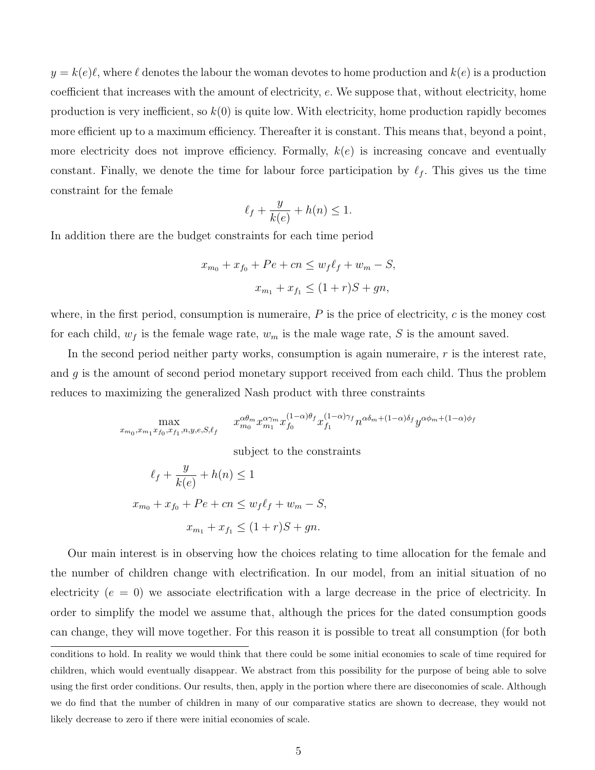$y = k(e)\ell$ , where  $\ell$  denotes the labour the woman devotes to home production and  $k(e)$  is a production coefficient that increases with the amount of electricity, e. We suppose that, without electricity, home production is very inefficient, so  $k(0)$  is quite low. With electricity, home production rapidly becomes more efficient up to a maximum efficiency. Thereafter it is constant. This means that, beyond a point, more electricity does not improve efficiency. Formally,  $k(e)$  is increasing concave and eventually constant. Finally, we denote the time for labour force participation by  $\ell_f$ . This gives us the time constraint for the female

$$
\ell_f + \frac{y}{k(e)} + h(n) \le 1.
$$

In addition there are the budget constraints for each time period

$$
x_{m_0} + x_{f_0} + Pe + cn \le w_f \ell_f + w_m - S,
$$
  

$$
x_{m_1} + x_{f_1} \le (1+r)S + gn,
$$

where, in the first period, consumption is numeraire,  $P$  is the price of electricity,  $c$  is the money cost for each child,  $w_f$  is the female wage rate,  $w_m$  is the male wage rate, S is the amount saved.

In the second period neither party works, consumption is again numeraire, r is the interest rate, and g is the amount of second period monetary support received from each child. Thus the problem reduces to maximizing the generalized Nash product with three constraints

$$
\max_{x_{m_0},x_{m_1}x_{f_0},x_{f_1},n,y,e,S,\ell_f} \quad x_{m_0}^{\alpha\theta_m}x_{m_1}^{\alpha\gamma_m}x_{f_0}^{(1-\alpha)\theta_f}x_{f_1}^{(1-\alpha)\gamma_f}n^{\alpha\delta_m+(1-\alpha)\delta_f}y^{\alpha\phi_m+(1-\alpha)\phi_f}
$$

subject to the constraints

$$
\ell_f + \frac{y}{k(e)} + h(n) \le 1
$$
  

$$
x_{m_0} + x_{f_0} + Pe + cn \le w_f \ell_f + w_m - S,
$$
  

$$
x_{m_1} + x_{f_1} \le (1+r)S + gn.
$$

Our main interest is in observing how the choices relating to time allocation for the female and the number of children change with electrification. In our model, from an initial situation of no electricity  $(e = 0)$  we associate electrification with a large decrease in the price of electricity. In order to simplify the model we assume that, although the prices for the dated consumption goods can change, they will move together. For this reason it is possible to treat all consumption (for both

conditions to hold. In reality we would think that there could be some initial economies to scale of time required for children, which would eventually disappear. We abstract from this possibility for the purpose of being able to solve using the first order conditions. Our results, then, apply in the portion where there are diseconomies of scale. Although we do find that the number of children in many of our comparative statics are shown to decrease, they would not likely decrease to zero if there were initial economies of scale.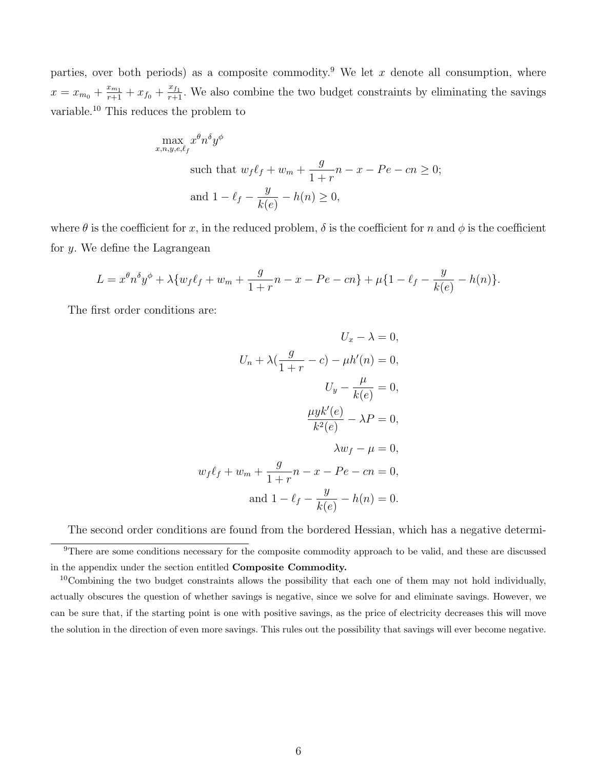parties, over both periods) as a composite commodity.<sup>9</sup> We let x denote all consumption, where  $x = x_{m_0} + \frac{x_{m_1}}{r+1} + x_{f_0} + \frac{x_{f_1}}{r+1}$ . We also combine the two budget constraints by eliminating the savings variable.<sup>10</sup> This reduces the problem to

$$
\max_{x,n,y,e,\ell_f} x^{\theta} n^{\delta} y^{\phi}
$$
  
such that  $w_f \ell_f + w_m + \frac{g}{1+r} n - x - Pe - cn \ge 0$ ;  
and  $1 - \ell_f - \frac{y}{k(e)} - h(n) \ge 0$ ,

where  $\theta$  is the coefficient for x, in the reduced problem,  $\delta$  is the coefficient for n and  $\phi$  is the coefficient for  $y$ . We define the Lagrangean

$$
L = x^{\theta} n^{\delta} y^{\phi} + \lambda \{ w_f \ell_f + w_m + \frac{g}{1+r} n - x - Pe - cn \} + \mu \{ 1 - \ell_f - \frac{y}{k(e)} - h(n) \}.
$$

The first order conditions are:

$$
U_x - \lambda = 0,
$$
  
\n
$$
U_n + \lambda \left(\frac{g}{1+r} - c\right) - \mu h'(n) = 0,
$$
  
\n
$$
U_y - \frac{\mu}{k(e)} = 0,
$$
  
\n
$$
\frac{\mu y k'(e)}{k^2(e)} - \lambda P = 0,
$$
  
\n
$$
\lambda w_f - \mu = 0,
$$
  
\n
$$
w_f \ell_f + w_m + \frac{g}{1+r} n - x - Pe - cn = 0,
$$
  
\nand 
$$
1 - \ell_f - \frac{y}{k(e)} - h(n) = 0.
$$

The second order conditions are found from the bordered Hessian, which has a negative determi-

<sup>10</sup>Combining the two budget constraints allows the possibility that each one of them may not hold individually, actually obscures the question of whether savings is negative, since we solve for and eliminate savings. However, we can be sure that, if the starting point is one with positive savings, as the price of electricity decreases this will move the solution in the direction of even more savings. This rules out the possibility that savings will ever become negative.

<sup>&</sup>lt;sup>9</sup>There are some conditions necessary for the composite commodity approach to be valid, and these are discussed in the appendix under the section entitled Composite Commodity.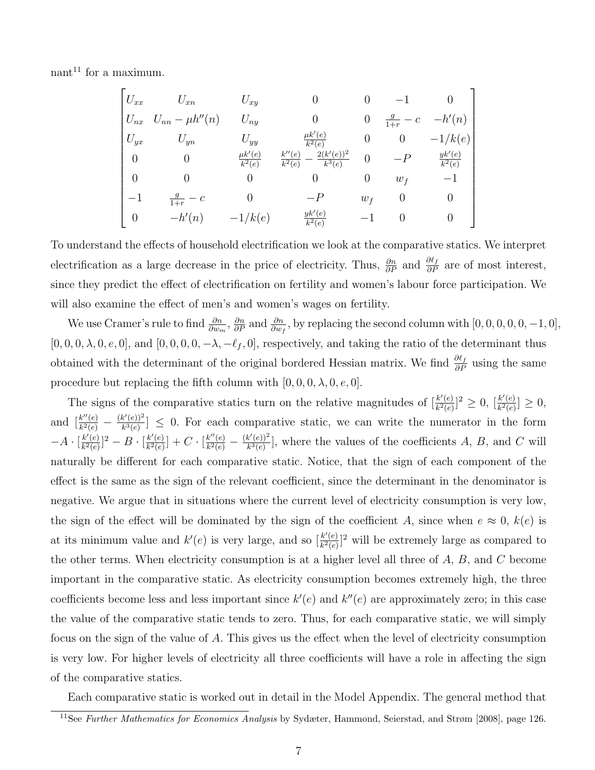nant<sup>11</sup> for a maximum.

$$
\begin{bmatrix}\nU_{xx} & U_{xn} & U_{xy} & 0 & 0 & -1 & 0 \\
U_{nx} & U_{nn} - \mu h''(n) & U_{ny} & 0 & 0 & \frac{g}{1+r} - c & -h'(n) \\
U_{yx} & U_{yn} & U_{yy} & \frac{\mu k'(e)}{k^2(e)} & 0 & 0 & -1/k(e) \\
0 & 0 & \frac{\mu k'(e)}{k^2(e)} & \frac{k''(e)}{k^2(e)} - \frac{2(k'(e))^2}{k^3(e)} & 0 & -P & \frac{yk'(e)}{k^2(e)} \\
0 & 0 & 0 & 0 & 0 & w_f & -1 \\
-1 & \frac{g}{1+r} - c & 0 & -P & w_f & 0 & 0 \\
0 & -h'(n) & -1/k(e) & \frac{yk'(e)}{k^2(e)} & -1 & 0 & 0\n\end{bmatrix}
$$

To understand the effects of household electrification we look at the comparative statics. We interpret electrification as a large decrease in the price of electricity. Thus,  $\frac{\partial n}{\partial P}$  and  $\frac{\partial \ell_f}{\partial P}$  are of most interest, since they predict the effect of electrification on fertility and women's labour force participation. We will also examine the effect of men's and women's wages on fertility.

We use Cramer's rule to find  $\frac{\partial n}{\partial w_m}$ ,  $\frac{\partial n}{\partial P}$  and  $\frac{\partial n}{\partial w_f}$ , by replacing the second column with  $[0, 0, 0, 0, 0, -1, 0]$ ,  $[0, 0, 0, \lambda, 0, e, 0]$ , and  $[0, 0, 0, 0, -\lambda, -\ell_f, 0]$ , respectively, and taking the ratio of the determinant thus obtained with the determinant of the original bordered Hessian matrix. We find  $\frac{\partial \ell_f}{\partial P}$  using the same procedure but replacing the fifth column with  $[0, 0, 0, \lambda, 0, e, 0]$ .

The signs of the comparative statics turn on the relative magnitudes of  $\frac{k'(e)}{k^2(e)}$  $\frac{k'(e)}{k^2(e)}$ ]  $\geq 0$ ,  $\left[\frac{k'(e)}{k^2(e)}\right]$  $\frac{k'(e)}{k^2(e)} \geq 0,$ and  $\left[\frac{k''(e)}{k^2(e)}\right]$  $\frac{k''(e)}{k^2(e)} - \frac{(k'(e))^2}{k^3(e)}$  $\frac{k^*(e)}{k^3(e)} \leq 0$ . For each comparative static, we can write the numerator in the form  $-A \cdot \lceil \frac{k'(e)}{k^2(e)} \rceil$  $\frac{k'(e)}{k^2(e)}]^2 - B \cdot [\frac{k'(e)}{k^2(e)}]$  $\frac{k'(e)}{k^2(e)}$  + C  $\cdot$   $\frac{k''(e)}{k^2(e)}$  $\frac{k''(e)}{k^2(e)}-\frac{(k'(e))^2}{k^3(e)}$  $\frac{k^{\alpha}(e)}{k^3(e)}$ , where the values of the coefficients A, B, and C will naturally be different for each comparative static. Notice, that the sign of each component of the effect is the same as the sign of the relevant coefficient, since the determinant in the denominator is negative. We argue that in situations where the current level of electricity consumption is very low, the sign of the effect will be dominated by the sign of the coefficient A, since when  $e \approx 0$ ,  $k(e)$  is at its minimum value and  $k'(e)$  is very large, and so  $\frac{k'(e)}{k^2(e)}$  $\frac{k'(e)}{k^2(e)}$  will be extremely large as compared to the other terms. When electricity consumption is at a higher level all three of  $A, B$ , and  $C$  become important in the comparative static. As electricity consumption becomes extremely high, the three coefficients become less and less important since  $k'(e)$  and  $k''(e)$  are approximately zero; in this case the value of the comparative static tends to zero. Thus, for each comparative static, we will simply focus on the sign of the value of A. This gives us the effect when the level of electricity consumption is very low. For higher levels of electricity all three coefficients will have a role in affecting the sign of the comparative statics.

Each comparative static is worked out in detail in the Model Appendix. The general method that

<sup>&</sup>lt;sup>11</sup>See Further Mathematics for Economics Analysis by Sydæter, Hammond, Seierstad, and Strøm [2008], page 126.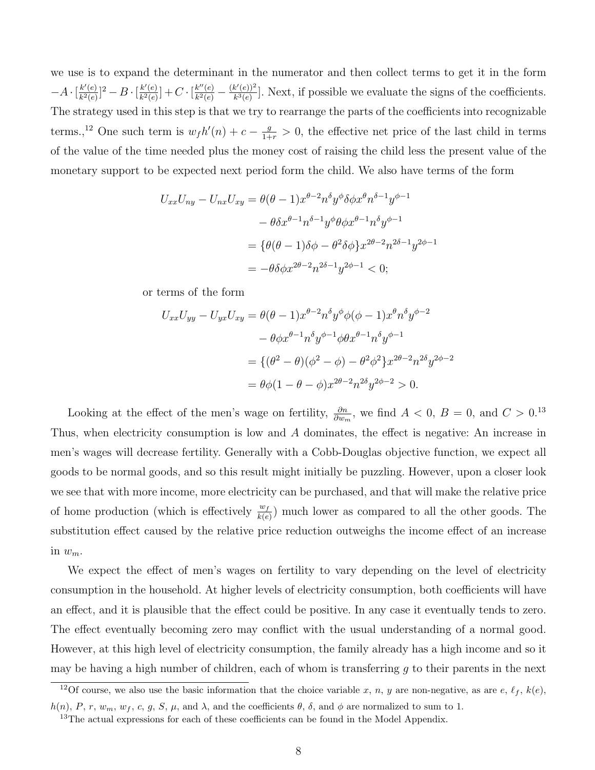we use is to expand the determinant in the numerator and then collect terms to get it in the form  $-A\cdot\left[\frac{k'(e)}{k^2(e)}\right]$  $\frac{k'(e)}{k^2(e)}]^2 - B \cdot [\frac{k'(e)}{k^2(e)}]$  $\frac{k'(e)}{k^2(e)}]+C \cdot \left[\frac{k''(e)}{k^2(e)}\right]$  $\frac{k''(e)}{k^2(e)} - \frac{(k'(e))^2}{k^3(e)}$  $\frac{k^3(e)}{k^3(e)}$ . Next, if possible we evaluate the signs of the coefficients. The strategy used in this step is that we try to rearrange the parts of the coefficients into recognizable terms.,<sup>12</sup> One such term is  $w_f h'(n) + c - \frac{g}{1+r} > 0$ , the effective net price of the last child in terms of the value of the time needed plus the money cost of raising the child less the present value of the monetary support to be expected next period form the child. We also have terms of the form

$$
U_{xx}U_{ny} - U_{nx}U_{xy} = \theta(\theta - 1)x^{\theta - 2}n^{\delta}y^{\phi}\delta\phi x^{\theta}n^{\delta - 1}y^{\phi - 1}
$$

$$
- \theta \delta x^{\theta - 1}n^{\delta - 1}y^{\phi}\theta\phi x^{\theta - 1}n^{\delta}y^{\phi - 1}
$$

$$
= {\theta(\theta - 1)\delta\phi - \theta^2\delta\phi}x^{2\theta - 2}n^{2\delta - 1}y^{2\phi - 1}
$$

$$
= -\theta \delta\phi x^{2\theta - 2}n^{2\delta - 1}y^{2\phi - 1} < 0;
$$

or terms of the form

$$
U_{xx}U_{yy} - U_{yx}U_{xy} = \theta(\theta - 1)x^{\theta - 2}n^{\delta}y^{\phi}\phi(\phi - 1)x^{\theta}n^{\delta}y^{\phi - 2}
$$

$$
- \theta \phi x^{\theta - 1}n^{\delta}y^{\phi - 1}\phi \theta x^{\theta - 1}n^{\delta}y^{\phi - 1}
$$

$$
= \{(\theta^2 - \theta)(\phi^2 - \phi) - \theta^2 \phi^2\}x^{2\theta - 2}n^{2\delta}y^{2\phi - 2}
$$

$$
= \theta \phi(1 - \theta - \phi)x^{2\theta - 2}n^{2\delta}y^{2\phi - 2} > 0.
$$

Looking at the effect of the men's wage on fertility,  $\frac{\partial n}{\partial w_m}$ , we find  $A < 0$ ,  $B = 0$ , and  $C > 0$ .<sup>13</sup> Thus, when electricity consumption is low and A dominates, the effect is negative: An increase in men's wages will decrease fertility. Generally with a Cobb-Douglas objective function, we expect all goods to be normal goods, and so this result might initially be puzzling. However, upon a closer look we see that with more income, more electricity can be purchased, and that will make the relative price of home production (which is effectively  $\frac{w_f}{k(e)}$ ) much lower as compared to all the other goods. The substitution effect caused by the relative price reduction outweighs the income effect of an increase in  $w_m$ .

We expect the effect of men's wages on fertility to vary depending on the level of electricity consumption in the household. At higher levels of electricity consumption, both coefficients will have an effect, and it is plausible that the effect could be positive. In any case it eventually tends to zero. The effect eventually becoming zero may conflict with the usual understanding of a normal good. However, at this high level of electricity consumption, the family already has a high income and so it may be having a high number of children, each of whom is transferring  $q$  to their parents in the next

<sup>&</sup>lt;sup>12</sup>Of course, we also use the basic information that the choice variable x, n, y are non-negative, as are e,  $\ell_f$ ,  $k(e)$ ,  $h(n)$ , P, r,  $w_m$ ,  $w_f$ , c, g, S,  $\mu$ , and  $\lambda$ , and the coefficients  $\theta$ ,  $\delta$ , and  $\phi$  are normalized to sum to 1.

<sup>&</sup>lt;sup>13</sup>The actual expressions for each of these coefficients can be found in the Model Appendix.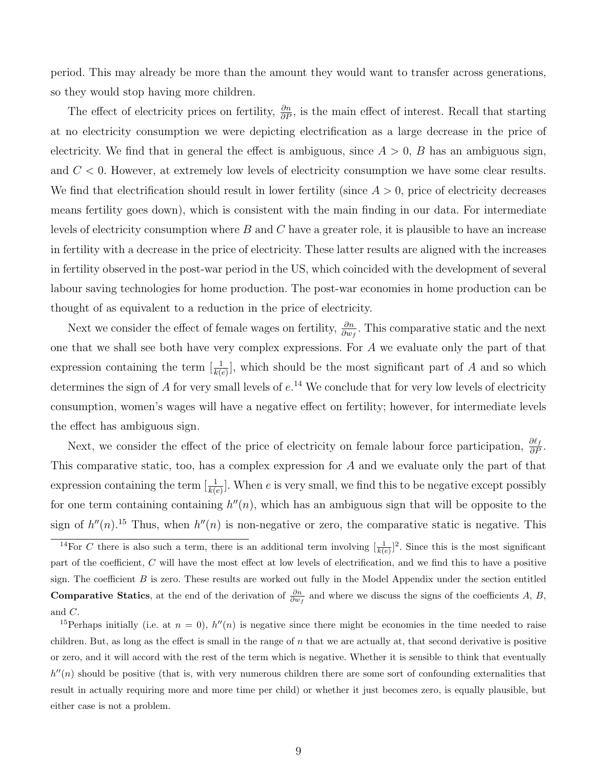period. This may already be more than the amount they would want to transfer across generations, so they would stop having more children.

The effect of electricity prices on fertility,  $\frac{\partial n}{\partial P}$ , is the main effect of interest. Recall that starting at no electricity consumption we were depicting electrification as a large decrease in the price of electricity. We find that in general the effect is ambiguous, since  $A > 0$ , B has an ambiguous sign, and  $C < 0$ . However, at extremely low levels of electricity consumption we have some clear results. We find that electrification should result in lower fertility (since  $A > 0$ , price of electricity decreases means fertility goes down), which is consistent with the main finding in our data. For intermediate levels of electricity consumption where  $B$  and  $C$  have a greater role, it is plausible to have an increase in fertility with a decrease in the price of electricity. These latter results are aligned with the increases in fertility observed in the post-war period in the US, which coincided with the development of several labour saving technologies for home production. The post-war economies in home production can be thought of as equivalent to a reduction in the price of electricity.

Next we consider the effect of female wages on fertility,  $\frac{\partial n}{\partial w_f}$ . This comparative static and the next one that we shall see both have very complex expressions. For A we evaluate only the part of that expression containing the term  $[\frac{1}{k(e)}]$ , which should be the most significant part of A and so which determines the sign of A for very small levels of  $e^{14}$  We conclude that for very low levels of electricity consumption, women's wages will have a negative effect on fertility; however, for intermediate levels the effect has ambiguous sign.

Next, we consider the effect of the price of electricity on female labour force participation,  $\frac{\partial \ell_f}{\partial P}$ . This comparative static, too, has a complex expression for A and we evaluate only the part of that expression containing the term  $\left[\frac{1}{k(e)}\right]$ . When e is very small, we find this to be negative except possibly for one term containing containing  $h''(n)$ , which has an ambiguous sign that will be opposite to the sign of  $h''(n)$ .<sup>15</sup> Thus, when  $h''(n)$  is non-negative or zero, the comparative static is negative. This

<sup>&</sup>lt;sup>14</sup>For C there is also such a term, there is an additional term involving  $\left[\frac{1}{k(e)}\right]^2$ . Since this is the most significant part of the coefficient, C will have the most effect at low levels of electrification, and we find this to have a positive sign. The coefficient  $B$  is zero. These results are worked out fully in the Model Appendix under the section entitled **Comparative Statics**, at the end of the derivation of  $\frac{\partial n}{\partial w_f}$  and where we discuss the signs of the coefficients A, B, and C.

<sup>&</sup>lt;sup>15</sup>Perhaps initially (i.e. at  $n = 0$ ),  $h''(n)$  is negative since there might be economies in the time needed to raise children. But, as long as the effect is small in the range of  $n$  that we are actually at, that second derivative is positive or zero, and it will accord with the rest of the term which is negative. Whether it is sensible to think that eventually  $h''(n)$  should be positive (that is, with very numerous children there are some sort of confounding externalities that result in actually requiring more and more time per child) or whether it just becomes zero, is equally plausible, but either case is not a problem.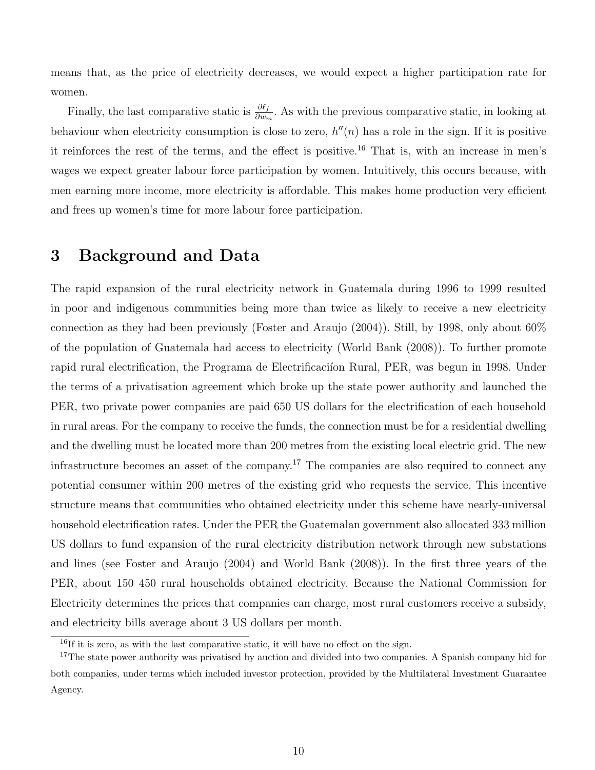means that, as the price of electricity decreases, we would expect a higher participation rate for women.

Finally, the last comparative static is  $\frac{\partial \ell_f}{\partial w_m}$ . As with the previous comparative static, in looking at behaviour when electricity consumption is close to zero,  $h''(n)$  has a role in the sign. If it is positive it reinforces the rest of the terms, and the effect is positive.<sup>16</sup> That is, with an increase in men's wages we expect greater labour force participation by women. Intuitively, this occurs because, with men earning more income, more electricity is affordable. This makes home production very efficient and frees up women's time for more labour force participation.

### 3 Background and Data

The rapid expansion of the rural electricity network in Guatemala during 1996 to 1999 resulted in poor and indigenous communities being more than twice as likely to receive a new electricity connection as they had been previously (Foster and Araujo (2004)). Still, by 1998, only about 60% of the population of Guatemala had access to electricity (World Bank (2008)). To further promote rapid rural electrification, the Programa de Electrificación Rural, PER, was begun in 1998. Under the terms of a privatisation agreement which broke up the state power authority and launched the PER, two private power companies are paid 650 US dollars for the electrification of each household in rural areas. For the company to receive the funds, the connection must be for a residential dwelling and the dwelling must be located more than 200 metres from the existing local electric grid. The new infrastructure becomes an asset of the company.<sup>17</sup> The companies are also required to connect any potential consumer within 200 metres of the existing grid who requests the service. This incentive structure means that communities who obtained electricity under this scheme have nearly-universal household electrification rates. Under the PER the Guatemalan government also allocated 333 million US dollars to fund expansion of the rural electricity distribution network through new substations and lines (see Foster and Araujo (2004) and World Bank (2008)). In the first three years of the PER, about 150 450 rural households obtained electricity. Because the National Commission for Electricity determines the prices that companies can charge, most rural customers receive a subsidy, and electricity bills average about 3 US dollars per month.

 $^{16}$ If it is zero, as with the last comparative static, it will have no effect on the sign.

<sup>&</sup>lt;sup>17</sup>The state power authority was privatised by auction and divided into two companies. A Spanish company bid for both companies, under terms which included investor protection, provided by the Multilateral Investment Guarantee Agency.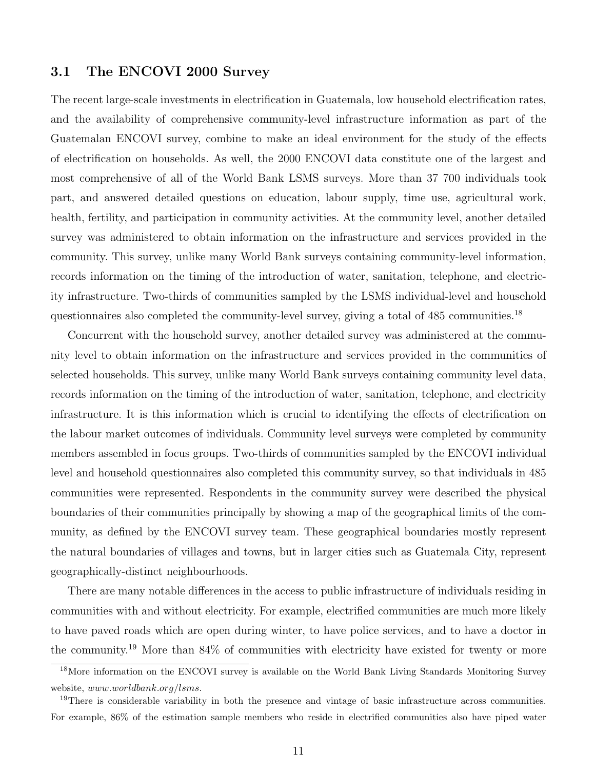#### 3.1 The ENCOVI 2000 Survey

The recent large-scale investments in electrification in Guatemala, low household electrification rates, and the availability of comprehensive community-level infrastructure information as part of the Guatemalan ENCOVI survey, combine to make an ideal environment for the study of the effects of electrification on households. As well, the 2000 ENCOVI data constitute one of the largest and most comprehensive of all of the World Bank LSMS surveys. More than 37 700 individuals took part, and answered detailed questions on education, labour supply, time use, agricultural work, health, fertility, and participation in community activities. At the community level, another detailed survey was administered to obtain information on the infrastructure and services provided in the community. This survey, unlike many World Bank surveys containing community-level information, records information on the timing of the introduction of water, sanitation, telephone, and electricity infrastructure. Two-thirds of communities sampled by the LSMS individual-level and household questionnaires also completed the community-level survey, giving a total of 485 communities.<sup>18</sup>

Concurrent with the household survey, another detailed survey was administered at the community level to obtain information on the infrastructure and services provided in the communities of selected households. This survey, unlike many World Bank surveys containing community level data, records information on the timing of the introduction of water, sanitation, telephone, and electricity infrastructure. It is this information which is crucial to identifying the effects of electrification on the labour market outcomes of individuals. Community level surveys were completed by community members assembled in focus groups. Two-thirds of communities sampled by the ENCOVI individual level and household questionnaires also completed this community survey, so that individuals in 485 communities were represented. Respondents in the community survey were described the physical boundaries of their communities principally by showing a map of the geographical limits of the community, as defined by the ENCOVI survey team. These geographical boundaries mostly represent the natural boundaries of villages and towns, but in larger cities such as Guatemala City, represent geographically-distinct neighbourhoods.

There are many notable differences in the access to public infrastructure of individuals residing in communities with and without electricity. For example, electrified communities are much more likely to have paved roads which are open during winter, to have police services, and to have a doctor in the community.<sup>19</sup> More than 84% of communities with electricity have existed for twenty or more

<sup>18</sup>More information on the ENCOVI survey is available on the World Bank Living Standards Monitoring Survey website, www.worldbank.org/lsms.

<sup>&</sup>lt;sup>19</sup>There is considerable variability in both the presence and vintage of basic infrastructure across communities. For example, 86% of the estimation sample members who reside in electrified communities also have piped water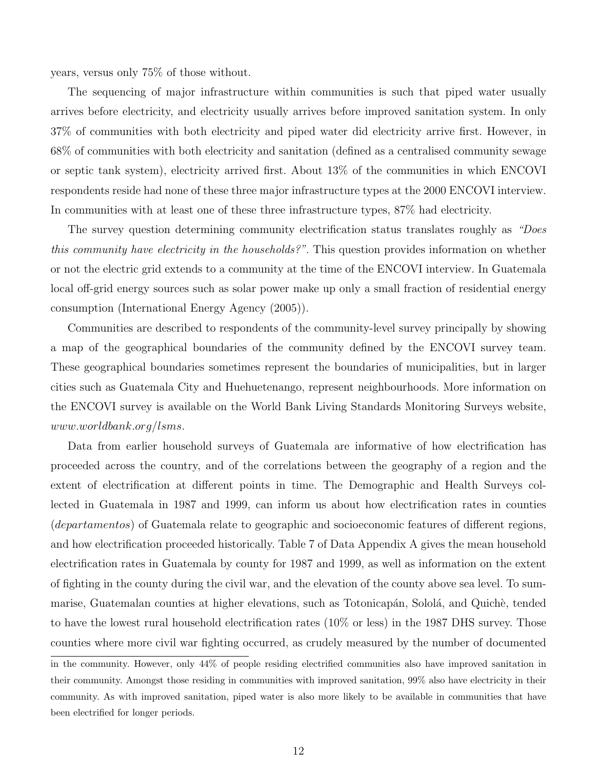years, versus only 75% of those without.

The sequencing of major infrastructure within communities is such that piped water usually arrives before electricity, and electricity usually arrives before improved sanitation system. In only 37% of communities with both electricity and piped water did electricity arrive first. However, in 68% of communities with both electricity and sanitation (defined as a centralised community sewage or septic tank system), electricity arrived first. About 13% of the communities in which ENCOVI respondents reside had none of these three major infrastructure types at the 2000 ENCOVI interview. In communities with at least one of these three infrastructure types, 87% had electricity.

The survey question determining community electrification status translates roughly as "Does" this community have electricity in the households?". This question provides information on whether or not the electric grid extends to a community at the time of the ENCOVI interview. In Guatemala local off-grid energy sources such as solar power make up only a small fraction of residential energy consumption (International Energy Agency (2005)).

Communities are described to respondents of the community-level survey principally by showing a map of the geographical boundaries of the community defined by the ENCOVI survey team. These geographical boundaries sometimes represent the boundaries of municipalities, but in larger cities such as Guatemala City and Huehuetenango, represent neighbourhoods. More information on the ENCOVI survey is available on the World Bank Living Standards Monitoring Surveys website, www.worldbank.org/lsms.

Data from earlier household surveys of Guatemala are informative of how electrification has proceeded across the country, and of the correlations between the geography of a region and the extent of electrification at different points in time. The Demographic and Health Surveys collected in Guatemala in 1987 and 1999, can inform us about how electrification rates in counties (departamentos) of Guatemala relate to geographic and socioeconomic features of different regions, and how electrification proceeded historically. Table 7 of Data Appendix A gives the mean household electrification rates in Guatemala by county for 1987 and 1999, as well as information on the extent of fighting in the county during the civil war, and the elevation of the county above sea level. To summarise, Guatemalan counties at higher elevations, such as Totonicapán, Sololá, and Quichè, tended to have the lowest rural household electrification rates (10% or less) in the 1987 DHS survey. Those counties where more civil war fighting occurred, as crudely measured by the number of documented

in the community. However, only 44% of people residing electrified communities also have improved sanitation in their community. Amongst those residing in communities with improved sanitation, 99% also have electricity in their community. As with improved sanitation, piped water is also more likely to be available in communities that have been electrified for longer periods.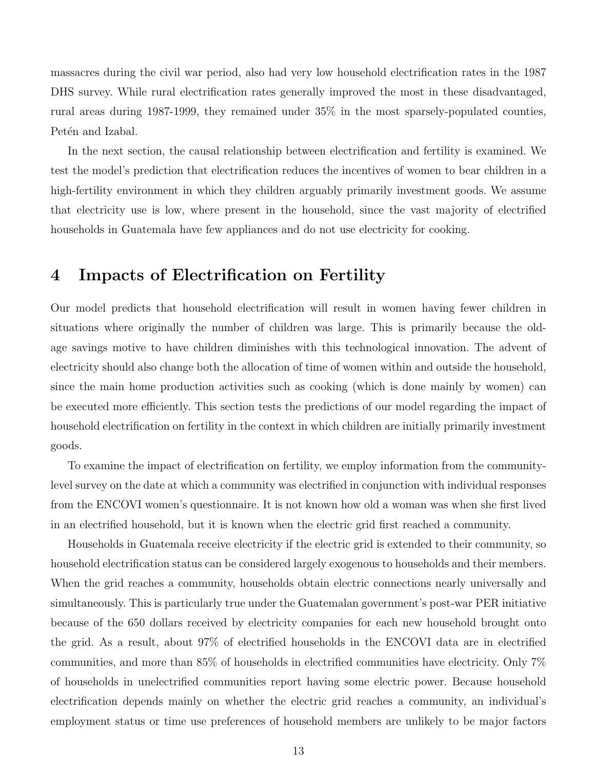massacres during the civil war period, also had very low household electrification rates in the 1987 DHS survey. While rural electrification rates generally improved the most in these disadvantaged, rural areas during 1987-1999, they remained under 35% in the most sparsely-populated counties, Petén and Izabal.

In the next section, the causal relationship between electrification and fertility is examined. We test the model's prediction that electrification reduces the incentives of women to bear children in a high-fertility environment in which they children arguably primarily investment goods. We assume that electricity use is low, where present in the household, since the vast majority of electrified households in Guatemala have few appliances and do not use electricity for cooking.

### 4 Impacts of Electrification on Fertility

Our model predicts that household electrification will result in women having fewer children in situations where originally the number of children was large. This is primarily because the oldage savings motive to have children diminishes with this technological innovation. The advent of electricity should also change both the allocation of time of women within and outside the household, since the main home production activities such as cooking (which is done mainly by women) can be executed more efficiently. This section tests the predictions of our model regarding the impact of household electrification on fertility in the context in which children are initially primarily investment goods.

To examine the impact of electrification on fertility, we employ information from the communitylevel survey on the date at which a community was electrified in conjunction with individual responses from the ENCOVI women's questionnaire. It is not known how old a woman was when she first lived in an electrified household, but it is known when the electric grid first reached a community.

Households in Guatemala receive electricity if the electric grid is extended to their community, so household electrification status can be considered largely exogenous to households and their members. When the grid reaches a community, households obtain electric connections nearly universally and simultaneously. This is particularly true under the Guatemalan government's post-war PER initiative because of the 650 dollars received by electricity companies for each new household brought onto the grid. As a result, about 97% of electrified households in the ENCOVI data are in electrified communities, and more than 85% of households in electrified communities have electricity. Only 7% of households in unelectrified communities report having some electric power. Because household electrification depends mainly on whether the electric grid reaches a community, an individual's employment status or time use preferences of household members are unlikely to be major factors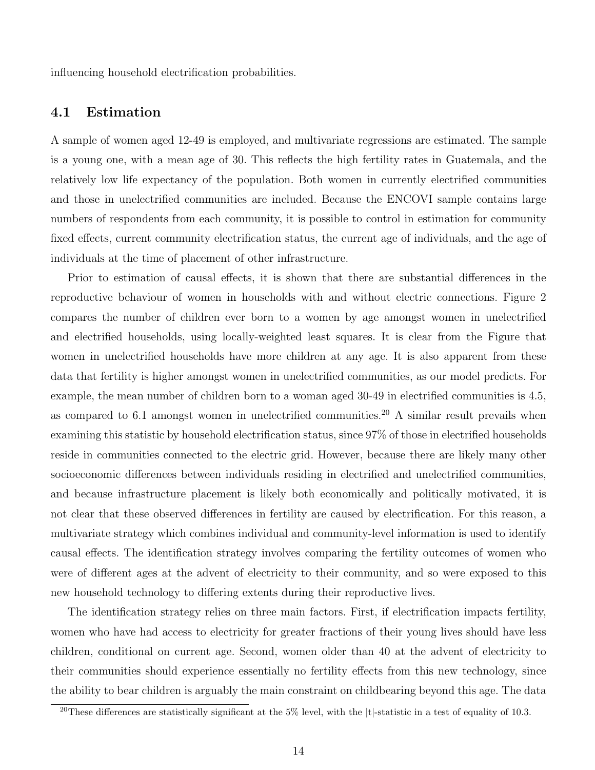influencing household electrification probabilities.

#### 4.1 Estimation

A sample of women aged 12-49 is employed, and multivariate regressions are estimated. The sample is a young one, with a mean age of 30. This reflects the high fertility rates in Guatemala, and the relatively low life expectancy of the population. Both women in currently electrified communities and those in unelectrified communities are included. Because the ENCOVI sample contains large numbers of respondents from each community, it is possible to control in estimation for community fixed effects, current community electrification status, the current age of individuals, and the age of individuals at the time of placement of other infrastructure.

Prior to estimation of causal effects, it is shown that there are substantial differences in the reproductive behaviour of women in households with and without electric connections. Figure 2 compares the number of children ever born to a women by age amongst women in unelectrified and electrified households, using locally-weighted least squares. It is clear from the Figure that women in unelectrified households have more children at any age. It is also apparent from these data that fertility is higher amongst women in unelectrified communities, as our model predicts. For example, the mean number of children born to a woman aged 30-49 in electrified communities is 4.5, as compared to 6.1 amongst women in unelectrified communities.<sup>20</sup> A similar result prevails when examining this statistic by household electrification status, since 97% of those in electrified households reside in communities connected to the electric grid. However, because there are likely many other socioeconomic differences between individuals residing in electrified and unelectrified communities, and because infrastructure placement is likely both economically and politically motivated, it is not clear that these observed differences in fertility are caused by electrification. For this reason, a multivariate strategy which combines individual and community-level information is used to identify causal effects. The identification strategy involves comparing the fertility outcomes of women who were of different ages at the advent of electricity to their community, and so were exposed to this new household technology to differing extents during their reproductive lives.

The identification strategy relies on three main factors. First, if electrification impacts fertility, women who have had access to electricity for greater fractions of their young lives should have less children, conditional on current age. Second, women older than 40 at the advent of electricity to their communities should experience essentially no fertility effects from this new technology, since the ability to bear children is arguably the main constraint on childbearing beyond this age. The data

<sup>&</sup>lt;sup>20</sup>These differences are statistically significant at the 5% level, with the  $|t|$ -statistic in a test of equality of 10.3.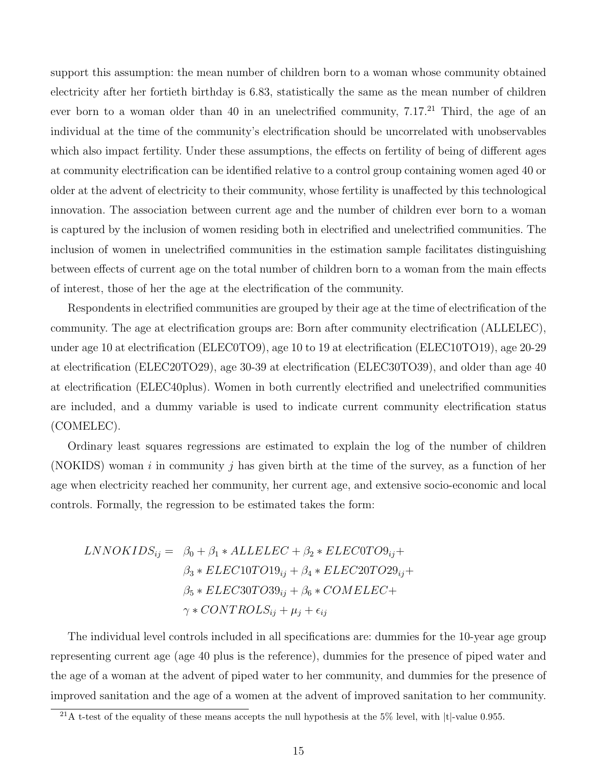support this assumption: the mean number of children born to a woman whose community obtained electricity after her fortieth birthday is 6.83, statistically the same as the mean number of children ever born to a woman older than 40 in an unelectrified community,  $7.17<sup>21</sup>$  Third, the age of an individual at the time of the community's electrification should be uncorrelated with unobservables which also impact fertility. Under these assumptions, the effects on fertility of being of different ages at community electrification can be identified relative to a control group containing women aged 40 or older at the advent of electricity to their community, whose fertility is unaffected by this technological innovation. The association between current age and the number of children ever born to a woman is captured by the inclusion of women residing both in electrified and unelectrified communities. The inclusion of women in unelectrified communities in the estimation sample facilitates distinguishing between effects of current age on the total number of children born to a woman from the main effects of interest, those of her the age at the electrification of the community.

Respondents in electrified communities are grouped by their age at the time of electrification of the community. The age at electrification groups are: Born after community electrification (ALLELEC), under age 10 at electrification (ELEC0TO9), age 10 to 19 at electrification (ELEC10TO19), age 20-29 at electrification (ELEC20TO29), age 30-39 at electrification (ELEC30TO39), and older than age 40 at electrification (ELEC40plus). Women in both currently electrified and unelectrified communities are included, and a dummy variable is used to indicate current community electrification status (COMELEC).

Ordinary least squares regressions are estimated to explain the log of the number of children (NOKIDS) woman i in community j has given birth at the time of the survey, as a function of her age when electricity reached her community, her current age, and extensive socio-economic and local controls. Formally, the regression to be estimated takes the form:

$$
LNNOKIDS_{ij} = \beta_0 + \beta_1 * ALLELEC + \beta_2 * ELEC0TO9_{ij} +
$$
  

$$
\beta_3 * ELEC10TO19_{ij} + \beta_4 * ELEC20TO29_{ij} +
$$
  

$$
\beta_5 * ELEC30TO39_{ij} + \beta_6 * COMELEC +
$$
  

$$
\gamma * CONTROLS_{ij} + \mu_j + \epsilon_{ij}
$$

The individual level controls included in all specifications are: dummies for the 10-year age group representing current age (age 40 plus is the reference), dummies for the presence of piped water and the age of a woman at the advent of piped water to her community, and dummies for the presence of improved sanitation and the age of a women at the advent of improved sanitation to her community.

<sup>&</sup>lt;sup>21</sup>A t-test of the equality of these means accepts the null hypothesis at the 5% level, with  $|t|$ -value 0.955.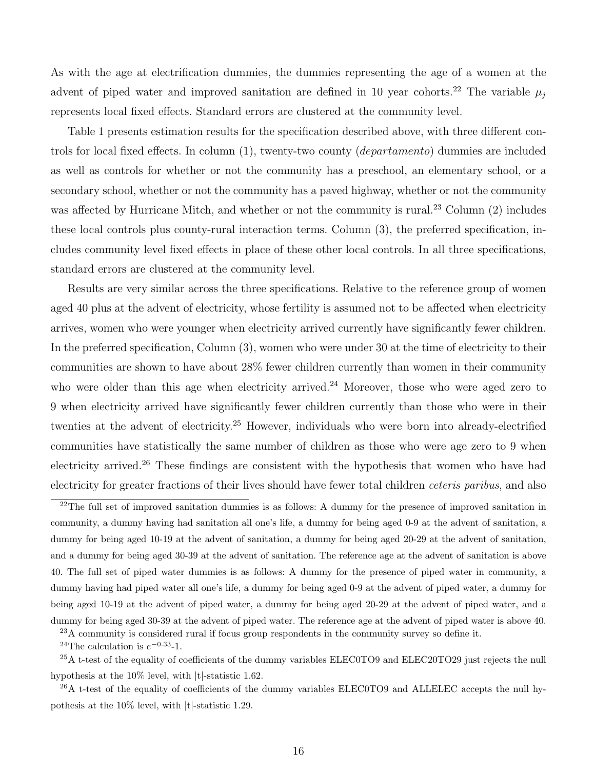As with the age at electrification dummies, the dummies representing the age of a women at the advent of piped water and improved sanitation are defined in 10 year cohorts.<sup>22</sup> The variable  $\mu_i$ represents local fixed effects. Standard errors are clustered at the community level.

Table 1 presents estimation results for the specification described above, with three different controls for local fixed effects. In column (1), twenty-two county (departamento) dummies are included as well as controls for whether or not the community has a preschool, an elementary school, or a secondary school, whether or not the community has a paved highway, whether or not the community was affected by Hurricane Mitch, and whether or not the community is rural.<sup>23</sup> Column (2) includes these local controls plus county-rural interaction terms. Column (3), the preferred specification, includes community level fixed effects in place of these other local controls. In all three specifications, standard errors are clustered at the community level.

Results are very similar across the three specifications. Relative to the reference group of women aged 40 plus at the advent of electricity, whose fertility is assumed not to be affected when electricity arrives, women who were younger when electricity arrived currently have significantly fewer children. In the preferred specification, Column (3), women who were under 30 at the time of electricity to their communities are shown to have about 28% fewer children currently than women in their community who were older than this age when electricity arrived.<sup>24</sup> Moreover, those who were aged zero to 9 when electricity arrived have significantly fewer children currently than those who were in their twenties at the advent of electricity.<sup>25</sup> However, individuals who were born into already-electrified communities have statistically the same number of children as those who were age zero to 9 when electricity arrived.<sup>26</sup> These findings are consistent with the hypothesis that women who have had electricity for greater fractions of their lives should have fewer total children *ceteris paribus*, and also

 $^{23}$ A community is considered rural if focus group respondents in the community survey so define it.

<sup>24</sup>The calculation is  $e^{-0.33}$ -1.

<sup>25</sup>A t-test of the equality of coefficients of the dummy variables ELEC0TO9 and ELEC20TO29 just rejects the null hypothesis at the 10% level, with |t|-statistic 1.62.

 $^{26}$ A t-test of the equality of coefficients of the dummy variables ELEC0TO9 and ALLELEC accepts the null hypothesis at the 10% level, with |t|-statistic 1.29.

<sup>&</sup>lt;sup>22</sup>The full set of improved sanitation dummies is as follows: A dummy for the presence of improved sanitation in community, a dummy having had sanitation all one's life, a dummy for being aged 0-9 at the advent of sanitation, a dummy for being aged 10-19 at the advent of sanitation, a dummy for being aged 20-29 at the advent of sanitation, and a dummy for being aged 30-39 at the advent of sanitation. The reference age at the advent of sanitation is above 40. The full set of piped water dummies is as follows: A dummy for the presence of piped water in community, a dummy having had piped water all one's life, a dummy for being aged 0-9 at the advent of piped water, a dummy for being aged 10-19 at the advent of piped water, a dummy for being aged 20-29 at the advent of piped water, and a dummy for being aged 30-39 at the advent of piped water. The reference age at the advent of piped water is above 40.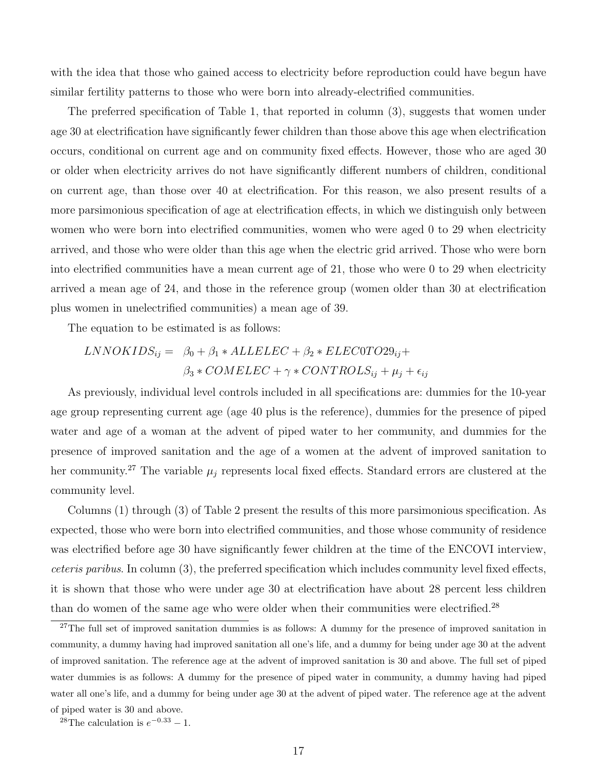with the idea that those who gained access to electricity before reproduction could have begun have similar fertility patterns to those who were born into already-electrified communities.

The preferred specification of Table 1, that reported in column (3), suggests that women under age 30 at electrification have significantly fewer children than those above this age when electrification occurs, conditional on current age and on community fixed effects. However, those who are aged 30 or older when electricity arrives do not have significantly different numbers of children, conditional on current age, than those over 40 at electrification. For this reason, we also present results of a more parsimonious specification of age at electrification effects, in which we distinguish only between women who were born into electrified communities, women who were aged 0 to 29 when electricity arrived, and those who were older than this age when the electric grid arrived. Those who were born into electrified communities have a mean current age of 21, those who were 0 to 29 when electricity arrived a mean age of 24, and those in the reference group (women older than 30 at electrification plus women in unelectrified communities) a mean age of 39.

The equation to be estimated is as follows:

$$
LNNOKIDS_{ij} = \beta_0 + \beta_1 * ALLELEC + \beta_2 * ELEC0TO29_{ij} +
$$
  

$$
\beta_3 * COMELEC + \gamma * CONTROLS_{ij} + \mu_j + \epsilon_{ij}
$$

As previously, individual level controls included in all specifications are: dummies for the 10-year age group representing current age (age 40 plus is the reference), dummies for the presence of piped water and age of a woman at the advent of piped water to her community, and dummies for the presence of improved sanitation and the age of a women at the advent of improved sanitation to her community.<sup>27</sup> The variable  $\mu_i$  represents local fixed effects. Standard errors are clustered at the community level.

Columns (1) through (3) of Table 2 present the results of this more parsimonious specification. As expected, those who were born into electrified communities, and those whose community of residence was electrified before age 30 have significantly fewer children at the time of the ENCOVI interview, ceteris paribus. In column (3), the preferred specification which includes community level fixed effects, it is shown that those who were under age 30 at electrification have about 28 percent less children than do women of the same age who were older when their communities were electrified.<sup>28</sup>

<sup>&</sup>lt;sup>27</sup>The full set of improved sanitation dummies is as follows: A dummy for the presence of improved sanitation in community, a dummy having had improved sanitation all one's life, and a dummy for being under age 30 at the advent of improved sanitation. The reference age at the advent of improved sanitation is 30 and above. The full set of piped water dummies is as follows: A dummy for the presence of piped water in community, a dummy having had piped water all one's life, and a dummy for being under age 30 at the advent of piped water. The reference age at the advent of piped water is 30 and above.

<sup>&</sup>lt;sup>28</sup>The calculation is  $e^{-0.33} - 1$ .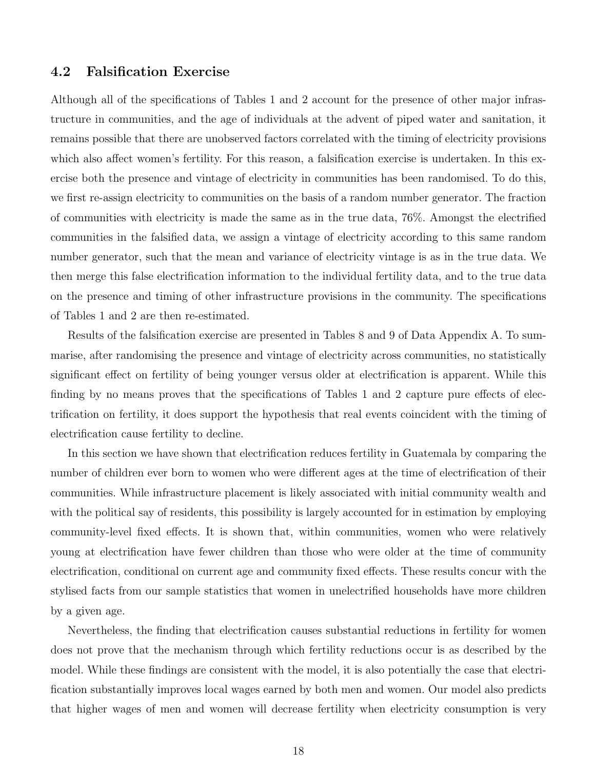#### 4.2 Falsification Exercise

Although all of the specifications of Tables 1 and 2 account for the presence of other major infrastructure in communities, and the age of individuals at the advent of piped water and sanitation, it remains possible that there are unobserved factors correlated with the timing of electricity provisions which also affect women's fertility. For this reason, a falsification exercise is undertaken. In this exercise both the presence and vintage of electricity in communities has been randomised. To do this, we first re-assign electricity to communities on the basis of a random number generator. The fraction of communities with electricity is made the same as in the true data, 76%. Amongst the electrified communities in the falsified data, we assign a vintage of electricity according to this same random number generator, such that the mean and variance of electricity vintage is as in the true data. We then merge this false electrification information to the individual fertility data, and to the true data on the presence and timing of other infrastructure provisions in the community. The specifications of Tables 1 and 2 are then re-estimated.

Results of the falsification exercise are presented in Tables 8 and 9 of Data Appendix A. To summarise, after randomising the presence and vintage of electricity across communities, no statistically significant effect on fertility of being younger versus older at electrification is apparent. While this finding by no means proves that the specifications of Tables 1 and 2 capture pure effects of electrification on fertility, it does support the hypothesis that real events coincident with the timing of electrification cause fertility to decline.

In this section we have shown that electrification reduces fertility in Guatemala by comparing the number of children ever born to women who were different ages at the time of electrification of their communities. While infrastructure placement is likely associated with initial community wealth and with the political say of residents, this possibility is largely accounted for in estimation by employing community-level fixed effects. It is shown that, within communities, women who were relatively young at electrification have fewer children than those who were older at the time of community electrification, conditional on current age and community fixed effects. These results concur with the stylised facts from our sample statistics that women in unelectrified households have more children by a given age.

Nevertheless, the finding that electrification causes substantial reductions in fertility for women does not prove that the mechanism through which fertility reductions occur is as described by the model. While these findings are consistent with the model, it is also potentially the case that electrification substantially improves local wages earned by both men and women. Our model also predicts that higher wages of men and women will decrease fertility when electricity consumption is very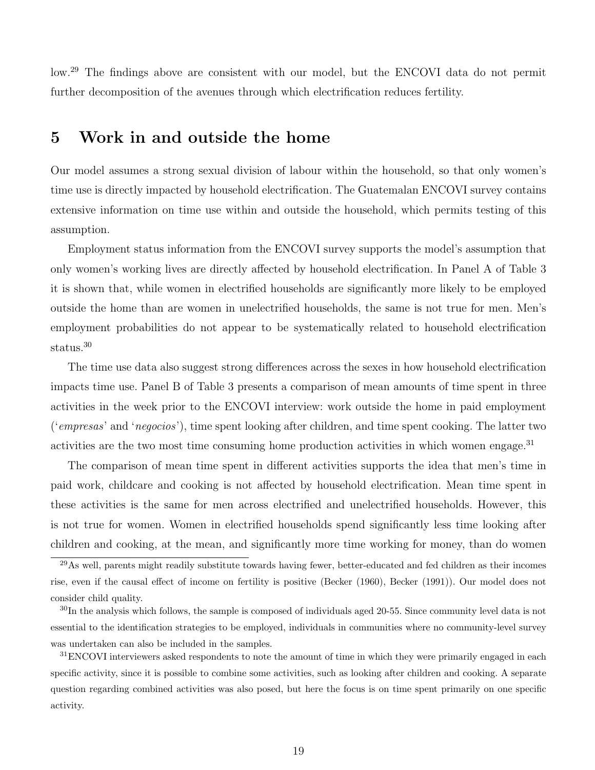low.<sup>29</sup> The findings above are consistent with our model, but the ENCOVI data do not permit further decomposition of the avenues through which electrification reduces fertility.

### 5 Work in and outside the home

Our model assumes a strong sexual division of labour within the household, so that only women's time use is directly impacted by household electrification. The Guatemalan ENCOVI survey contains extensive information on time use within and outside the household, which permits testing of this assumption.

Employment status information from the ENCOVI survey supports the model's assumption that only women's working lives are directly affected by household electrification. In Panel A of Table 3 it is shown that, while women in electrified households are significantly more likely to be employed outside the home than are women in unelectrified households, the same is not true for men. Men's employment probabilities do not appear to be systematically related to household electrification status.<sup>30</sup>

The time use data also suggest strong differences across the sexes in how household electrification impacts time use. Panel B of Table 3 presents a comparison of mean amounts of time spent in three activities in the week prior to the ENCOVI interview: work outside the home in paid employment ('empresas' and 'negocios'), time spent looking after children, and time spent cooking. The latter two activities are the two most time consuming home production activities in which women engage.<sup>31</sup>

The comparison of mean time spent in different activities supports the idea that men's time in paid work, childcare and cooking is not affected by household electrification. Mean time spent in these activities is the same for men across electrified and unelectrified households. However, this is not true for women. Women in electrified households spend significantly less time looking after children and cooking, at the mean, and significantly more time working for money, than do women

 $^{29}$ As well, parents might readily substitute towards having fewer, better-educated and fed children as their incomes rise, even if the causal effect of income on fertility is positive (Becker (1960), Becker (1991)). Our model does not consider child quality.

 $30$ In the analysis which follows, the sample is composed of individuals aged 20-55. Since community level data is not essential to the identification strategies to be employed, individuals in communities where no community-level survey was undertaken can also be included in the samples.

<sup>&</sup>lt;sup>31</sup>ENCOVI interviewers asked respondents to note the amount of time in which they were primarily engaged in each specific activity, since it is possible to combine some activities, such as looking after children and cooking. A separate question regarding combined activities was also posed, but here the focus is on time spent primarily on one specific activity.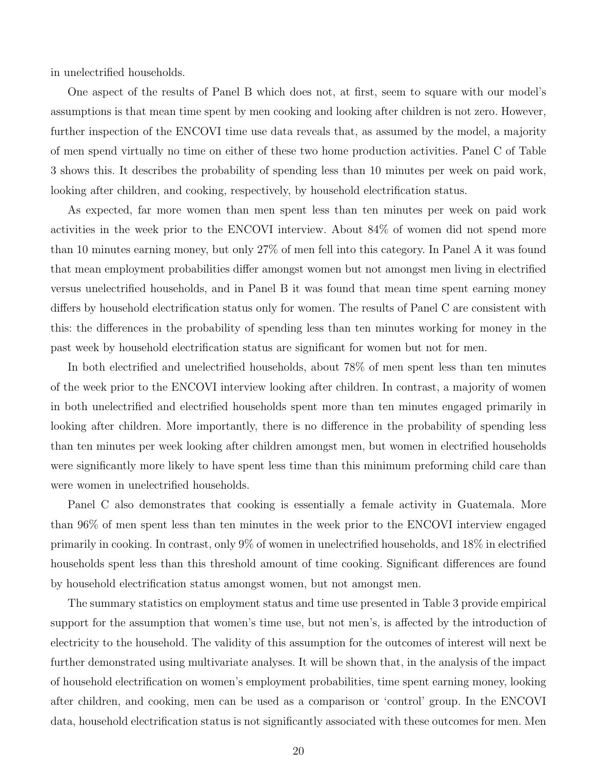in unelectrified households.

One aspect of the results of Panel B which does not, at first, seem to square with our model's assumptions is that mean time spent by men cooking and looking after children is not zero. However, further inspection of the ENCOVI time use data reveals that, as assumed by the model, a majority of men spend virtually no time on either of these two home production activities. Panel C of Table 3 shows this. It describes the probability of spending less than 10 minutes per week on paid work, looking after children, and cooking, respectively, by household electrification status.

As expected, far more women than men spent less than ten minutes per week on paid work activities in the week prior to the ENCOVI interview. About 84% of women did not spend more than 10 minutes earning money, but only 27% of men fell into this category. In Panel A it was found that mean employment probabilities differ amongst women but not amongst men living in electrified versus unelectrified households, and in Panel B it was found that mean time spent earning money differs by household electrification status only for women. The results of Panel C are consistent with this: the differences in the probability of spending less than ten minutes working for money in the past week by household electrification status are significant for women but not for men.

In both electrified and unelectrified households, about 78% of men spent less than ten minutes of the week prior to the ENCOVI interview looking after children. In contrast, a majority of women in both unelectrified and electrified households spent more than ten minutes engaged primarily in looking after children. More importantly, there is no difference in the probability of spending less than ten minutes per week looking after children amongst men, but women in electrified households were significantly more likely to have spent less time than this minimum preforming child care than were women in unelectrified households.

Panel C also demonstrates that cooking is essentially a female activity in Guatemala. More than 96% of men spent less than ten minutes in the week prior to the ENCOVI interview engaged primarily in cooking. In contrast, only 9% of women in unelectrified households, and 18% in electrified households spent less than this threshold amount of time cooking. Significant differences are found by household electrification status amongst women, but not amongst men.

The summary statistics on employment status and time use presented in Table 3 provide empirical support for the assumption that women's time use, but not men's, is affected by the introduction of electricity to the household. The validity of this assumption for the outcomes of interest will next be further demonstrated using multivariate analyses. It will be shown that, in the analysis of the impact of household electrification on women's employment probabilities, time spent earning money, looking after children, and cooking, men can be used as a comparison or 'control' group. In the ENCOVI data, household electrification status is not significantly associated with these outcomes for men. Men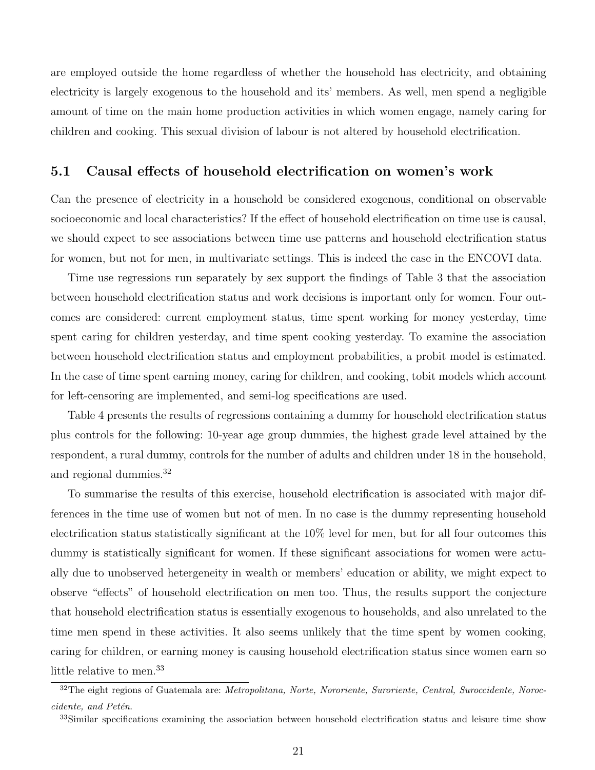are employed outside the home regardless of whether the household has electricity, and obtaining electricity is largely exogenous to the household and its' members. As well, men spend a negligible amount of time on the main home production activities in which women engage, namely caring for children and cooking. This sexual division of labour is not altered by household electrification.

#### 5.1 Causal effects of household electrification on women's work

Can the presence of electricity in a household be considered exogenous, conditional on observable socioeconomic and local characteristics? If the effect of household electrification on time use is causal, we should expect to see associations between time use patterns and household electrification status for women, but not for men, in multivariate settings. This is indeed the case in the ENCOVI data.

Time use regressions run separately by sex support the findings of Table 3 that the association between household electrification status and work decisions is important only for women. Four outcomes are considered: current employment status, time spent working for money yesterday, time spent caring for children yesterday, and time spent cooking yesterday. To examine the association between household electrification status and employment probabilities, a probit model is estimated. In the case of time spent earning money, caring for children, and cooking, tobit models which account for left-censoring are implemented, and semi-log specifications are used.

Table 4 presents the results of regressions containing a dummy for household electrification status plus controls for the following: 10-year age group dummies, the highest grade level attained by the respondent, a rural dummy, controls for the number of adults and children under 18 in the household, and regional dummies.<sup>32</sup>

To summarise the results of this exercise, household electrification is associated with major differences in the time use of women but not of men. In no case is the dummy representing household electrification status statistically significant at the 10% level for men, but for all four outcomes this dummy is statistically significant for women. If these significant associations for women were actually due to unobserved hetergeneity in wealth or members' education or ability, we might expect to observe "effects" of household electrification on men too. Thus, the results support the conjecture that household electrification status is essentially exogenous to households, and also unrelated to the time men spend in these activities. It also seems unlikely that the time spent by women cooking, caring for children, or earning money is causing household electrification status since women earn so little relative to men.<sup>33</sup>

<sup>&</sup>lt;sup>32</sup>The eight regions of Guatemala are: Metropolitana, Norte, Nororiente, Suroriente, Central, Suroccidente, Noroccidente, and Petén.

<sup>&</sup>lt;sup>33</sup>Similar specifications examining the association between household electrification status and leisure time show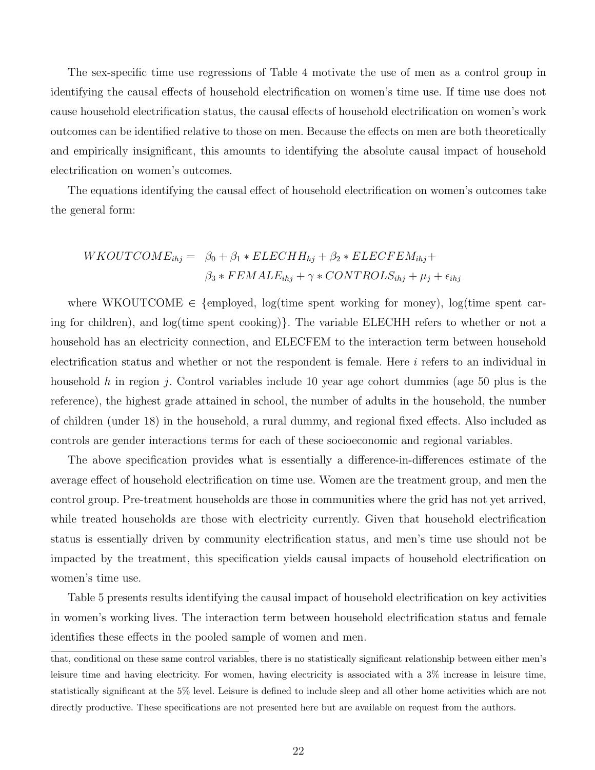The sex-specific time use regressions of Table 4 motivate the use of men as a control group in identifying the causal effects of household electrification on women's time use. If time use does not cause household electrification status, the causal effects of household electrification on women's work outcomes can be identified relative to those on men. Because the effects on men are both theoretically and empirically insignificant, this amounts to identifying the absolute causal impact of household electrification on women's outcomes.

The equations identifying the causal effect of household electrification on women's outcomes take the general form:

$$
WKOUTCOMP_{ihj} = \beta_0 + \beta_1 * ELECHH_{hj} + \beta_2 * ELECFEM_{ihj} +
$$
  

$$
\beta_3 * FEMALE_{ihj} + \gamma * CONTROLS_{ihj} + \mu_j + \epsilon_{ihj}
$$

where WKOUTCOME  $\in$  {employed, log(time spent working for money), log(time spent caring for children), and log(time spent cooking)}. The variable ELECHH refers to whether or not a household has an electricity connection, and ELECFEM to the interaction term between household electrification status and whether or not the respondent is female. Here  $i$  refers to an individual in household h in region j. Control variables include 10 year age cohort dummies (age 50 plus is the reference), the highest grade attained in school, the number of adults in the household, the number of children (under 18) in the household, a rural dummy, and regional fixed effects. Also included as controls are gender interactions terms for each of these socioeconomic and regional variables.

The above specification provides what is essentially a difference-in-differences estimate of the average effect of household electrification on time use. Women are the treatment group, and men the control group. Pre-treatment households are those in communities where the grid has not yet arrived, while treated households are those with electricity currently. Given that household electrification status is essentially driven by community electrification status, and men's time use should not be impacted by the treatment, this specification yields causal impacts of household electrification on women's time use.

Table 5 presents results identifying the causal impact of household electrification on key activities in women's working lives. The interaction term between household electrification status and female identifies these effects in the pooled sample of women and men.

that, conditional on these same control variables, there is no statistically significant relationship between either men's leisure time and having electricity. For women, having electricity is associated with a 3% increase in leisure time, statistically significant at the 5% level. Leisure is defined to include sleep and all other home activities which are not directly productive. These specifications are not presented here but are available on request from the authors.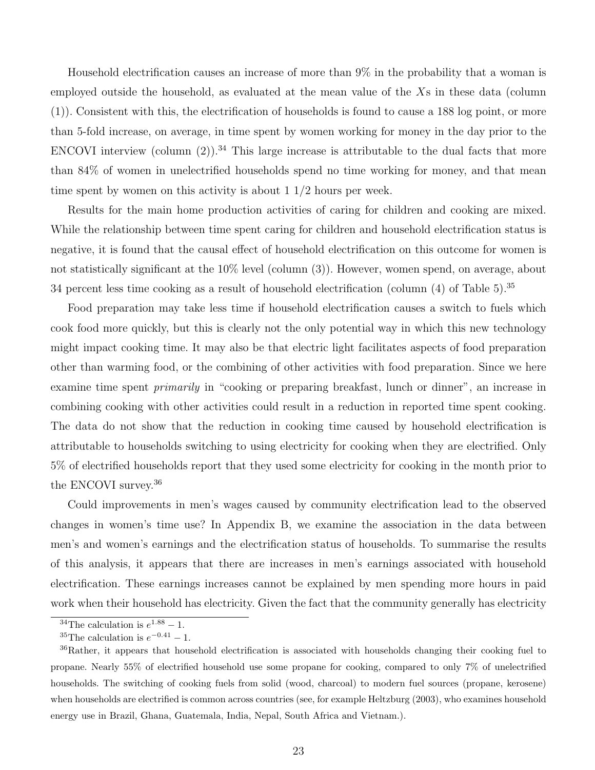Household electrification causes an increase of more than 9% in the probability that a woman is employed outside the household, as evaluated at the mean value of the  $X_s$  in these data (column (1)). Consistent with this, the electrification of households is found to cause a 188 log point, or more than 5-fold increase, on average, in time spent by women working for money in the day prior to the ENCOVI interview (column  $(2)$ ).<sup>34</sup> This large increase is attributable to the dual facts that more than 84% of women in unelectrified households spend no time working for money, and that mean time spent by women on this activity is about  $1 \frac{1}{2}$  hours per week.

Results for the main home production activities of caring for children and cooking are mixed. While the relationship between time spent caring for children and household electrification status is negative, it is found that the causal effect of household electrification on this outcome for women is not statistically significant at the 10% level (column (3)). However, women spend, on average, about 34 percent less time cooking as a result of household electrification (column (4) of Table 5).<sup>35</sup>

Food preparation may take less time if household electrification causes a switch to fuels which cook food more quickly, but this is clearly not the only potential way in which this new technology might impact cooking time. It may also be that electric light facilitates aspects of food preparation other than warming food, or the combining of other activities with food preparation. Since we here examine time spent *primarily* in "cooking or preparing breakfast, lunch or dinner", an increase in combining cooking with other activities could result in a reduction in reported time spent cooking. The data do not show that the reduction in cooking time caused by household electrification is attributable to households switching to using electricity for cooking when they are electrified. Only 5% of electrified households report that they used some electricity for cooking in the month prior to the ENCOVI survey.<sup>36</sup>

Could improvements in men's wages caused by community electrification lead to the observed changes in women's time use? In Appendix B, we examine the association in the data between men's and women's earnings and the electrification status of households. To summarise the results of this analysis, it appears that there are increases in men's earnings associated with household electrification. These earnings increases cannot be explained by men spending more hours in paid work when their household has electricity. Given the fact that the community generally has electricity

<sup>&</sup>lt;sup>34</sup>The calculation is  $e^{1.88} - 1$ .

<sup>&</sup>lt;sup>35</sup>The calculation is  $e^{-0.41} - 1$ .

<sup>36</sup>Rather, it appears that household electrification is associated with households changing their cooking fuel to propane. Nearly 55% of electrified household use some propane for cooking, compared to only 7% of unelectrified households. The switching of cooking fuels from solid (wood, charcoal) to modern fuel sources (propane, kerosene) when households are electrified is common across countries (see, for example Heltzburg (2003), who examines household energy use in Brazil, Ghana, Guatemala, India, Nepal, South Africa and Vietnam.).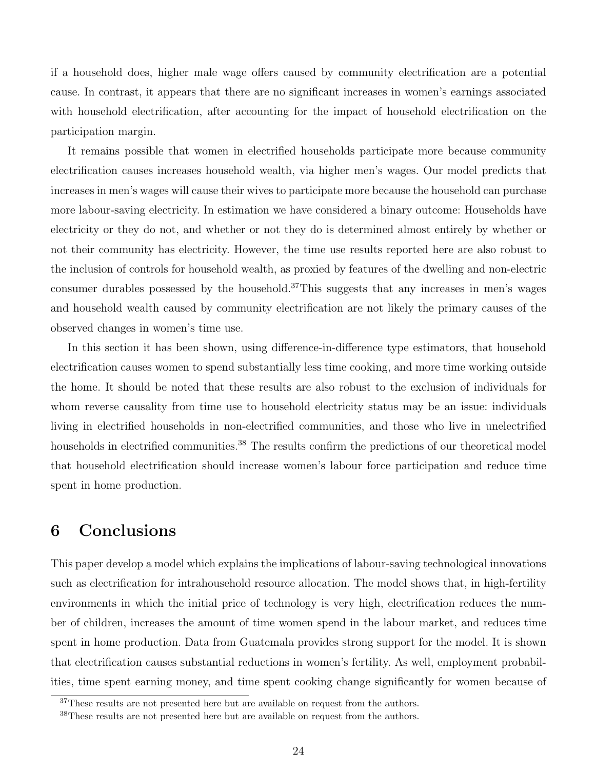if a household does, higher male wage offers caused by community electrification are a potential cause. In contrast, it appears that there are no significant increases in women's earnings associated with household electrification, after accounting for the impact of household electrification on the participation margin.

It remains possible that women in electrified households participate more because community electrification causes increases household wealth, via higher men's wages. Our model predicts that increases in men's wages will cause their wives to participate more because the household can purchase more labour-saving electricity. In estimation we have considered a binary outcome: Households have electricity or they do not, and whether or not they do is determined almost entirely by whether or not their community has electricity. However, the time use results reported here are also robust to the inclusion of controls for household wealth, as proxied by features of the dwelling and non-electric consumer durables possessed by the household.<sup>37</sup>This suggests that any increases in men's wages and household wealth caused by community electrification are not likely the primary causes of the observed changes in women's time use.

In this section it has been shown, using difference-in-difference type estimators, that household electrification causes women to spend substantially less time cooking, and more time working outside the home. It should be noted that these results are also robust to the exclusion of individuals for whom reverse causality from time use to household electricity status may be an issue: individuals living in electrified households in non-electrified communities, and those who live in unelectrified households in electrified communities.<sup>38</sup> The results confirm the predictions of our theoretical model that household electrification should increase women's labour force participation and reduce time spent in home production.

# 6 Conclusions

This paper develop a model which explains the implications of labour-saving technological innovations such as electrification for intrahousehold resource allocation. The model shows that, in high-fertility environments in which the initial price of technology is very high, electrification reduces the number of children, increases the amount of time women spend in the labour market, and reduces time spent in home production. Data from Guatemala provides strong support for the model. It is shown that electrification causes substantial reductions in women's fertility. As well, employment probabilities, time spent earning money, and time spent cooking change significantly for women because of

<sup>&</sup>lt;sup>37</sup>These results are not presented here but are available on request from the authors.

<sup>38</sup>These results are not presented here but are available on request from the authors.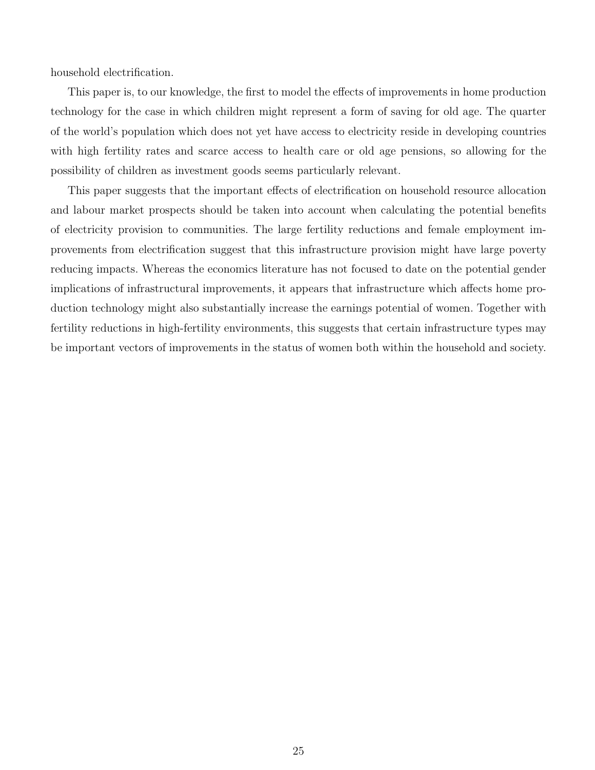household electrification.

This paper is, to our knowledge, the first to model the effects of improvements in home production technology for the case in which children might represent a form of saving for old age. The quarter of the world's population which does not yet have access to electricity reside in developing countries with high fertility rates and scarce access to health care or old age pensions, so allowing for the possibility of children as investment goods seems particularly relevant.

This paper suggests that the important effects of electrification on household resource allocation and labour market prospects should be taken into account when calculating the potential benefits of electricity provision to communities. The large fertility reductions and female employment improvements from electrification suggest that this infrastructure provision might have large poverty reducing impacts. Whereas the economics literature has not focused to date on the potential gender implications of infrastructural improvements, it appears that infrastructure which affects home production technology might also substantially increase the earnings potential of women. Together with fertility reductions in high-fertility environments, this suggests that certain infrastructure types may be important vectors of improvements in the status of women both within the household and society.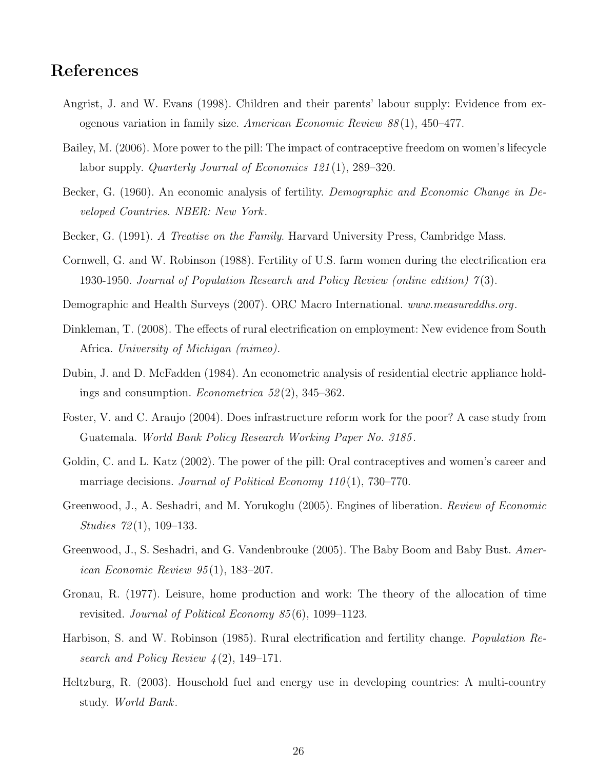# References

- Angrist, J. and W. Evans (1998). Children and their parents' labour supply: Evidence from exogenous variation in family size. American Economic Review  $88(1)$ , 450–477.
- Bailey, M. (2006). More power to the pill: The impact of contraceptive freedom on women's lifecycle labor supply. *Quarterly Journal of Economics 121*(1), 289–320.
- Becker, G. (1960). An economic analysis of fertility. Demographic and Economic Change in Developed Countries. NBER: New York.
- Becker, G. (1991). A Treatise on the Family. Harvard University Press, Cambridge Mass.
- Cornwell, G. and W. Robinson (1988). Fertility of U.S. farm women during the electrification era 1930-1950. Journal of Population Research and Policy Review (online edition) 7 (3).
- Demographic and Health Surveys (2007). ORC Macro International. www.measureddhs.org.
- Dinkleman, T. (2008). The effects of rural electrification on employment: New evidence from South Africa. University of Michigan (mimeo).
- Dubin, J. and D. McFadden (1984). An econometric analysis of residential electric appliance holdings and consumption. *Econometrica*  $52(2)$ ,  $345-362$ .
- Foster, V. and C. Araujo (2004). Does infrastructure reform work for the poor? A case study from Guatemala. World Bank Policy Research Working Paper No. 3185 .
- Goldin, C. and L. Katz (2002). The power of the pill: Oral contraceptives and women's career and marriage decisions. Journal of Political Economy  $110(1)$ , 730–770.
- Greenwood, J., A. Seshadri, and M. Yorukoglu (2005). Engines of liberation. Review of Economic Studies  $72(1)$ , 109–133.
- Greenwood, J., S. Seshadri, and G. Vandenbrouke (2005). The Baby Boom and Baby Bust. American Economic Review 95 (1), 183–207.
- Gronau, R. (1977). Leisure, home production and work: The theory of the allocation of time revisited. Journal of Political Economy 85 (6), 1099–1123.
- Harbison, S. and W. Robinson (1985). Rural electrification and fertility change. Population Research and Policy Review  $\mathcal{L}(2)$ , 149–171.
- Heltzburg, R. (2003). Household fuel and energy use in developing countries: A multi-country study. World Bank.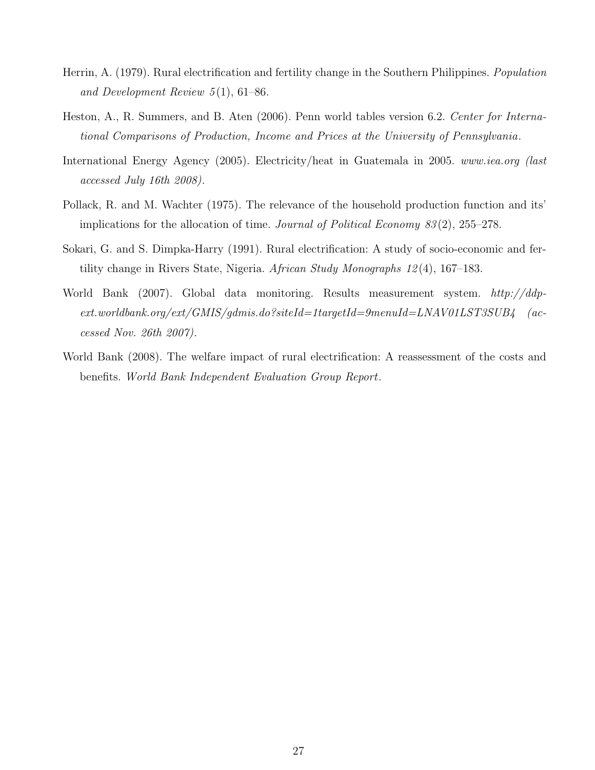- Herrin, A. (1979). Rural electrification and fertility change in the Southern Philippines. Population and Development Review  $5(1)$ , 61–86.
- Heston, A., R. Summers, and B. Aten (2006). Penn world tables version 6.2. Center for International Comparisons of Production, Income and Prices at the University of Pennsylvania.
- International Energy Agency (2005). Electricity/heat in Guatemala in 2005. www.iea.org (last accessed July 16th 2008).
- Pollack, R. and M. Wachter (1975). The relevance of the household production function and its' implications for the allocation of time. Journal of Political Economy  $83(2)$ , 255–278.
- Sokari, G. and S. Dimpka-Harry (1991). Rural electrification: A study of socio-economic and fertility change in Rivers State, Nigeria. African Study Monographs 12 (4), 167–183.
- World Bank (2007). Global data monitoring. Results measurement system. http://ddpext.worldbank.org/ext/GMIS/gdmis.do?siteId=1targetId=9menuId=LNAV01LST3SUB4 (accessed Nov. 26th 2007).
- World Bank (2008). The welfare impact of rural electrification: A reassessment of the costs and benefits. World Bank Independent Evaluation Group Report.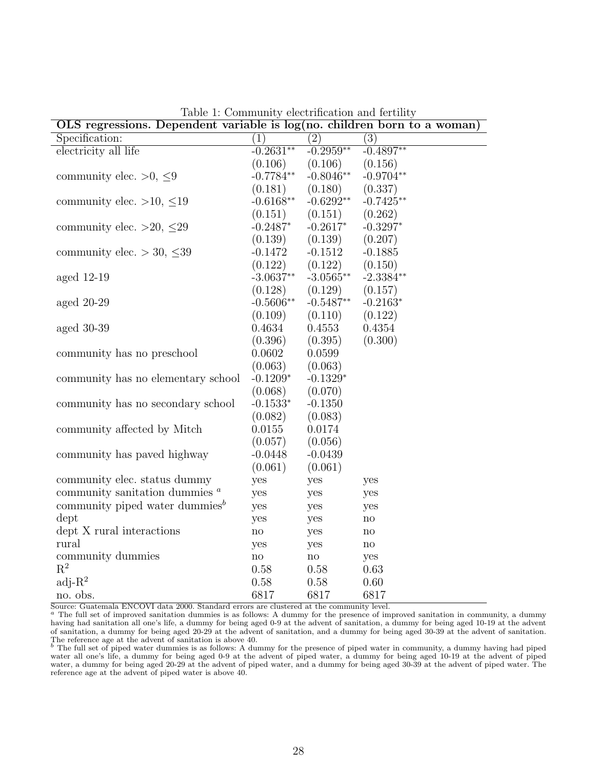| OLS regressions. Dependent variable is $log(no.$ children born to a woman) |                        |                  |                        |
|----------------------------------------------------------------------------|------------------------|------------------|------------------------|
| Specification:                                                             | $\overline{(1)}$       | $\overline{(2)}$ | $\overline{(3)}$       |
| electricity all life                                                       | $-0.2631**$            | $-0.2959**$      | $-0.4897**$            |
|                                                                            | (0.106)                | (0.106)          | (0.156)                |
| community elec. $>0, \leq 9$                                               | $-0.7784**$            | $-0.8046**$      | $-0.9704**$            |
|                                                                            | (0.181)                | (0.180)          | (0.337)                |
| community elec. >10, $\leq$ 19                                             | $-0.6168**$            | $-0.6292**$      | $-0.7425**$            |
|                                                                            | (0.151)                | (0.151)          | (0.262)                |
| community elec. >20, $\leq$ 29                                             | $-0.2487*$             | $-0.2617*$       | $-0.3297*$             |
|                                                                            | (0.139)                | (0.139)          | (0.207)                |
| community elec. $>$ 30, $\leq$ 39                                          | $-0.1472$              | $-0.1512$        | $-0.1885$              |
|                                                                            | (0.122)                | (0.122)          | (0.150)                |
| aged $12-19$                                                               | $-3.0637**$            | $-3.0565**$      | $-2.3384**$            |
|                                                                            | (0.128)                | (0.129)          | (0.157)                |
| aged $20-29$                                                               | $-0.5606**$            | $-0.5487**$      | $-0.2163*$             |
|                                                                            | (0.109)                | (0.110)          | (0.122)                |
| aged $30-39$                                                               | 0.4634                 | 0.4553           | 0.4354                 |
|                                                                            | (0.396)                | (0.395)          | (0.300)                |
| community has no preschool                                                 | 0.0602                 | 0.0599           |                        |
|                                                                            | (0.063)                | (0.063)          |                        |
| community has no elementary school                                         | $-0.1209*$             | $-0.1329*$       |                        |
|                                                                            | (0.068)                | (0.070)          |                        |
| community has no secondary school                                          | $-0.1533*$             | $-0.1350$        |                        |
|                                                                            | (0.082)                | (0.083)          |                        |
| community affected by Mitch                                                | 0.0155                 | 0.0174           |                        |
|                                                                            | (0.057)                | (0.056)          |                        |
| community has paved highway                                                | $-0.0448$              | $-0.0439$        |                        |
|                                                                            | (0.061)                | (0.061)          |                        |
| community elec. status dummy                                               | yes                    | yes              | yes                    |
| community sanitation dummies $a$                                           | yes                    | yes              | yes                    |
| community piped water dummies $^b$                                         | yes                    | yes              | yes                    |
| dept                                                                       | yes                    | yes              | no                     |
| dept X rural interactions                                                  | $\operatorname{no}$    | yes              | no                     |
| rural                                                                      | yes                    | yes              | $\mathop{\mathrm{no}}$ |
| community dummies                                                          | $\mathbf{n}\mathbf{o}$ | no               | yes                    |
| $\mathbf{R}^2$                                                             | 0.58                   | 0.58             | 0.63                   |
| $adj-R2$                                                                   | 0.58                   | 0.58             | 0.60                   |
| no. obs.                                                                   | 6817                   | 6817             | 6817                   |

Table 1: Community electrification and fertility

Source: Guatemala ENCOVI data 2000. Standard errors are clustered at the community level.

<sup>a</sup> The full set of improved sanitation dummies is as follows: A dummy for the presence of improved sanitation in community, a dummy having had sanitation all one's life, a dummy for being aged 0-9 at the advent of sanitation, a dummy for being aged 10-19 at the advent of sanitation, a dummy for being aged 20-29 at the advent of sanitation, and a dummy for being aged 30-39 at the advent of sanitation. The reference age at the advent of sanitation is above 40.<br><sup>b</sup> The full set of piped water dummies is as follows: A dummy for the presence of piped water in community, a dummy having had piped

water all one's life, a dummy for being aged 0-9 at the advent of piped water, a dummy for being aged 10-19 at the advent of piped water, a dummy for being aged 20-29 at the advent of piped water, and a dummy for being aged 30-39 at the advent of piped water. The reference age at the advent of piped water is above 40.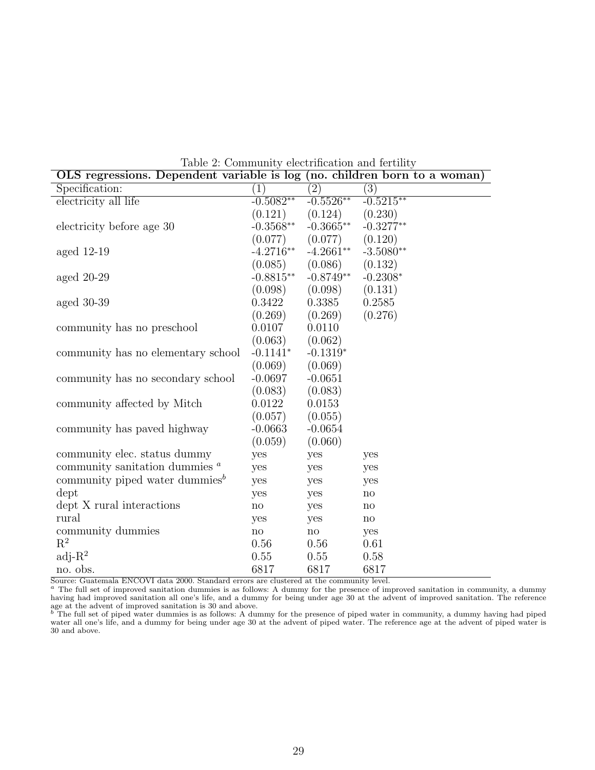| OLS regressions. Dependent variable is log (no. children born to a woman) |                        |                     |                        |
|---------------------------------------------------------------------------|------------------------|---------------------|------------------------|
| Specification:                                                            | (1)                    | $\overline{(2)}$    | $\overline{(3)}$       |
| electricity all life                                                      | $-0.5082**$            | $-0.5526**$         | $-0.5215**$            |
|                                                                           | (0.121)                | (0.124)             | (0.230)                |
| electricity before age 30                                                 | $-0.3568**$            | $-0.3665**$         | $-0.3277**$            |
|                                                                           | (0.077)                | (0.077)             | (0.120)                |
| aged $12-19$                                                              | $-4.2716**$            | $-4.2661**$         | $-3.5080**$            |
|                                                                           | (0.085)                | (0.086)             | (0.132)                |
| aged $20-29$                                                              | $-0.8815**$            | $-0.8749**$         | $-0.2308*$             |
|                                                                           | (0.098)                | (0.098)             | (0.131)                |
| aged $30-39$                                                              | 0.3422                 | 0.3385              | 0.2585                 |
|                                                                           | (0.269)                | (0.269)             | (0.276)                |
| community has no preschool                                                | 0.0107                 | 0.0110              |                        |
|                                                                           | (0.063)                | (0.062)             |                        |
| community has no elementary school                                        | $-0.1141*$             | $-0.1319*$          |                        |
|                                                                           | (0.069)                | (0.069)             |                        |
| community has no secondary school                                         | $-0.0697$              | $-0.0651$           |                        |
|                                                                           | (0.083)                | (0.083)             |                        |
| community affected by Mitch                                               | 0.0122                 | 0.0153              |                        |
|                                                                           | (0.057)                | (0.055)             |                        |
| community has paved highway                                               | $-0.0663$              | $-0.0654$           |                        |
|                                                                           | (0.059)                | (0.060)             |                        |
| community elec. status dummy                                              | yes                    | yes                 | yes                    |
| community sanitation dummies $a$                                          | yes                    | yes                 | yes                    |
| community piped water dummies <sup><math>b</math></sup>                   | yes                    | yes                 | yes                    |
| dept                                                                      | yes                    | yes                 | $\mathop{\mathrm{no}}$ |
| dept X rural interactions                                                 | $\mathop{\mathrm{no}}$ | yes                 | no                     |
| rural                                                                     | yes                    | yes                 | $\mathop{\mathrm{no}}$ |
| community dummies                                                         | $\operatorname{no}$    | $\operatorname{no}$ | yes                    |
| $\mathbf{R}^2$                                                            | 0.56                   | 0.56                | 0.61                   |
| $adj-R2$                                                                  | 0.55                   | 0.55                | 0.58                   |
| no. obs.                                                                  | 6817                   | 6817                | 6817                   |

Table 2: Community electrification and fertility

Source: Guatemala ENCOVI data 2000. Standard errors are clustered at the community level.<br><sup>a</sup> The full set of improved sanitation dummies is as follows: A dummy for the presence of improved sanitation in community, a dummy having had improved sanitation all one's life, and a dummy for being under age 30 at the advent of improved sanitation. The reference

age at the advent of improved sanitation is 30 and above.<br><sup>b</sup> The full set of piped water dummies is as follows: A dummy for the presence of piped water in community, a dummy having had piped water all one's life, and a dummy for being under age 30 at the advent of piped water. The reference age at the advent of piped water is 30 and above.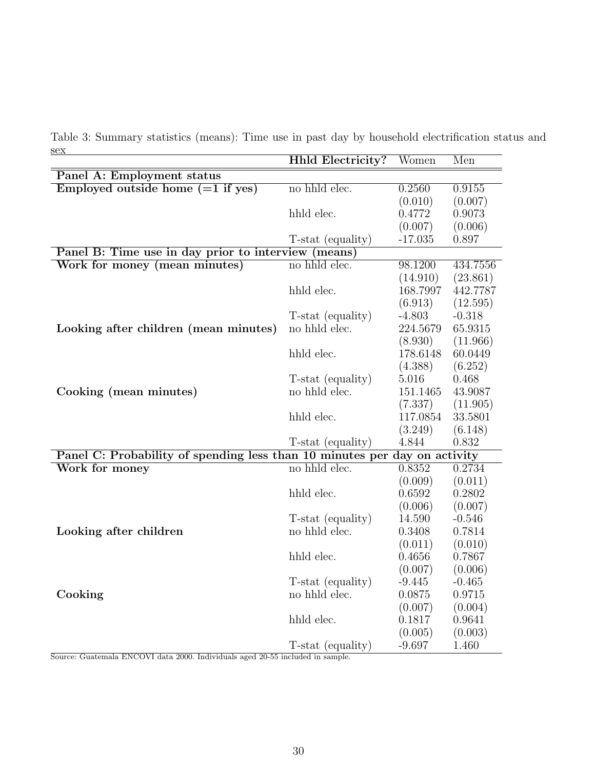|                      | Table 3: Summary statistics (means): Time use in past day by household electrification status and |  |  |  |                                                        |  |  |
|----------------------|---------------------------------------------------------------------------------------------------|--|--|--|--------------------------------------------------------|--|--|
| $\operatorname{sex}$ |                                                                                                   |  |  |  |                                                        |  |  |
|                      |                                                                                                   |  |  |  | $Hbld$ Floatnights? $W_{\text{c}}$ More $M_{\text{c}}$ |  |  |

|                                                                           | HNIC Electricity: | women             | men                 |
|---------------------------------------------------------------------------|-------------------|-------------------|---------------------|
| Panel A: Employment status                                                |                   |                   |                     |
| Employed outside home $(=1$ if yes)                                       | no hhld elec.     | 0.2560            | 0.9155              |
|                                                                           |                   | (0.010)           | (0.007)             |
|                                                                           | hhld elec.        | 0.4772            | 0.9073              |
|                                                                           |                   | (0.007)           | (0.006)             |
|                                                                           | T-stat (equality) | $-17.035$         | 0.897               |
| Panel B: Time use in day prior to interview (means)                       |                   |                   |                     |
| Work for money (mean minutes)                                             | no hhld elec.     | 98.1200           | 434.7556            |
|                                                                           |                   | (14.910)          | (23.861)            |
|                                                                           | hhld elec.        | 168.7997          | 442.7787            |
|                                                                           |                   | (6.913)           | (12.595)            |
|                                                                           | T-stat (equality) | $-4.803$          | $-0.318$            |
| Looking after children (mean minutes)                                     | no hhld elec.     | 224.5679          | 65.9315             |
|                                                                           |                   | (8.930)           | (11.966)            |
|                                                                           | hhld elec.        | 178.6148          | 60.0449             |
|                                                                           |                   | (4.388)           | (6.252)             |
|                                                                           | T-stat (equality) | 5.016             | 0.468               |
| Cooking (mean minutes)                                                    | no hhld elec.     | 151.1465          | 43.9087             |
|                                                                           |                   | (7.337)           | (11.905)            |
|                                                                           | hhld elec.        | 117.0854          | 33.5801             |
|                                                                           |                   | (3.249)           | (6.148)             |
|                                                                           | T-stat (equality) | 4.844             | 0.832               |
| Panel C: Probability of spending less than 10 minutes per day on activity | no hhld elec.     |                   |                     |
| Work for money                                                            |                   | 0.8352            | 0.2734              |
|                                                                           |                   | (0.009)           | (0.011)             |
|                                                                           | hhld elec.        | 0.6592            | 0.2802              |
|                                                                           | T-stat (equality) | (0.006)<br>14.590 | (0.007)<br>$-0.546$ |
| Looking after children                                                    | no hhld elec.     | 0.3408            | 0.7814              |
|                                                                           |                   | (0.011)           | (0.010)             |
|                                                                           | hhld elec.        | 0.4656            | 0.7867              |
|                                                                           |                   | (0.007)           | (0.006)             |
|                                                                           | T-stat (equality) | $-9.445$          | $-0.465$            |
| Cooking                                                                   | no hhld elec.     | 0.0875            | 0.9715              |
|                                                                           |                   | (0.007)           | (0.004)             |
|                                                                           | hhld elec.        | 0.1817            | 0.9641              |
|                                                                           |                   | (0.005)           | (0.003)             |
|                                                                           | T-stat (equality) | $-9.697$          | 1.460               |
| 00 F                                                                      |                   |                   |                     |

Source: Guatemala ENCOVI data 2000. Individuals aged 20-55 included in sample.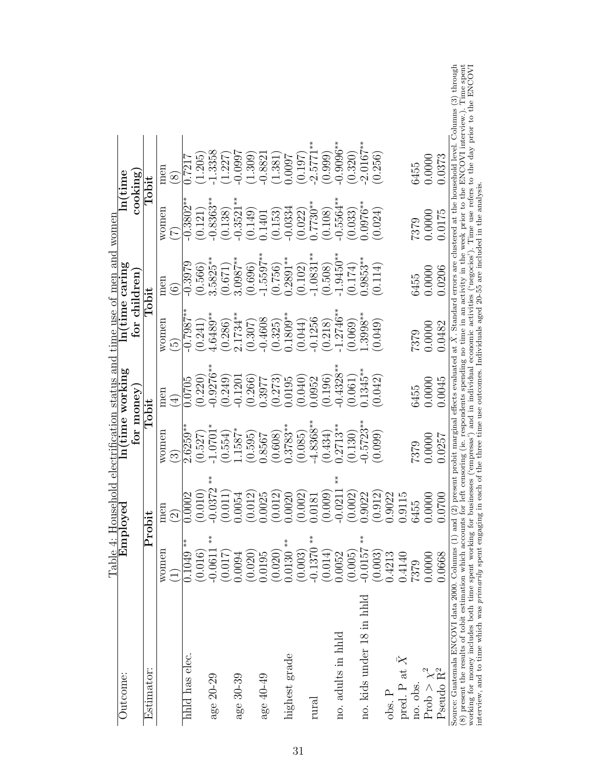| Outcome:                                                                                                                                                                                                                                                                         | Table 4:                  | Household electrification status and time use of men and<br>Employed |              | In(time working |                            | $ln(time\ caring$ | women       | $\ln(\text{time}$                                                                                                            |  |
|----------------------------------------------------------------------------------------------------------------------------------------------------------------------------------------------------------------------------------------------------------------------------------|---------------------------|----------------------------------------------------------------------|--------------|-----------------|----------------------------|-------------------|-------------|------------------------------------------------------------------------------------------------------------------------------|--|
|                                                                                                                                                                                                                                                                                  |                           |                                                                      | for money    |                 | for children               |                   | cooking     |                                                                                                                              |  |
| Estimator                                                                                                                                                                                                                                                                        | $\mathbf{P}_{\mathbf{I}}$ | robit                                                                |              | ${\rm Tobit}$   |                            | $\rm Tobit$       |             | ${\rm Tohit}$                                                                                                                |  |
|                                                                                                                                                                                                                                                                                  | women                     | men                                                                  | women        | men             | women                      | men               | women       | men                                                                                                                          |  |
|                                                                                                                                                                                                                                                                                  |                           | $\widehat{(\mathbf{2})}$                                             | $\infty$     | $\bigoplus$     | $\widetilde{\mathfrak{c}}$ | $\widehat{\odot}$ | $\vec{A}$   | $\bigcirc$                                                                                                                   |  |
| hhld has elec.                                                                                                                                                                                                                                                                   | $0.1049**$                | 0.0002                                                               | $2.6259*$    | 0.0705          | $0.7887$ <sup>**</sup>     | $-0.3979$         | $-0.3802**$ | 0.7217                                                                                                                       |  |
|                                                                                                                                                                                                                                                                                  | (0.016)                   | 0.010                                                                | (0.527)      | (0.220)         | (0.241)                    | (0.566)           | (0.121)     | 1.205                                                                                                                        |  |
| age 20-29                                                                                                                                                                                                                                                                        | $-0.0611***$              | $*_*$<br>0.0372                                                      | $1.0701*$    | $0.9276***$     | $1.6489**$                 | 1.5825**          | $0.8363***$ | 1.3358                                                                                                                       |  |
|                                                                                                                                                                                                                                                                                  | (0.017)                   | 0.011                                                                | (1.554)      | (0.249)         | (0.286)                    | (0.671)           | (0.138)     | 1.227                                                                                                                        |  |
| age 30-39                                                                                                                                                                                                                                                                        | 0094.                     | 1.0054                                                               | $.1587*$     | 0.1201          | $2.1734**$                 | $3.0987***$       | $0.3521***$ | $-0.0997$                                                                                                                    |  |
|                                                                                                                                                                                                                                                                                  | (0.020)                   | 0.012                                                                | (0.595)      | (0.266)         | (0.307)                    | (0.696)           | (0.149)     | 1.309                                                                                                                        |  |
| age 40-49                                                                                                                                                                                                                                                                        | 0.0195                    | 0.0025                                                               | 0.8567       | 1.3977          | $-0.4608$                  | $1.5597***$       | 1.1401      | $-0.8821$                                                                                                                    |  |
|                                                                                                                                                                                                                                                                                  | (0.020)                   | 0.012                                                                | (0.608)      | (0.273)         | (0.325)                    | (0.756)           | (0.153)     | 1.381                                                                                                                        |  |
| highest grade                                                                                                                                                                                                                                                                    | $0.0130**$                | 0020                                                                 | $0.3783**$   | 1.0195          | $0.1809**$                 | $0.2891**$        | $-0.0334$   | 1600:0                                                                                                                       |  |
|                                                                                                                                                                                                                                                                                  | (0.003)                   | (0.002)                                                              | (0.085)      | (0.040)         | (0.044)                    | (0.102)           | (0.022)     | (197)                                                                                                                        |  |
| rural                                                                                                                                                                                                                                                                            | $-0.1370$ **              | 1.0181                                                               | $-4.8368***$ | 1.0952          | $-0.1256$                  | $1.0831***$       | $-7730**$   | $-2.5771$                                                                                                                    |  |
|                                                                                                                                                                                                                                                                                  | (0.014)                   | 0.009                                                                | (0.434)      | (0.196)         | $(0.218)$<br>$-1.2746**$   | (0.508)           | (0.108)     | (0.999)                                                                                                                      |  |
| no. adults in hhld                                                                                                                                                                                                                                                               | 0.0052                    | $*$<br>0.021                                                         | $0.2713**$   | $0.4328***$     |                            | $1.9450***$       | $0.5564**$  | $0.9096**$                                                                                                                   |  |
|                                                                                                                                                                                                                                                                                  | (0.005)                   | (0.002)                                                              | (0.130)      | (0.061)         | (0.069)                    | (0.174)           | (0.033)     | (0.320)                                                                                                                      |  |
| no. kids under 18 in hhld                                                                                                                                                                                                                                                        | $-0.0157$ **              | 1.9022                                                               | $0.5723**$   | $.1345***$      | $1.3998***$                | $0.9853***$       | $0.0976**$  | $2.0167**$                                                                                                                   |  |
|                                                                                                                                                                                                                                                                                  | (0.003)                   | 0.912                                                                | (0.099)      | (0.042)         | (0.049)                    | (0.114)           | (0.024)     | (0.256)                                                                                                                      |  |
| $obs.$ P                                                                                                                                                                                                                                                                         | 0.4213                    | 0.9022                                                               |              |                 |                            |                   |             |                                                                                                                              |  |
| pred. P at $\bar{X}$                                                                                                                                                                                                                                                             | 0.4140                    | 0.9115                                                               |              |                 |                            |                   |             |                                                                                                                              |  |
| no. obs.                                                                                                                                                                                                                                                                         | 7379                      | 6455                                                                 | 7379         | 6455            | 7379                       | 6455              | 7379        | 6455                                                                                                                         |  |
| Prob $\chi^2$                                                                                                                                                                                                                                                                    | 0.0000                    | 0.0000                                                               | 0.0000       | 0.0000          | 0.0000                     | 0.0000            | 0.0000      | 0.0000                                                                                                                       |  |
| Pseudo $\rm R^2$                                                                                                                                                                                                                                                                 | 0.0668                    | 0.0700                                                               | 0.0257       | 0.0045          | 0.0482                     | 0.0206            | 0.0175      | 0.0373                                                                                                                       |  |
| (8) present the results of tobit estimation which accounts for left censoring (ie. respondents spending no time in an activity in the week prior to the ENCOVI interview.). The working for money includes both time spent wo<br>Source: Guatemala ENCOVI data 2000. Columns (1) |                           |                                                                      |              |                 |                            |                   |             | and (2) present probit marginal effects evaluated at $X$ . Standard errors are clustered at the household level. Columns (3) |  |

 $3)$  through Time spent  $\frac{1}{2}$  ENCOVI Source: Guatemala ENCOVI data 2000. Columns (1) and (2) present probit marginal effects evaluated at  $\bar{X}$ . Standard errors are clustered at the household level. Columns (3) through (8) present the results of tobit estimation which accounts for left censoring (ie. respondents spending no time in an activity in the week prior to the ENCOVI interview.). Time spent working for money includes both time spent working for businesses ('empresas') and in individual economic activities ('negocios'). Time use refers to the day prior to the ENCOVI Source: Guatemala ENCOVI data 2000. Columns (1) and (4) presencent (ie. respondents spending no unie in exercence: Capital and refers to (8) present the results of tobit estimation which accounts for left censoring (ie. r interview, and to time which was primarily spent engaging in each of the three time use outcomes. Individuals aged 20-55 are included in the analysis.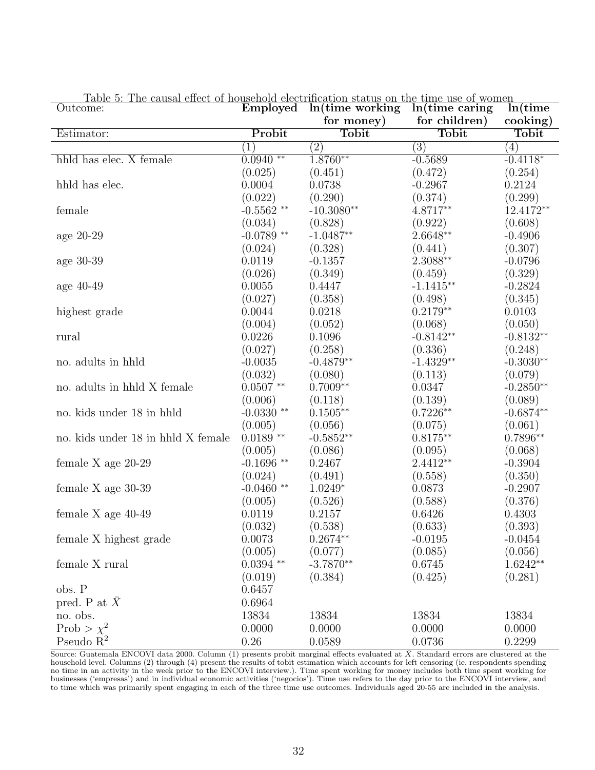| $10010$ $0.110$ causal<br>Outcome: | Employed               | rom pedegas on enc<br>$ln(t)$ ime working | 1110 UNU OI<br>$\cdots$<br>In (time caring | ln(time     |
|------------------------------------|------------------------|-------------------------------------------|--------------------------------------------|-------------|
|                                    |                        | for money)                                | for children)                              | cooking)    |
| Estimator:                         | Probit                 | <b>Tobit</b>                              | <b>Tobit</b>                               | Tobit       |
|                                    | $\left( 1\right)$      | $\left( 2\right)$                         | $\left( 3\right)$                          | (4)         |
| hhld has elec. X female            | $0.0940$ **            | $1.8760**$                                | $-0.5689$                                  | $-0.4118*$  |
|                                    | (0.025)                | (0.451)                                   | (0.472)                                    | (0.254)     |
| hhld has elec.                     | 0.0004                 | 0.0738                                    | $-0.2967$                                  | 0.2124      |
|                                    | (0.022)                | (0.290)                                   | (0.374)                                    | (0.299)     |
| female                             | $-0.5562$ **           | $-10.3080**$                              | 4.8717**                                   | 12.4172**   |
|                                    | (0.034)                | (0.828)                                   | (0.922)                                    | (0.608)     |
| age 20-29                          | $-0.0789$ **           | $-1.0487**$                               | $2.6648^{\ast\ast}$                        | $-0.4906$   |
|                                    | (0.024)                | (0.328)                                   | (0.441)                                    | (0.307)     |
| age 30-39                          | 0.0119                 | $-0.1357$                                 | $2.3088^{\ast\ast}$                        | $-0.0796$   |
|                                    | (0.026)                | (0.349)                                   | (0.459)                                    | (0.329)     |
| age 40-49                          | 0.0055                 | 0.4447                                    | $-1.1415**$                                | $-0.2824$   |
|                                    | (0.027)                | (0.358)                                   | (0.498)                                    | (0.345)     |
| highest grade                      | 0.0044                 | 0.0218                                    | $0.2179**$                                 | 0.0103      |
|                                    | (0.004)                | (0.052)                                   | (0.068)                                    | (0.050)     |
| rural                              | 0.0226                 | 0.1096                                    | $-0.8142**$                                | $-0.8132**$ |
|                                    | (0.027)                | (0.258)                                   | (0.336)                                    | (0.248)     |
| no. adults in hhld                 | $-0.0035$              | $-0.4879**$                               | $-1.4329**$                                | $-0.3030**$ |
|                                    | (0.032)                | (0.080)                                   | (0.113)                                    | (0.079)     |
| no. adults in hhld X female        | $0.0507$ **            | $0.7009**$                                | 0.0347                                     | $-0.2850**$ |
|                                    | (0.006)                | (0.118)                                   | (0.139)                                    | (0.089)     |
| no. kids under 18 in hhld          | $-0.0330$ **           | $0.1505**$                                | $0.7226**$                                 | $-0.6874**$ |
|                                    | (0.005)                | (0.056)                                   | (0.075)                                    | (0.061)     |
| no. kids under 18 in hhld X female | $0.0189$ **            | $-0.5852**$                               | $0.8175**$                                 | $0.7896**$  |
|                                    | (0.005)                | (0.086)                                   | (0.095)                                    | (0.068)     |
| female $X$ age 20-29               | $-0.1696$ **           | 0.2467                                    | $2.4412**$                                 | $-0.3904$   |
|                                    | (0.024)                | (0.491)                                   | (0.558)                                    | (0.350)     |
| female $X$ age 30-39               | $-0.0460$ **           | $1.0249*$                                 | 0.0873                                     | $-0.2907$   |
|                                    | (0.005)                | (0.526)                                   | (0.588)                                    | (0.376)     |
| female $X$ age 40-49               | 0.0119                 | 0.2157                                    | 0.6426                                     | 0.4303      |
|                                    | (0.032)                | (0.538)                                   | (0.633)                                    | (0.393)     |
| female X highest grade             | 0.0073                 | $0.2674**$                                | $-0.0195$                                  | $-0.0454$   |
|                                    | (0.005)                | (0.077)                                   | (0.085)                                    | (0.056)     |
| female X rural                     | $0.0394$ $^{\ast\ast}$ | $-3.7870**$                               | 0.6745                                     | $1.6242**$  |
|                                    | (0.019)                | (0.384)                                   | (0.425)                                    | (0.281)     |
| obs. P                             | 0.6457                 |                                           |                                            |             |
| pred. P at $X$                     | 0.6964                 |                                           |                                            |             |
| no. obs.                           | 13834                  | 13834                                     | 13834                                      | 13834       |
| Prob > $\chi^2$                    | 0.0000                 | 0.0000                                    | 0.0000                                     | 0.0000      |
| Pseudo $R^2$                       | 0.26                   | 0.0589                                    | 0.0736                                     | 0.2299      |

Table 5: The causal effect of household electrification status on the time use of women

Source: Guatemala ENCOVI data 2000. Column (1) presents probit marginal effects evaluated at  $\bar{X}$ . Standard errors are clustered at the household level. Columns (2) through (4) present the results of tobit estimation which accounts for left censoring (ie. respondents spending no time in an activity in the week prior to the ENCOVI interview.). Time spent working for money includes both time spent working for businesses ('empresas') and in individual economic activities ('negocios'). Time use refers to the day prior to the ENCOVI interview, and to time which was primarily spent engaging in each of the three time use outcomes. Individuals aged 20-55 are included in the analysis.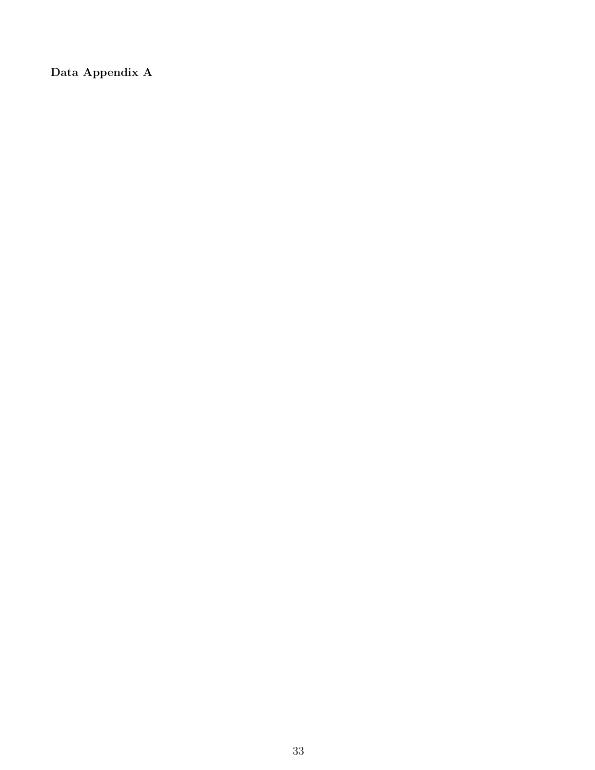Data Appendix A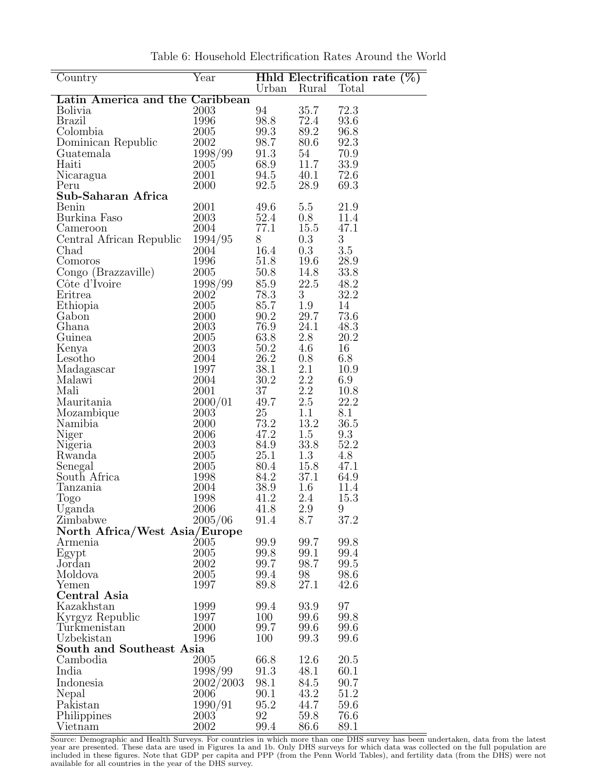| Country                         | Year         |              |                   | Hhld Electrification rate $(\%)$ |
|---------------------------------|--------------|--------------|-------------------|----------------------------------|
|                                 |              | Urban Rural  |                   | Total                            |
| Latin America and the Caribbean |              |              |                   |                                  |
| <b>Bolivia</b>                  | $\,2003\,$   | 94           | 35.7              | 72.3                             |
| <b>Brazil</b>                   | 1996         | 98.8         | 72.4              | 93.6                             |
| Colombia                        | 2005         | 99.3         | 89.2              | 96.8                             |
| Dominican Republic              | 2002         | 98.7         | 80.6              | 92.3                             |
| Guatemala                       | $1998/99$    | 91.3         | 54                | 70.9                             |
| Haiti                           | 2005         | 68.9         | 11.7              | 33.9                             |
| Nicaragua                       | 2001         | 94.5         | 40.1              | 72.6                             |
| Peru                            | 2000         | 92.5         | 28.9              | 69.3                             |
| Sub-Saharan Africa              |              |              |                   |                                  |
| Benin                           | 2001         | 49.6         | 5.5               | 21.9                             |
| Burkina Faso                    | 2003         | 52.4         | 0.8               | 11.4                             |
| Cameroon                        | 2004         | 77.1         | 15.5              | 47.1                             |
| Central African Republic        | 1994/95      | 8            | 0.3               | $\overline{3}$                   |
| Chad                            | 2004         | 16.4         | $0.3\,$           | $3.5\,$                          |
| Comoros                         | 1996         | 51.8         | 19.6              | 28.9                             |
| Congo (Brazzaville)             | 2005         | 50.8         | 14.8              | 33.8                             |
| Côte d'Ivoire                   | 1998/99      | 85.9         | 22.5              | 48.2                             |
| Eritrea                         | 2002         | 78.3         | 3 <sup>1</sup>    | 32.2                             |
| Ethiopia                        | 2005         | 85.7         | 1.9               | 14                               |
| Gabon                           | 2000         | 90.2         | 29.7              | 73.6                             |
| Ghana                           | 2003         | 76.9         | 24.1              | 48.3                             |
| Guinea                          | 2005         | 63.8         | 2.8               | 20.2                             |
|                                 | 2003         | 50.2         | 4.6               | 16                               |
| Kenya<br>Lesotho                | 2004         | 26.2         | 0.8               | 6.8                              |
|                                 | 1997         | 38.1         | 2.1               | 10.9                             |
| Madagascar<br>Malawi            | 2004         | 30.2         |                   | 6.9                              |
| Mali                            | 2001         | 37           | $\frac{2.2}{2.2}$ | 10.8                             |
|                                 |              | 49.7         |                   | 22.2                             |
| Mauritania                      | 2000/01      |              | 2.5               |                                  |
| Mozambique                      | 2003         | 25           | 1.1               | 8.1                              |
| Namibia                         | 2000         | 73.2<br>47.2 | 13.2<br>1.5       | 36.5                             |
| Niger                           | 2006<br>2003 | 84.9         | 33.8              | 9.3<br>52.2                      |
| Nigeria                         | 2005         | 25.1         | 1.3               |                                  |
| Rwanda                          | 2005         | 80.4         | 15.8              | 4.8<br>47.1                      |
| Senegal<br>South Africa         | 1998         | 84.2         | 37.1              | 64.9                             |
| Tanzania                        | 2004         | 38.9         | $1.6\,$           | 11.4                             |
| Togo                            | 1998         | 41.2         | 2.4               | 15.3                             |
| Uganda                          | 2006         | 41.8         | 2.9               | 9                                |
| Zimbabwe                        | 2005/06      | 91.4         | 8.7               | 37.2                             |
|                                 |              |              |                   |                                  |
| North Africa/West Asia/Europe   |              |              |                   |                                  |
| Armenia                         | $\; 2005$    | 99.9         | 99.7              | 99.8                             |
| Egypt                           | 2005         | 99.8         | 99.1              | 99.4                             |
| Jordan                          | 2002         | 99.7         | 98.7              | 99.5                             |
| Moldova                         | 2005         | 99.4         | 98                | 98.6                             |
| Yemen                           | 1997         | 89.8         | 27.1              | 42.6                             |
| Central Asia                    |              |              |                   |                                  |
| Kazakhstan                      | 1999         | 99.4         | 93.9              | 97                               |
| Kyrgyz Republic                 | 1997         | 100          | 99.6              | 99.8                             |
| Turkmenistan                    | 2000         | 99.7         | 99.6              | 99.6                             |
| Uzbekistan                      | 1996         | 100          | 99.3              | 99.6                             |
| South and Southeast Asia        |              |              |                   |                                  |
| Cambodia                        | 2005         | 66.8         | 12.6              | 20.5                             |
| India                           | 1998/99      | 91.3         | 48.1              | 60.1                             |
| Indonesia                       | 2002/2003    | 98.1         | 84.5              | 90.7                             |
| Nepal                           | 2006         | 90.1         | 43.2              | 51.2                             |
| Pakistan                        | 1990/91      | 95.2         | 44.7              | 59.6                             |
| Philippines                     | 2003         | 92           | 59.8              | 76.6                             |
| Vietnam                         | 2002         | 99.4         | 86.6              | 89.1                             |

Table 6: Household Electrification Rates Around the World

Source: Demographic and Health Surveys. For countries in which more than one DHS survey has been undertaken, data from the latest year are presented. These data are used in Figures 1a and 1b. Only DHS surveys for which data was collected on the full population are included in these figures. Note that GDP per capita and PPP (from the Penn World Tables), and fertility data (from the DHS) were not available for all countries in the year of the DHS survey.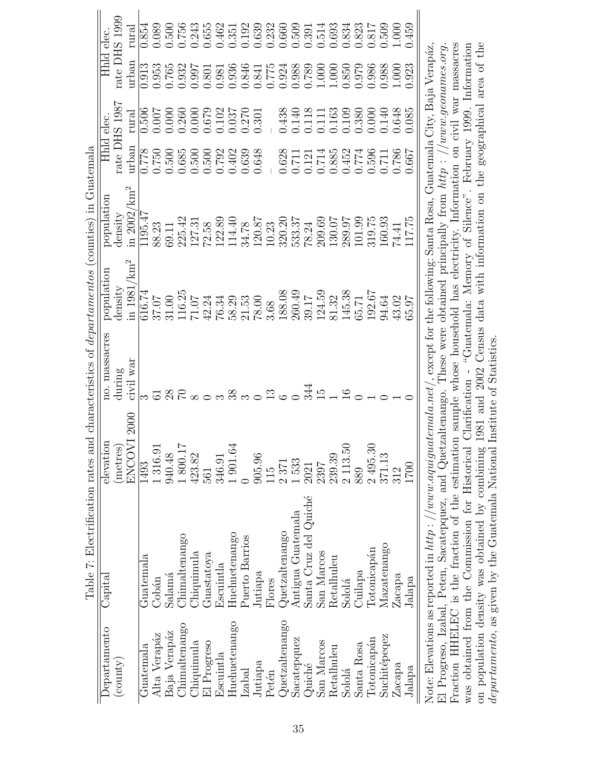|                              | Table 7: Electrification rates and characteristics of <i>departamentos</i> (counties) in Guatemala                                       |               |               |                         |                                                                                                                       |                                                       |                     |               |       |
|------------------------------|------------------------------------------------------------------------------------------------------------------------------------------|---------------|---------------|-------------------------|-----------------------------------------------------------------------------------------------------------------------|-------------------------------------------------------|---------------------|---------------|-------|
| <b>Departamento</b>          | Capital                                                                                                                                  | elevation     | no. massacres | population              | population                                                                                                            | Hhld elec.                                            |                     | Hhld elec.    |       |
| $\left(\text{county}\right)$ |                                                                                                                                          | (metres)      | during        | density                 | density                                                                                                               | rate DHS 198                                          |                     | rate DHS 1999 |       |
|                              |                                                                                                                                          | 2000<br>ENCOV | war<br>civil  | in $1981/\mathrm{km}^2$ | in $2002/\text{km}^2$                                                                                                 | urban                                                 | rura                | urban         | rural |
| Guatemala                    | Guatemala                                                                                                                                | 1493          |               | 616.74                  | 1195.47                                                                                                               |                                                       | 0.506               | 0.913         | 0.854 |
| Alta Verapáz                 | Cobán                                                                                                                                    | 1316.91       |               | 37.07                   | 88.23                                                                                                                 | 0.750                                                 | 0.007               | 0.953         | 0.089 |
| Baja Verapáz                 | Salamá                                                                                                                                   | 940.48        |               | 31.00                   | 69.11                                                                                                                 | 0.500                                                 | 0.000               | 0.765         | 0.500 |
| Chimaltenango                | Chimaltenango                                                                                                                            | 1800.17       |               | 116.25                  | 225.42                                                                                                                | 0.685                                                 | 0.260               | 0.932         | 0.756 |
| Chiquimula                   | Chiquimula                                                                                                                               | 423.82        |               | 70.17                   | 127.31                                                                                                                | 0.500                                                 | 0.000               | 0.997         | 0.243 |
| El Progreso                  | Guastatoya                                                                                                                               | 561           |               | 42.24                   | 72.58                                                                                                                 | 0.500                                                 | 0.679               | 0.801         | 0.655 |
| Escuintla                    | Escuintla                                                                                                                                | 346.91        |               | 76.34                   | 122.89                                                                                                                | 0.792                                                 | 0.102               | 0.981         | 0.462 |
| Huehuetenango                | Huehuetenango                                                                                                                            | .901.64       | 38            | 58.29                   | 114.40                                                                                                                | 0.402                                                 | $0.037\,$           | 0.936         | 0.351 |
| Izabal                       | Puerto Barrios                                                                                                                           |               |               | 21.53                   | 34.78                                                                                                                 | 0.639                                                 | 0.270               | 0.846         | 0.192 |
| Jutiapa                      | Jutiapa                                                                                                                                  | 905.96        |               | 78.00                   | 120.87                                                                                                                | 0.648                                                 | 0.301               | 0.841         | 0.639 |
| Petén                        | Flores                                                                                                                                   | 15            | $\frac{3}{1}$ | 3.68                    | 10.23                                                                                                                 |                                                       |                     | 0.775         | 0.232 |
| Quetzaltenango               | Quetzaltenango                                                                                                                           | 2371          |               | 188.08                  | 320.20                                                                                                                | 0.628                                                 | 0.438               | 0.924         | 0.660 |
| Sacatepquez                  | Antigua Guatemala                                                                                                                        | 1533          |               | 260.49                  | 533.37                                                                                                                |                                                       | 0.140               | 0.988         | 0.509 |
| Quiché                       | Santa Cruz del Quiché                                                                                                                    | 2021          | 344           | 39.17                   | 78.24                                                                                                                 | $\!\!\!\begin{array}{c}0.711\\0.121\end{array}\!\!\!$ | 0.118               | 0.789         | 0.391 |
| San Marcos                   | San Marcos                                                                                                                               | 2397          | $\vec{r}$     | 124.59                  | 209.69                                                                                                                | 0.714                                                 | 0.111               | 1.000         | 0.514 |
| Retalhuleu                   | Retalhuleu                                                                                                                               | 239.39        |               | 81.32                   | 130.07                                                                                                                | 0.885                                                 | $0.163\,$           | 1.000         | 0.693 |
| Sololá                       | Sololá                                                                                                                                   | 2 113.50      |               | 145.38                  | 289.97                                                                                                                | 0.452                                                 | 0.109               | 0.850         | 0.834 |
| Santa Rosa                   | Cuilapa                                                                                                                                  | 889           |               | 65.71                   | 101.99                                                                                                                | $0.774\,$                                             | 0.380               | 0.979         | 0.823 |
| Totonicapán                  | Totonicapán                                                                                                                              | 2495.30       |               | 192.67                  | 319.75                                                                                                                | 0.596                                                 | 0.000               | 0.986         | 0.817 |
| Suchitépeqez                 | Mazatenango                                                                                                                              | 371.13        |               | 94.64                   | 160.93                                                                                                                | 0.711                                                 | 0.140               | 0.988         | 0.509 |
| Zacapa                       | Zacapa                                                                                                                                   | 312           |               | 43.02                   | 74.41                                                                                                                 | 0.786                                                 | 0.648               | 1.000         | 000.1 |
| Jalapa                       | Jalapa                                                                                                                                   | 1700          |               | 60<br>53                | 117.75                                                                                                                | 500.                                                  | 0.085               | 0.923         | 459   |
|                              | Note: Elevations as reported in $\hbar t t p$ : //www.aquiguatemala.net/<br>El Progreso, Izabal, Peten, Sacatepquez, and Quetzaltenango. |               |               |                         | These were obtained principally from $http://www.geonames.org$<br>, except for the following: Santa Rosa, Guatemala ( |                                                       | City, Baja Verapáz, |               |       |
|                              | Fraction HHELEC is the fraction of the estimation sample whose household has electricity. Information on civil war massacres             |               |               |                         |                                                                                                                       |                                                       |                     |               |       |

was obtained from the Commission for Historical Clarification - "Guatemala: Memory of Silence". February 1999. Information<br>on population density was obtained by combining 1981 and 2002 Census data with information on the g was obtained from the Commission for Historical Clarification - "Guatemala: Memory of Silence". February 1999. Information on population density was obtained by combining 1981 and 2002 Census data with information on the geographical area of the departamento, as given by the Guatemala National Institute of Statistics.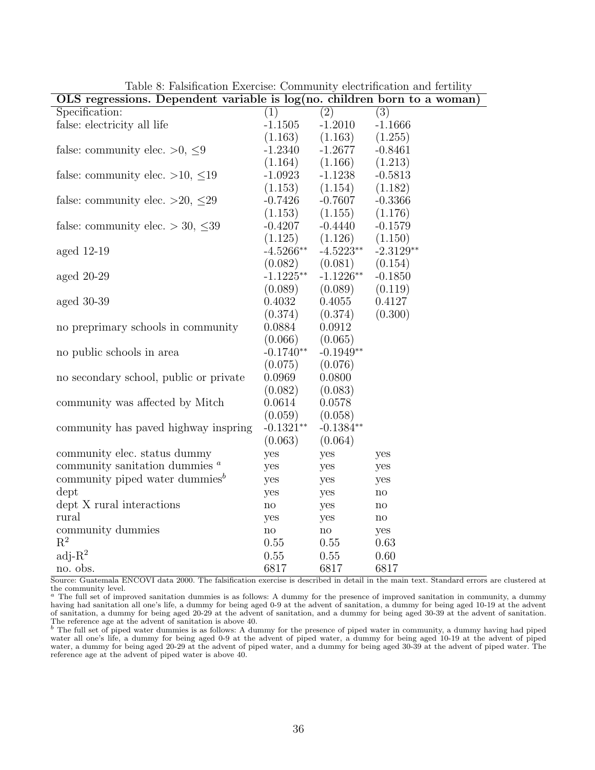| $\overline{OLS}$ regressions. Dependent variable is $log(no.$ children born to a woman) |                        |                     |                        |
|-----------------------------------------------------------------------------------------|------------------------|---------------------|------------------------|
| Specification:                                                                          | (1)                    | (2)                 | (3)                    |
| false: electricity all life                                                             | $-1.1505$              | $-1.2010$           | $-1.1666$              |
|                                                                                         | (1.163)                | (1.163)             | (1.255)                |
| false: community elec. $>0, \leq 9$                                                     | $-1.2340$              | $-1.2677$           | $-0.8461$              |
|                                                                                         | (1.164)                | (1.166)             | (1.213)                |
| false: community elec. >10, $\leq$ 19                                                   | $-1.0923$              | $-1.1238$           | $-0.5813$              |
|                                                                                         | (1.153)                | (1.154)             | (1.182)                |
| false: community elec. >20, $\leq$ 29                                                   | $-0.7426$              | $-0.7607$           | $-0.3366$              |
|                                                                                         | (1.153)                | (1.155)             | (1.176)                |
| false: community elec. $>$ 30, $\leq$ 39                                                | $-0.4207$              | $-0.4440$           | $-0.1579$              |
|                                                                                         | (1.125)                | (1.126)             | (1.150)                |
| aged $12-19$                                                                            | $-4.5266**$            | $-4.5223**$         | $-2.3129**$            |
|                                                                                         | (0.082)                | (0.081)             | (0.154)                |
| aged $20-29$                                                                            | $-1.1225**$            | $-1.1226**$         | $-0.1850$              |
|                                                                                         | (0.089)                | (0.089)             | (0.119)                |
| aged $30-39$                                                                            | 0.4032                 | 0.4055              | 0.4127                 |
|                                                                                         | (0.374)                | (0.374)             | (0.300)                |
| no preprimary schools in community                                                      | 0.0884                 | 0.0912              |                        |
|                                                                                         | (0.066)                | (0.065)             |                        |
| no public schools in area                                                               | $-0.1740**$            | $-0.1949**$         |                        |
|                                                                                         | (0.075)                | (0.076)             |                        |
| no secondary school, public or private                                                  | 0.0969                 | 0.0800              |                        |
|                                                                                         | (0.082)                | (0.083)             |                        |
| community was affected by Mitch                                                         | 0.0614                 | 0.0578              |                        |
|                                                                                         | (0.059)                | (0.058)             |                        |
| community has paved highway inspring                                                    | $-0.1321**$            | $-0.1384**$         |                        |
|                                                                                         | (0.063)                | (0.064)             |                        |
| community elec. status dummy                                                            | yes                    | yes                 | yes                    |
| community sanitation dummies $a$                                                        | yes                    | yes                 | yes                    |
| community piped water dummies $^b$                                                      | yes                    | yes                 | yes                    |
| dept                                                                                    | yes                    | yes                 | $\mathop{\mathrm{no}}$ |
| dept X rural interactions                                                               | $\mathop{\mathrm{no}}$ | yes                 | $\rm {no}$             |
| rural                                                                                   | yes                    | yes                 | $\rm {no}$             |
| community dummies                                                                       | $\operatorname{no}$    | $\operatorname{no}$ | yes                    |
| $\mathbf{R}^2$                                                                          | 0.55                   | 0.55                | 0.63                   |
| adj- $R^2$                                                                              | 0.55                   | 0.55                | 0.60                   |
| no. obs.                                                                                | 6817                   | 6817                | 6817                   |

Table 8: Falsification Exercise: Community electrification and fertility

Source: Guatemala ENCOVI data 2000. The falsification exercise is described in detail in the main text. Standard errors are clustered at the community level.<br> $a$  The full set of imp

<sup>a</sup> The full set of improved sanitation dummies is as follows: A dummy for the presence of improved sanitation in community, a dummy having had sanitation all one's life, a dummy for being aged 0-9 at the advent of sanitation, a dummy for being aged 10-19 at the advent of sanitation, a dummy for being aged 20-29 at the advent of sanitation, and a dummy for being aged 30-39 at the advent of sanitation. The reference age at the advent of sanitation is above 40.<br><sup>b</sup> The full set of piped water dummies is as follows: A dummy for the presence of piped water in community, a dummy having had piped

water all one's life, a dummy for being aged 0-9 at the advent of piped water, a dummy for being aged 10-19 at the advent of piped water, a dummy for being aged 20-29 at the advent of piped water, and a dummy for being aged 30-39 at the advent of piped water. The reference age at the advent of piped water is above 40.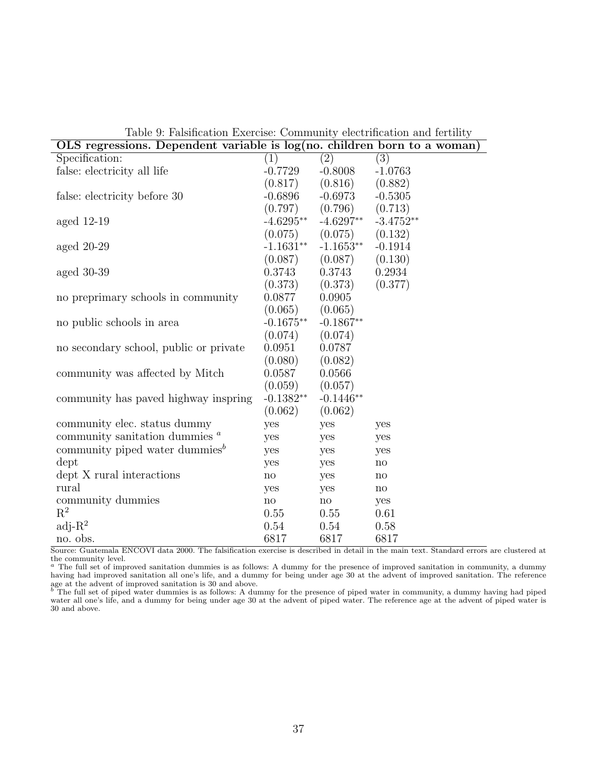| OLS regressions. Dependent variable is log(no. children born to a woman) |                             |                     |                  |
|--------------------------------------------------------------------------|-----------------------------|---------------------|------------------|
| Specification:                                                           | (1)                         | $\overline{(2)}$    | $\overline{(3)}$ |
| false: electricity all life                                              | $-0.7729$                   | $-0.8008$           | $-1.0763$        |
|                                                                          | (0.817)                     | (0.816)             | (0.882)          |
| false: electricity before 30                                             | $-0.6896$                   | $-0.6973$           | $-0.5305$        |
|                                                                          | (0.797)                     | (0.796)             | (0.713)          |
| aged $12-19$                                                             | $-4.6295**$                 | $-4.6297**$         | $-3.4752**$      |
|                                                                          | (0.075)                     | (0.075)             | (0.132)          |
| aged $20-29$                                                             | $-1.1631**$                 | $-1.1653**$         | $-0.1914$        |
|                                                                          | (0.087)                     | (0.087)             | (0.130)          |
| aged $30-39$                                                             | 0.3743                      | 0.3743              | 0.2934           |
|                                                                          | (0.373)                     | (0.373)             | (0.377)          |
| no preprimary schools in community                                       | 0.0877                      | 0.0905              |                  |
|                                                                          | (0.065)                     | (0.065)             |                  |
| no public schools in area                                                | $-0.1675**$                 | $-0.1867**$         |                  |
|                                                                          | (0.074)                     | (0.074)             |                  |
| no secondary school, public or private                                   | 0.0951                      | 0.0787              |                  |
|                                                                          | (0.080)                     | (0.082)             |                  |
| community was affected by Mitch                                          | 0.0587                      | 0.0566              |                  |
|                                                                          | (0.059)                     | (0.057)             |                  |
| community has paved highway inspring                                     | $\textnormal{-}0.1382^{**}$ | $-0.1446**$         |                  |
|                                                                          | (0.062)                     | (0.062)             |                  |
| community elec. status dummy                                             | yes                         | yes                 | yes              |
| community sanitation dummies $a$                                         | yes                         | yes                 | yes              |
| community piped water dummies <sup><math>b</math></sup>                  | yes                         | yes                 | yes              |
| dept                                                                     | yes                         | yes                 | $\mathbf{n}$     |
| dept X rural interactions                                                | $\operatorname{no}$         | yes                 | $\mathbf{n}$     |
| rural                                                                    | yes                         | yes                 | $\mathbf{n}$     |
| community dummies                                                        | $\mathop{\mathrm{no}}$      | $\operatorname{no}$ | yes              |
| $\mathbf{R}^2$                                                           | 0.55                        | 0.55                | 0.61             |
| $adj-R2$                                                                 | 0.54                        | 0.54                | 0.58             |
| no. obs.                                                                 | 6817                        | 6817                | 6817             |

Table 9: Falsification Exercise: Community electrification and fertility

Source: Guatemala ENCOVI data 2000. The falsification exercise is described in detail in the main text. Standard errors are clustered at the community level.

<sup>a</sup> The full set of improved sanitation dummies is as follows: A dummy for the presence of improved sanitation in community, a dummy having had improved sanitation all one's life, and a dummy for being under age 30 at the advent of improved sanitation. The reference

age at the advent of improved sanitation is 30 and above.<br><sup>b</sup> The full set of piped water dummies is as follows: A dummy for the presence of piped water in community, a dummy having had piped water all one's life, and a dummy for being under age 30 at the advent of piped water. The reference age at the advent of piped water is 30 and above.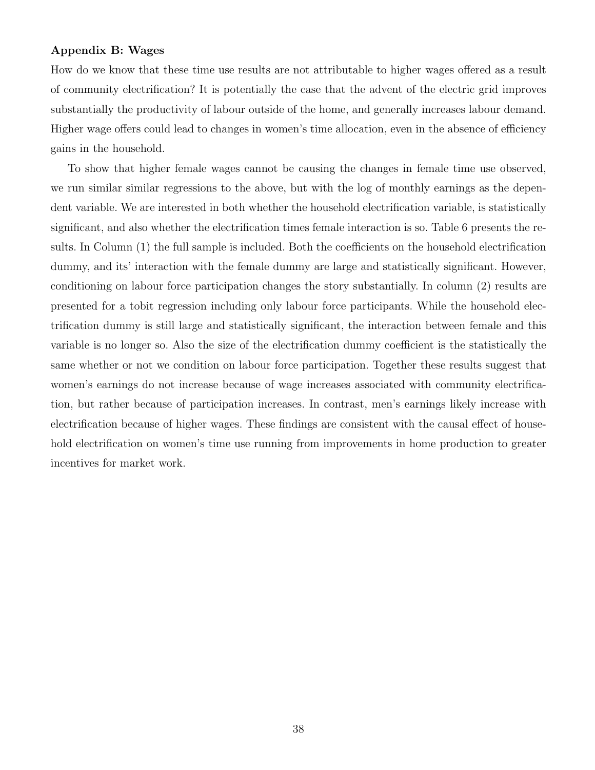#### Appendix B: Wages

How do we know that these time use results are not attributable to higher wages offered as a result of community electrification? It is potentially the case that the advent of the electric grid improves substantially the productivity of labour outside of the home, and generally increases labour demand. Higher wage offers could lead to changes in women's time allocation, even in the absence of efficiency gains in the household.

To show that higher female wages cannot be causing the changes in female time use observed, we run similar similar regressions to the above, but with the log of monthly earnings as the dependent variable. We are interested in both whether the household electrification variable, is statistically significant, and also whether the electrification times female interaction is so. Table 6 presents the results. In Column (1) the full sample is included. Both the coefficients on the household electrification dummy, and its' interaction with the female dummy are large and statistically significant. However, conditioning on labour force participation changes the story substantially. In column (2) results are presented for a tobit regression including only labour force participants. While the household electrification dummy is still large and statistically significant, the interaction between female and this variable is no longer so. Also the size of the electrification dummy coefficient is the statistically the same whether or not we condition on labour force participation. Together these results suggest that women's earnings do not increase because of wage increases associated with community electrification, but rather because of participation increases. In contrast, men's earnings likely increase with electrification because of higher wages. These findings are consistent with the causal effect of household electrification on women's time use running from improvements in home production to greater incentives for market work.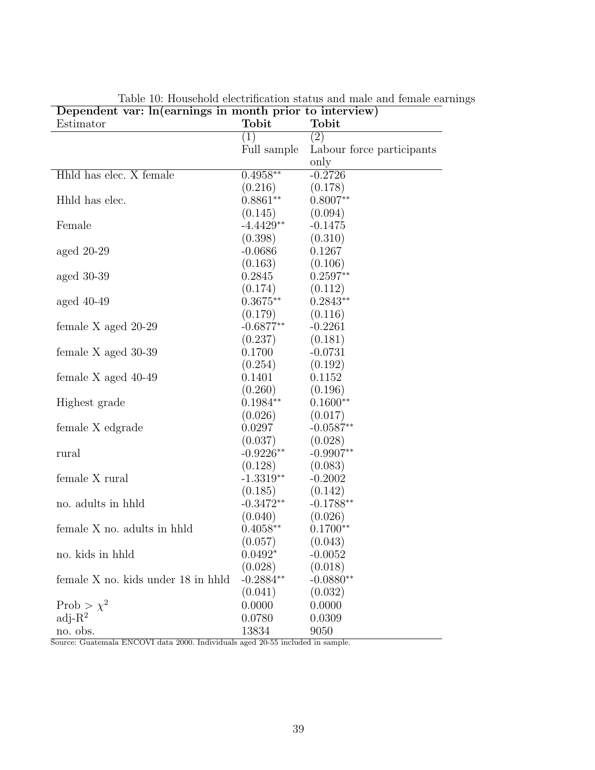| $D$ pendent var. m carmings in month prior to meet view<br>Estimator | Tobit       | Tobit                     |
|----------------------------------------------------------------------|-------------|---------------------------|
|                                                                      | (1)         | $\left( 2\right)$         |
|                                                                      | Full sample | Labour force participants |
|                                                                      |             | only                      |
| Hhld has elec. X female                                              | $0.4958**$  | $-0.2726$                 |
|                                                                      | (0.216)     | (0.178)                   |
| Hhld has elec.                                                       | $0.8861**$  | $0.8007**$                |
|                                                                      | (0.145)     | (0.094)                   |
| Female                                                               | $-4.4429**$ | $-0.1475$                 |
|                                                                      | (0.398)     | (0.310)                   |
| aged $20-29$                                                         | $-0.0686$   | 0.1267                    |
|                                                                      | (0.163)     | (0.106)                   |
| aged $30-39$                                                         | 0.2845      | $0.2597**$                |
|                                                                      | (0.174)     | (0.112)                   |
| aged $40-49$                                                         | $0.3675**$  | $0.2843**$                |
|                                                                      | (0.179)     | (0.116)                   |
| female X aged 20-29                                                  | $-0.6877**$ | $-0.2261$                 |
|                                                                      | (0.237)     | (0.181)                   |
| female X aged 30-39                                                  | 0.1700      | $-0.0731$                 |
|                                                                      | (0.254)     | (0.192)                   |
| female $X$ aged $40-49$                                              | 0.1401      | 0.1152                    |
|                                                                      | (0.260)     | (0.196)                   |
| Highest grade                                                        | $0.1984**$  | $0.1600**$                |
|                                                                      | (0.026)     | (0.017)                   |
| female X edgrade                                                     | 0.0297      | $-0.0587**$               |
|                                                                      | (0.037)     | (0.028)                   |
| rural                                                                | $-0.9226**$ | $-0.9907**$               |
|                                                                      | (0.128)     | (0.083)                   |
| female X rural                                                       | $-1.3319**$ | $-0.2002$                 |
|                                                                      | (0.185)     | (0.142)                   |
| no. adults in hhld                                                   | $-0.3472**$ | $-0.1788**$               |
|                                                                      | (0.040)     | (0.026)                   |
| female X no. adults in hhld                                          | $0.4058**$  | $0.1700**$                |
|                                                                      | (0.057)     | (0.043)                   |
| no. kids in hhld                                                     | $0.0492*$   | $-0.0052$                 |
|                                                                      | (0.028)     | (0.018)                   |
| female X no. kids under 18 in hhld                                   | $-0.2884**$ | $-0.0880**$               |
|                                                                      | (0.041)     | (0.032)                   |
| Prob > $\chi^2$                                                      | 0.0000      | 0.0000                    |
| $adj-R2$                                                             | 0.0780      | 0.0309                    |
| no. obs.                                                             | 13834       | 9050                      |

Table 10: Household electrification status and male and female earnings Dependent var: ln(earnings in month prior to interview)

Source: Guatemala ENCOVI data 2000. Individuals aged 20-55 included in sample.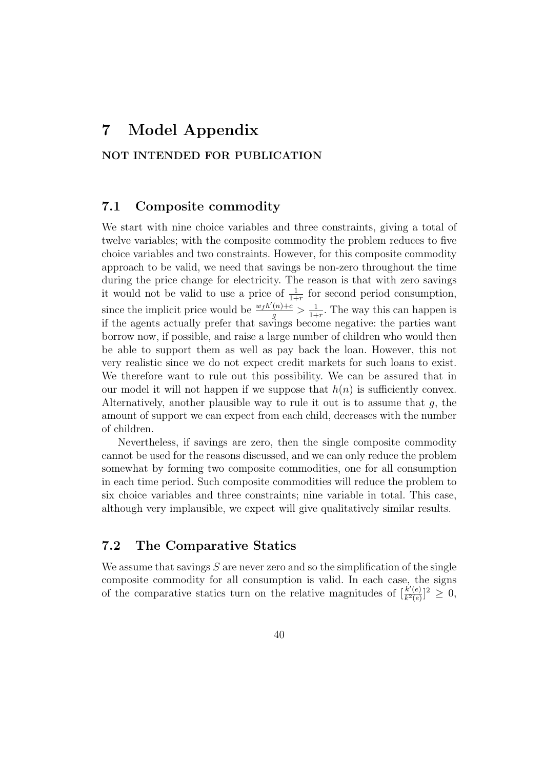# 7 Model Appendix

### NOT INTENDED FOR PUBLICATION

#### 7.1 Composite commodity

We start with nine choice variables and three constraints, giving a total of twelve variables; with the composite commodity the problem reduces to five choice variables and two constraints. However, for this composite commodity approach to be valid, we need that savings be non-zero throughout the time during the price change for electricity. The reason is that with zero savings it would not be valid to use a price of  $\frac{1}{1+r}$  for second period consumption, since the implicit price would be  $\frac{w_f h'(n) + c}{q}$  $\frac{(n)+c}{g} > \frac{1}{1+}$  $\frac{1}{1+r}$ . The way this can happen is if the agents actually prefer that savings become negative: the parties want borrow now, if possible, and raise a large number of children who would then be able to support them as well as pay back the loan. However, this not very realistic since we do not expect credit markets for such loans to exist. We therefore want to rule out this possibility. We can be assured that in our model it will not happen if we suppose that  $h(n)$  is sufficiently convex. Alternatively, another plausible way to rule it out is to assume that  $g$ , the amount of support we can expect from each child, decreases with the number of children.

Nevertheless, if savings are zero, then the single composite commodity cannot be used for the reasons discussed, and we can only reduce the problem somewhat by forming two composite commodities, one for all consumption in each time period. Such composite commodities will reduce the problem to six choice variables and three constraints; nine variable in total. This case, although very implausible, we expect will give qualitatively similar results.

## 7.2 The Comparative Statics

We assume that savings  $S$  are never zero and so the simplification of the single composite commodity for all consumption is valid. In each case, the signs of the comparative statics turn on the relative magnitudes of  $\frac{\vec{k}'(e)}{\vec{k}^2(e)}$  $\frac{k'(e)}{k^2(e)}$ ]<sup>2</sup>  $\geq 0$ ,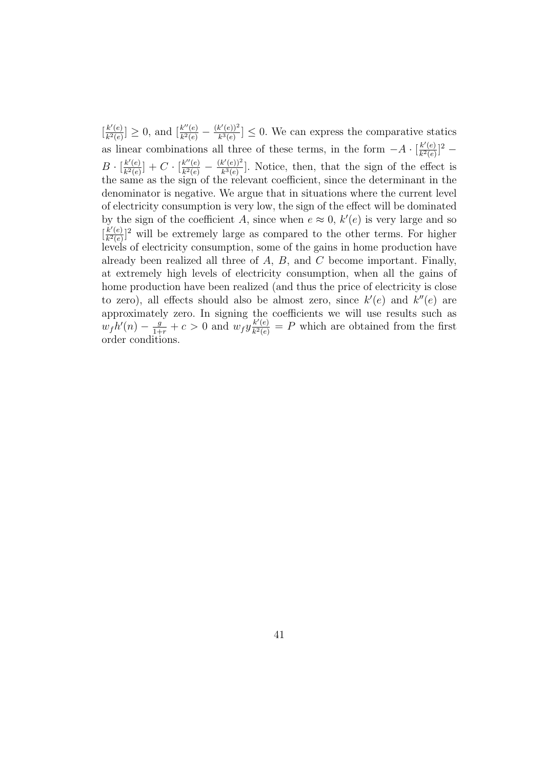$\left[\frac{k'(e)}{k^2(e)}\right]$  $\frac{k'(e)}{k^2(e)}$  > 0, and  $\frac{k''(e)}{k^2(e)}$  $\frac{k''(e)}{k^2(e)}-\frac{(k'(e))^2}{k^3(e)}$  $\frac{k^{\alpha}(e)}{k^3(e)} \leq 0$ . We can express the comparative statics as linear combinations all three of these terms, in the form  $-A \cdot \frac{k'(e)}{k^2(e)}$  $\frac{k'(e)}{k^2(e)}$ ]<sup>2</sup> –  $B \cdot \lceil \frac{k'(e)}{k^2(e)} \rceil$  $\frac{k'(e)}{k^2(e)}$  +  $C \cdot \frac{k''(e)}{k^2(e)}$  $\frac{k''(e)}{k^2(e)} - \frac{(k'(e))^2}{k^3(e)}$  $\frac{k^{\epsilon}(e)}{k^3(e)}$ . Notice, then, that the sign of the effect is the same as the sign of the relevant coefficient, since the determinant in the denominator is negative. We argue that in situations where the current level of electricity consumption is very low, the sign of the effect will be dominated by the sign of the coefficient A, since when  $e \approx 0$ ,  $k'(e)$  is very large and so  $\left[\frac{k'(e)}{k^2(e)}\right]$  $\frac{k'(e)}{k^2(e)}$  will be extremely large as compared to the other terms. For higher levels of electricity consumption, some of the gains in home production have already been realized all three of A, B, and C become important. Finally, at extremely high levels of electricity consumption, when all the gains of home production have been realized (and thus the price of electricity is close to zero), all effects should also be almost zero, since  $k'(e)$  and  $k''(e)$  are approximately zero. In signing the coefficients we will use results such as  $w_f h'(n) - \frac{g}{1+r} + c > 0$  and  $w_f y \frac{k'(e)}{k^2(e)}$  $\frac{k'(e)}{k^2(e)} = P$  which are obtained from the first order conditions.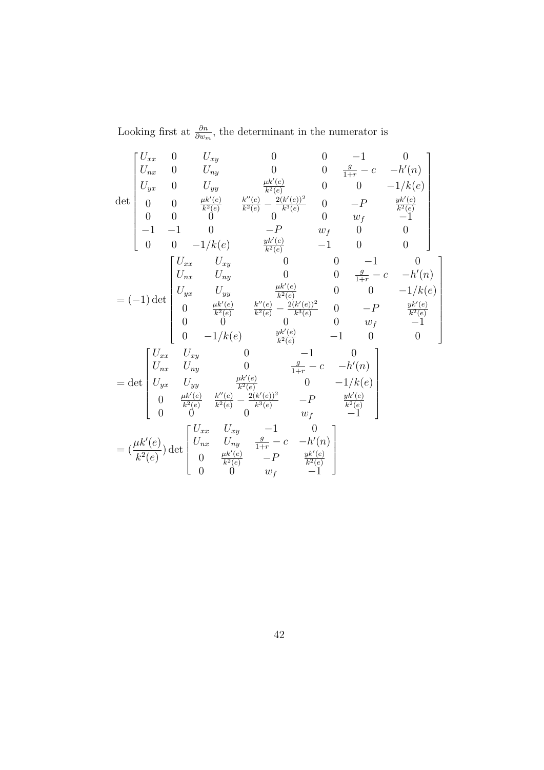Looking first at  $\frac{\partial n}{\partial w_m}$ , the determinant in the numerator is

$$
\det \begin{bmatrix} U_{xx} & 0 & U_{xy} & 0 & 0 & -1 & 0 \\ U_{nx} & 0 & U_{ny} & 0 & 0 & \frac{g}{1+r} - c & -h'(n) \\ U_{yx} & 0 & U_{yy} & \frac{\mu k'(e)}{k^2(e)} & 0 & 0 & -1/k(e) \\ 0 & 0 & \frac{\mu k'(e)}{k^2(e)} & \frac{k''(e)}{k^2(e)} - \frac{2(k'(e))^2}{k^3(e)} & 0 & -P & \frac{yk'(e)}{k^2(e)} \\ 0 & 0 & 0 & 0 & 0 & w_f & -1 \\ -1 & -1 & 0 & -P & w_f & 0 & 0 \\ 0 & 0 & -1/k(e) & \frac{yk'(e)}{k^2(e)} & -1 & 0 & 0 \\ 0 & 0 & -1/k(e) & \frac{\mu k'(e)}{k^2(e)} & 0 & 0 & -1 & 0 \\ U_{xx} & U_{xy} & 0 & 0 & \frac{g}{1+r} - c & -h'(n) \\ U_{yx} & U_{yy} & \frac{\mu k'(e)}{k^2(e)} & \frac{2(k'(e))^2}{k^3(e)} & 0 & -P & \frac{yk'(e)}{k^2(e)} \\ 0 & 0 & 0 & 0 & w_f & -1 \\ 0 & -1/k(e) & \frac{yk'(e)}{k^2(e)} & -1 & 0 & 0 \\ U_{xx} & U_{xy} & 0 & \frac{g}{1+r} - c & -h'(n) \\ U_{yx} & U_{yy} & \frac{\mu k'(e)}{k^2(e)} & 0 & -1/k(e) \\ 0 & \frac{\mu k'(e)}{k^2(e)} & \frac{k''(e)}{k^2(e)} - \frac{2(k'(e))^2}{k^3(e)} & -P & \frac{yk'(e)}{k^2(e)} \\ 0 & 0 & 0 & w_f & -1 \end{bmatrix}
$$

$$
= (\frac{\mu k'(e)}{k^2(e)}) \det \begin{bmatrix} U_{xx} & U_{xy} & -1 & 0 \\ U_{yx} & U_{yy} & \frac{g}{k^2(e)} & -P & \frac{yk'(e)}{k^2(e)} \\ 0 & 0 & 0 & w_f & -1 \\ 0 & \frac{yk'(e)}{k^2(e)} & -P & \frac{yk'(e)}{k^2(e)} \\ 0 & 0 & 0 & w_f & -1 \end{bmatrix}
$$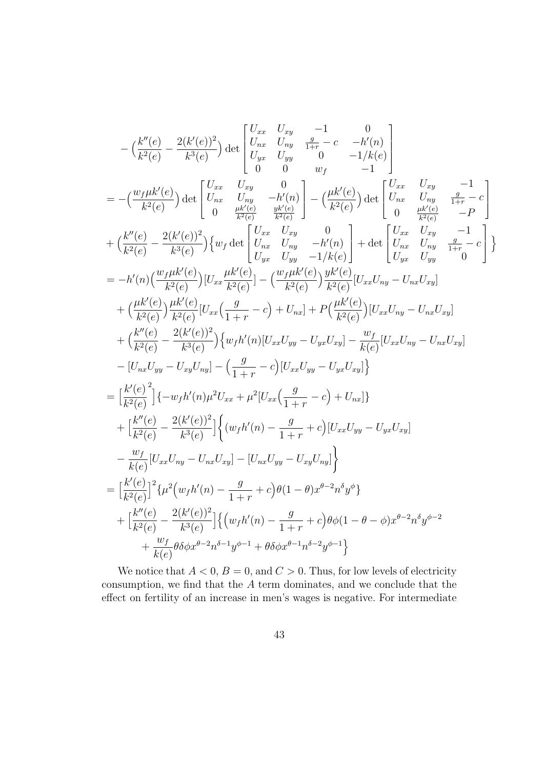$$
-\left(\frac{k''(e)}{k^2(e)} - \frac{2(k'(e))^2}{k^3(e)}\right) \det \begin{bmatrix} U_{xx} & U_{xy} & -1 & 0 \\ U_{yx} & U_{yy} & 0 & -1/k(e) \\ U_{yx} & U_{yy} & 0 & -1/k(e) \\ 0 & 0 & w_f & -1 \end{bmatrix} \n= -\left(\frac{w_f\mu k'(e)}{k^2(e)}\right) \det \begin{bmatrix} U_{xx} & U_{xy} & 0 \\ U_{tx} & U_{xy} & -h'(n) \\ 0 & \frac{\mu k'(e)}{k^2(e)} \end{bmatrix} - \left(\frac{\mu k'(e)}{k^2(e)}\right) \det \begin{bmatrix} U_{xx} & U_{xy} & -1 \\ U_{tx} & U_{ry} & \frac{g}{1+r} - e \\ 0 & \frac{\mu k'(e)}{k^2(e)} \end{bmatrix} \n+ \left(\frac{k''(e)}{k^2(e)} - \frac{2(k'(e))^2}{k^3(e)}\right) \{w_f \det \begin{bmatrix} U_{xx} & U_{xy} & 0 \\ U_{rx} & U_{ry} & -h'(n) \\ U_{yx} & U_{ry} & -1/k(e) \end{bmatrix} + \det \begin{bmatrix} U_{xx} & U_{xy} & -1 \\ U_{tx} & U_{ry} & \frac{g}{1+r} - e \\ U_{yx} & U_{yy} & 1+r(0) \end{bmatrix} \} \n= -h'(n)\left(\frac{w_f\mu k'(e)}{k^2(e)}\right) [U_{xx} \frac{\mu k'(e)}{k^2(e)}] - \left(\frac{w_f\mu k'(e)}{k^2(e)}\right) \frac{y_k'(e)}{k^2(e)} [U_{xx} U_{ry} - U_{rx} U_{xy}] \n+ \left(\frac{kk'(e)}{k^2(e)}\right) \frac{\mu k'(e)}{k^2(e)} [U_{xx} \left(\frac{g}{1+r} - e\right) + U_{nx}] + P\left(\frac{\mu k'(e)}{k^2(e)}\right) [U_{xx} U_{ry} - U_{rx} U_{xy}] \n+ \left(\frac{k''(e)}{k^2(e)} - \frac{2(k'(e))^2}{k^3(e)}\right) \{w_f h'(n)[U_{xx} U_{yy} - U_{yx} U_{xy}] - \frac{w_f}{k(e)}[U_{xx} U_{ry} - U_{rx} U_{xy}] \n- \
$$

We notice that  $A < 0$ ,  $B = 0$ , and  $C > 0$ . Thus, for low levels of electricity consumption, we find that the  $A$  term dominates, and we conclude that the effect on fertility of an increase in men's wages is negative. For intermediate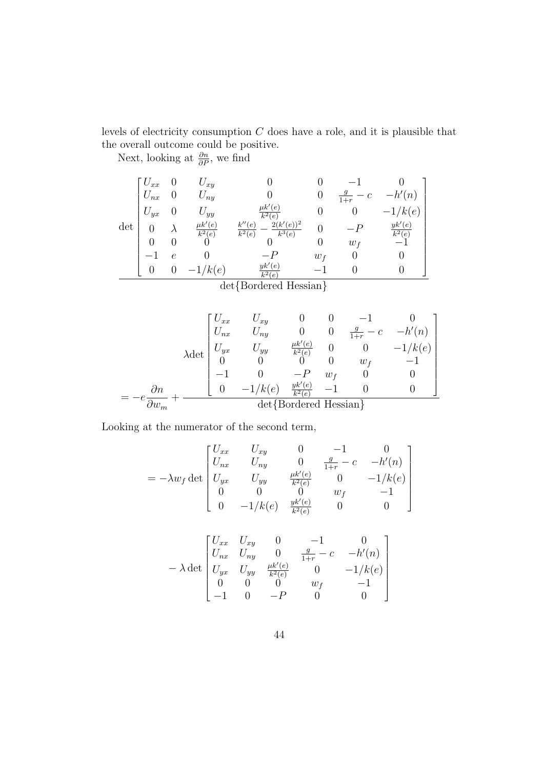levels of electricity consumption C does have a role, and it is plausible that the overall outcome could be positive.

Next, looking at  $\frac{\partial n}{\partial P}$ , we find

$$
\det \begin{bmatrix} U_{xx} & 0 & U_{xy} & 0 & 0 & -1 & 0 \\ U_{nx} & 0 & U_{ny} & 0 & 0 & \frac{g}{1+r} - c & -h'(n) \\ U_{yx} & 0 & U_{yy} & \frac{\mu k'(e)}{k^2(e)} & 0 & 0 & -1/k(e) \\ 0 & \lambda & \frac{\mu k'(e)}{k^2(e)} & \frac{k''(e)}{k^2(e)} - \frac{2(k'(e))^2}{k^3(e)} & 0 & -P & \frac{yk'(e)}{k^2(e)} \\ 0 & 0 & 0 & 0 & 0 & w_f & -1 \\ -1 & e & 0 & -P & w_f & 0 & 0 \\ 0 & 0 & -1/k(e) & \frac{yk'(e)}{k^2(e)} & -1 & 0 & 0 \end{bmatrix}
$$

$$
\lambda \det \begin{bmatrix} U_{xx} & U_{xy} & 0 & 0 & -1 & 0 \\ U_{nx} & U_{ny} & 0 & 0 & \frac{g}{1+r} - c & -h'(n) \\ U_{yx} & U_{yy} & \frac{\mu k'(e)}{k^2(e)} & 0 & 0 & -1/k(e) \\ 0 & 0 & 0 & 0 & w_f & -1 \\ -1 & 0 & -P & w_f & 0 & 0 \\ -1 & 0 & -1/k(e) & \frac{yk'(e)}{k^2(e)} & -1 & 0 & 0 \end{bmatrix}
$$

$$
= -e \frac{\partial n}{\partial w_m} + \frac{\partial n}{\partial w_m} + \frac{\partial n}{\partial w_m} + \frac{\partial n}{\partial w_m} + \frac{\partial n}{\partial w_m} + \frac{\partial n}{\partial w_m} + \frac{\partial n}{\partial w_m} + \frac{\partial n}{\partial w_m} + \frac{\partial n}{\partial w_m} + \frac{\partial n}{\partial w_m} + \frac{\partial n}{\partial w_m} + \frac{\partial n}{\partial w_m} + \frac{\partial n}{\partial w_m} + \frac{\partial n}{\partial w_m} + \frac{\partial n}{\partial w_m} + \frac{\partial n}{\partial w_m} + \frac{\partial n}{\partial w_m} + \frac{\partial n}{\partial w_m} + \frac{\partial n}{\partial w_m} + \frac{\partial n}{\partial w_m} + \frac{\partial n}{\partial w_m} + \frac{\partial n}{\partial w_m} + \frac{\partial n}{\partial w_m} + \frac{\partial n}{\partial w_m} + \frac{\partial n}{\partial w_m} + \frac{\partial n}{\partial w_m} + \frac{\partial n}{\partial w_m} + \frac{\partial n}{\partial w_m} + \frac{\partial n}{\partial w_m} + \frac{\partial n}{\partial w_m} + \frac{\partial n}{\partial w_m} + \frac{\partial n}{\partial w_m} + \frac{\partial n}{\partial w_m} + \frac{\partial n}{\partial w_m} + \frac{\partial n}{\partial w_m} + \frac{\partial n}{\partial w_m} + \frac{\partial n}{\partial w_m} + \frac{\partial n}{\partial w_m} + \frac{\partial n}{\partial w_m} + \frac{\partial n}{\partial w_m} + \frac{\partial n}{\partial w_m} + \frac{\partial n}{\partial w_m} + \frac{\partial n}{\partial w_m} + \frac{\partial n}{\partial w_m} + \frac{\partial n}{\partial w_m} + \frac{\partial n}{\partial w_m} + \frac{\partial n}{\partial w_m} + \frac{\partial n}{\partial
$$

Looking at the numerator of the second term,

$$
= -\lambda w_f \det \begin{bmatrix} U_{xx} & U_{xy} & 0 & -1 & 0 \\ U_{nx} & U_{ny} & 0 & \frac{g}{1+r} - c & -h'(n) \\ U_{yx} & U_{yy} & \frac{\mu k'(e)}{k^2(e)} & 0 & -1/k(e) \\ 0 & 0 & 0 & w_f & -1 \\ 0 & -1/k(e) & \frac{yk'(e)}{k^2(e)} & 0 & 0 \end{bmatrix}
$$

$$
-\lambda \det \begin{bmatrix} U_{xx} & U_{xy} & 0 & -1 & 0 \\ U_{nx} & U_{ny} & 0 & \frac{g}{1+r} - c & -h'(n) \\ U_{yx} & U_{yy} & \frac{\mu k'(e)}{k^2(e)} & 0 & -1/k(e) \\ 0 & 0 & 0 & w_f & -1 \\ -1 & 0 & -P & 0 & 0 \end{bmatrix}
$$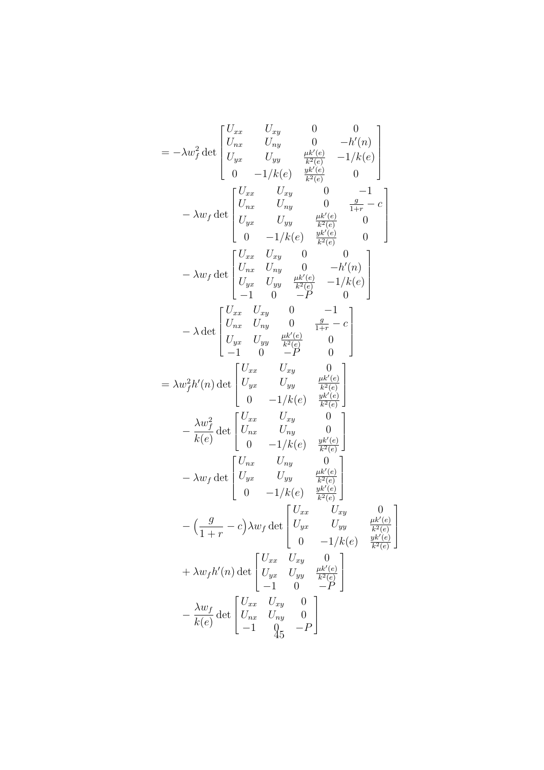$$
= -\lambda w_f^2 \det \begin{bmatrix} U_{xx} & U_{xy} & 0 & 0 \\ U_{yx} & U_{ny} & \frac{\mu k'(e)}{k^2(e)} & -1/k(e) \\ U_{yx} & U_{yy} & \frac{\mu k'(e)}{k^2(e)} & 0 \\ 0 & -1/k(e) & \frac{y(k'(e)}{k^2(e)} & 0 \\ U_{yx} & U_{xy} & 0 & \frac{1}{1+r} - c \\ U_{yx} & U_{yy} & \frac{\mu k'(e)}{k^2(e)} & 0 \\ 0 & -1/k(e) & \frac{y(k'(e)}{k^2(e)} & 0 \\ 0 & -1/k(e) & \frac{y(k'(e)}{k^2(e)} & 0 \end{bmatrix}
$$

$$
- \lambda w_f \det \begin{bmatrix} U_{xx} & U_{xy} & 0 & 0 \\ U_{yx} & U_{yy} & \frac{\mu k'(e)}{k^2(e)} & -1/k(e) \\ U_{yx} & U_{yy} & 0 & -1 \\ U_{yx} & U_{yy} & 0 & \frac{1}{1+r} - c \\ U_{yx} & U_{yy} & 0 & \frac{1}{1+r} - c \\ 0 & -P & 0 & 0 \end{bmatrix}
$$

$$
= \lambda w_f^2 h'(n) \det \begin{bmatrix} U_{xx} & U_{xy} & 0 \\ U_{yx} & U_{yy} & \frac{\mu k'(e)}{k^2(e)} \\ 0 & -1/k(e) & \frac{yk'(e)}{k^2(e)} \\ 0 & -1/k(e) & \frac{yk'(e)}{k^2(e)} \end{bmatrix}
$$

$$
- \lambda w_f \det \begin{bmatrix} U_{xx} & U_{xy} & 0 \\ U_{yx} & U_{yy} & \frac{\mu k'(e)}{k^2(e)} \\ 0 & -1/k(e) & \frac{yk'(e)}{k^2(e)} \end{bmatrix}
$$

$$
- (\frac{g}{1+r} - c) \lambda w_f \det \begin{bmatrix} U_{xx} & U_{xy} & 0 \\ U_{yx} & U_{yy} & \frac{\mu k'(e)}{k^2(e)} \\ 0 & -1/k(e) & \frac{yk'(e)}{k^2(e)} \end{bmatrix}
$$

$$
+ \lambda w_f h'(n) \det \begin{bmatrix} U_{xx} & U_{xy} & 0 \\ U_{yx} & U_{yy} & \frac{\mu k'(e)}{k^2(e)} \\ -1 & 0 & -P \end{bmatrix}
$$
 $$ 

1

 $\Bigg\}$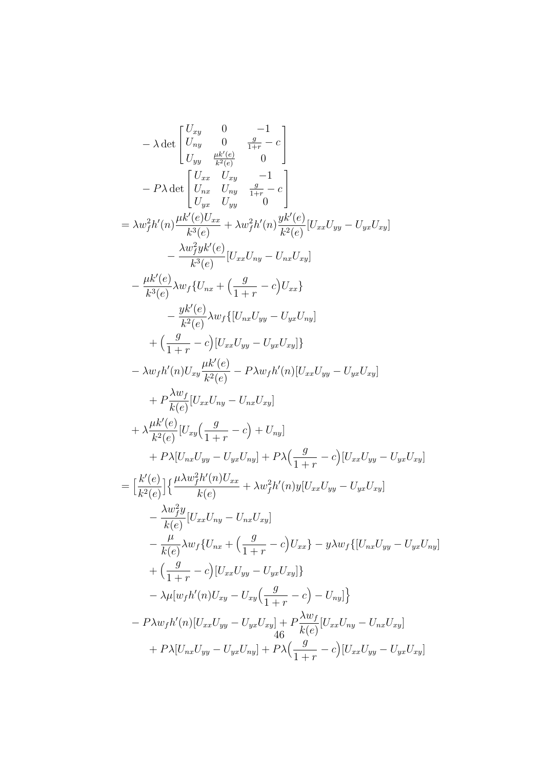$$
-\lambda \det \begin{bmatrix} U_{xy} & 0 & -1 \\ U_{yy} & 0 & \frac{g}{1+r} - c \\ U_{yy} & \frac{g}{k^2(c)} & 0 \end{bmatrix}
$$
  
\n
$$
-P\lambda \det \begin{bmatrix} U_{xx} & U_{xy} & -1 \\ U_{yx} & U_{yy} & \frac{g}{1+r} - c \\ U_{yx} & U_{yy} & 0 \end{bmatrix}
$$
  
\n
$$
= \lambda w_f^2 h'(n) \frac{\mu k'(c) U_{xx}}{k^3(c)} + \lambda w_f^2 h'(n) \frac{y k'(e)}{k^2(c)} [U_{xx} U_{yy} - U_{yx} U_{xy}]
$$
  
\n
$$
- \frac{\lambda w_f^2 y k'(e)}{k^3(c)} [U_{xx} U_{xy} - U_{nx} U_{xy}]
$$
  
\n
$$
- \frac{\mu k'(e)}{k^3(e)} \lambda w_f \{U_{nx} + \left(\frac{g}{1+r} - c\right) U_{xx}\}
$$
  
\n
$$
- \frac{y k'(e)}{k^2(e)} \lambda w_f \{[U_{nx} U_{yy} - U_{yx} U_{xy}]\}
$$
  
\n
$$
+ \left(\frac{g}{1+r} - c\right) [U_{xx} U_{yy} - U_{yx} U_{xy}]\}
$$
  
\n
$$
- \lambda w_f h'(n) U_{xy} \frac{\mu k'(e)}{k^2(e)} - P\lambda w_f h'(n) [U_{xx} U_{yy} - U_{yx} U_{xy}]
$$
  
\n
$$
+ P \frac{\lambda w_f}{k(e)} [U_{xx} U_{ny} - U_{nx} U_{xy}]
$$
  
\n
$$
+ \lambda \frac{\mu k'(e)}{k^2(e)} [U_{xy} (\frac{g}{1+r} - c) + U_{ny}]
$$
  
\n
$$
+ P\lambda [U_{nx} U_{yy} - U_{yx} U_{ny}] + P\lambda (\frac{g}{1+r} - c) [U_{xx} U_{yy} - U_{yx} U_{xy}]
$$
  
\n
$$
- \frac{\lambda w_f^2 y}{k(e)} [U_{xx} U_{ny} - U_{nx} U_{xy}]
$$
  
\n
$$
- \frac{\lambda w_f^2 y}{k(e)} [U_{xx} U_{ny} - U_{nx} U_{xy}]
$$
  
\n
$$
- \frac{\lambda
$$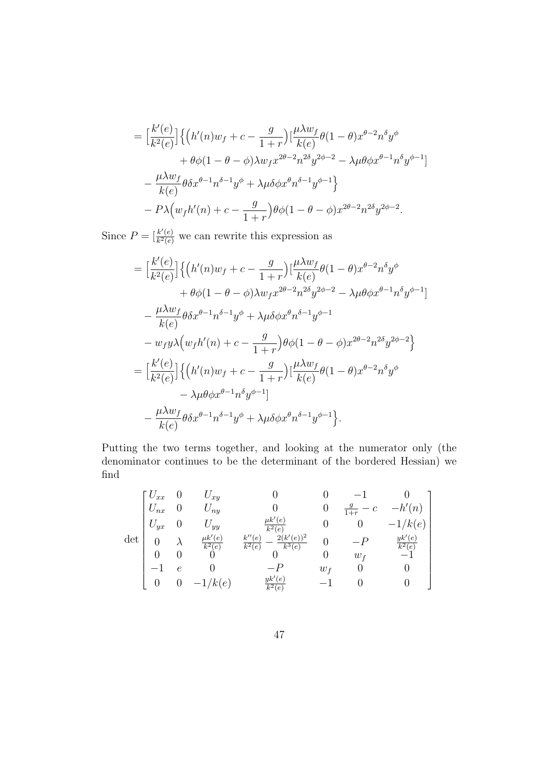$$
= \Big[\frac{k'(e)}{k^2(e)}\Big] \Big\{ \Big(h'(n)w_f + c - \frac{g}{1+r}\Big) \Big[\frac{\mu \lambda w_f}{k(e)} \theta (1-\theta)x^{\theta-2}n^{\delta}y^{\phi} + \theta \phi (1-\theta-\phi)\lambda w_f x^{2\theta-2}n^{2\delta}y^{2\phi-2} - \lambda \mu \theta \phi x^{\theta-1}n^{\delta}y^{\phi-1} \Big] - \frac{\mu \lambda w_f}{k(e)} \theta \delta x^{\theta-1}n^{\delta-1}y^{\phi} + \lambda \mu \delta \phi x^{\theta}n^{\delta-1}y^{\phi-1} \Big\} - P\lambda \Big(w_f h'(n) + c - \frac{g}{1+r}\Big) \theta \phi (1-\theta-\phi)x^{2\theta-2}n^{2\delta}y^{2\phi-2}.
$$

Since  $P = \left[\frac{k'(e)}{k^2(e)}\right]$  $\frac{k'(e)}{k^2(e)}$  we can rewrite this expression as

$$
= \left[\frac{k'(e)}{k^2(e)}\right] \left\{ \left(h'(n)w_f + c - \frac{g}{1+r}\right) \left[\frac{\mu \lambda w_f}{k(e)} \theta(1-\theta)x^{\theta-2}n^{\delta}y^{\phi} \right. \\ \left. + \theta \phi(1-\theta-\phi)\lambda w_f x^{2\theta-2}n^{2\delta}y^{2\phi-2} - \lambda \mu \theta \phi x^{\theta-1}n^{\delta}y^{\phi-1} \right] \right. \\ \left. - \frac{\mu \lambda w_f}{k(e)} \theta \delta x^{\theta-1}n^{\delta-1}y^{\phi} + \lambda \mu \delta \phi x^{\theta}n^{\delta-1}y^{\phi-1} \right. \\ \left. - w_f y \lambda \left(w_f h'(n) + c - \frac{g}{1+r}\right) \theta \phi(1-\theta-\phi)x^{2\theta-2}n^{2\delta}y^{2\phi-2} \right\} \\ = \left[\frac{k'(e)}{k^2(e)}\right] \left\{ \left(h'(n)w_f + c - \frac{g}{1+r}\right) \left[\frac{\mu \lambda w_f}{k(e)} \theta(1-\theta)x^{\theta-2}n^{\delta}y^{\phi} \right. \\ \left. - \lambda \mu \theta \phi x^{\theta-1}n^{\delta}y^{\phi-1}\right] \right. \\ \left. - \frac{\mu \lambda w_f}{k(e)} \theta \delta x^{\theta-1}n^{\delta-1}y^{\phi} + \lambda \mu \delta \phi x^{\theta}n^{\delta-1}y^{\phi-1} \right\}.
$$

Putting the two terms together, and looking at the numerator only (the denominator continues to be the determinant of the bordered Hessian) we find

$$
\det \begin{bmatrix} U_{xx} & 0 & U_{xy} & 0 & 0 & -1 & 0 \\ U_{nx} & 0 & U_{ny} & 0 & 0 & \frac{g}{1+r} - c & -h'(n) \\ U_{yx} & 0 & U_{yy} & \frac{\mu k'(e)}{k^2(e)} & 0 & 0 & -1/k(e) \\ 0 & \lambda & \frac{\mu k'(e)}{k^2(e)} & \frac{k''(e)}{k^2(e)} - \frac{2(k'(e))^2}{k^3(e)} & 0 & -P & \frac{yk'(e)}{k^2(e)} \\ 0 & 0 & 0 & 0 & 0 & w_f & -1 \\ -1 & e & 0 & -P & w_f & 0 & 0 \\ 0 & 0 & -1/k(e) & \frac{yk'(e)}{k^2(e)} & -1 & 0 & 0 \end{bmatrix}
$$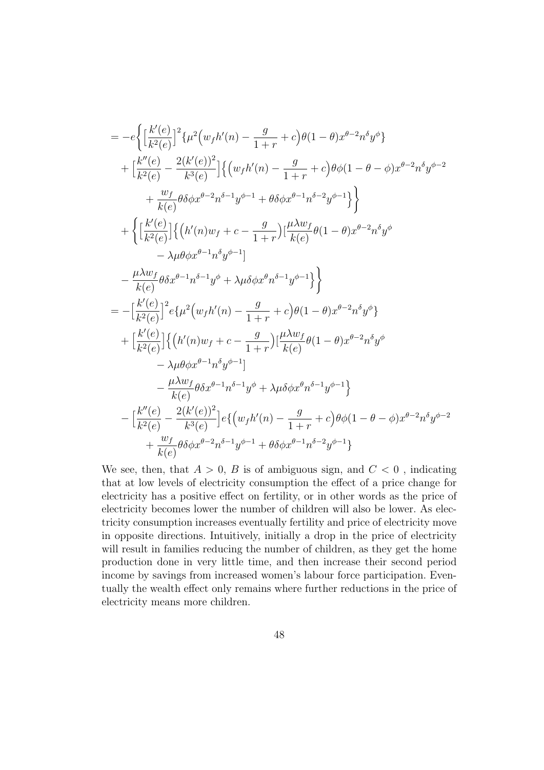$$
= -e\bigg\{\Big[\frac{k'(e)}{k^2(e)}\Big]^2 \{\mu^2 \big(w_f h'(n) - \frac{g}{1+r} + c\big)\theta(1-\theta)x^{\theta-2}n^{\delta}y^{\phi}\}\n+ \Big[\frac{k''(e)}{k^2(e)} - \frac{2(k'(e))^2}{k^3(e)}\Big] \Big\{\big(w_f h'(n) - \frac{g}{1+r} + c\big)\theta\phi(1-\theta-\phi)x^{\theta-2}n^{\delta}y^{\phi-2}\n+ \frac{w_f}{k(e)}\theta\delta\phi x^{\theta-2}n^{\delta-1}y^{\phi-1} + \theta\delta\phi x^{\theta-1}n^{\delta-2}y^{\phi-1}\Big\}\bigg\}\n+ \bigg\{\Big[\frac{k'(e)}{k^2(e)}\Big] \Big\{\big(h'(n)w_f + c - \frac{g}{1+r}\big)\Big[\frac{\mu\lambda w_f}{k(e)}\theta(1-\theta)x^{\theta-2}n^{\delta}y^{\phi}\n- \lambda\mu\theta\phi x^{\theta-1}n^{\delta}y^{\phi-1}\Big]\n- \frac{\mu\lambda w_f}{k(e)}\theta\delta x^{\theta-1}n^{\delta}y^{\phi-1}\Big]\n= -\Big[\frac{k'(e)}{k^2(e)}\Big]^2 e\{\mu^2 \big(w_f h'(n) - \frac{g}{1+r} + c\big)\theta(1-\theta)x^{\theta-2}n^{\delta}y^{\phi}\}\n+ \Big[\frac{k'(e)}{k^2(e)}\Big] \Big\{\big(h'(n)w_f + c - \frac{g}{1+r}\big)\big[\frac{\mu\lambda w_f}{k(e)}\theta(1-\theta)x^{\theta-2}n^{\delta}y^{\phi}\n- \lambda\mu\theta\phi x^{\theta-1}n^{\delta}y^{\phi-1}\Big]\n- \frac{\mu\lambda w_f}{k(e)}\theta\delta x^{\theta-1}n^{\delta-1}y^{\phi} + \lambda\mu\delta\phi x^{\theta}n^{\delta-1}y^{\phi-1}\bigg\}\n- \Big[\frac{k''(e)}{k^2(e)} - \frac{2(k'(e))^2}{k^3(e)}\Big] e\{\big(w_f h'(n) - \frac{g}{1+r} + c\big)\theta\phi(1-\theta-\phi)x^{\theta-2}n^{\delta}y^{\phi-2}\n+ \frac{w_f}{k(e)}\theta\delta\phi x^{\theta-2}n^{\delta-1
$$

We see, then, that  $A > 0$ , B is of ambiguous sign, and  $C < 0$ , indicating that at low levels of electricity consumption the effect of a price change for electricity has a positive effect on fertility, or in other words as the price of electricity becomes lower the number of children will also be lower. As electricity consumption increases eventually fertility and price of electricity move in opposite directions. Intuitively, initially a drop in the price of electricity will result in families reducing the number of children, as they get the home production done in very little time, and then increase their second period income by savings from increased women's labour force participation. Eventually the wealth effect only remains where further reductions in the price of electricity means more children.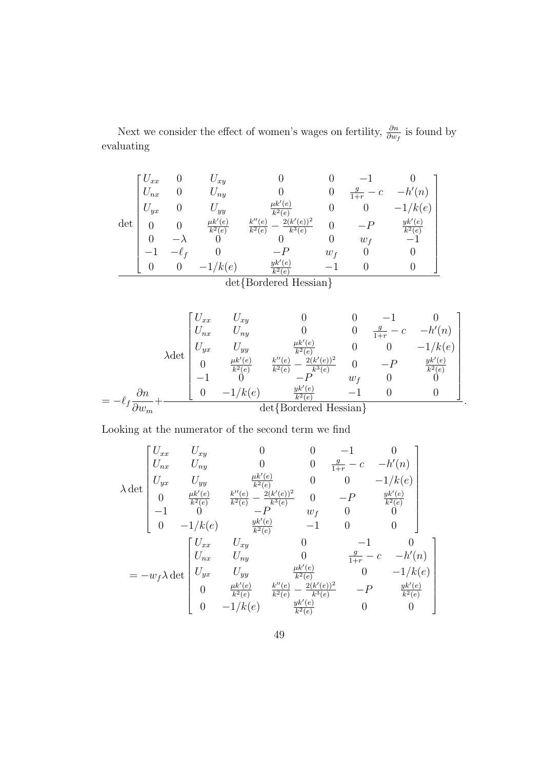Next we consider the effect of women's wages on fertility,  $\frac{\partial n}{\partial w_f}$  is found by evaluating

$$
\det\begin{bmatrix}U_{xx} & 0 & U_{xy} & 0 & 0 & -1 & 0\\ U_{nx} & 0 & U_{ny} & 0 & 0 & \frac{g}{1+r} - c & -h'(n)\\ U_{yx} & 0 & U_{yy} & \frac{\mu k'(e)}{k^2(e)} & 0 & 0 & -1/k(e)\\ 0 & 0 & \frac{\mu k'(e)}{k^2(e)} & \frac{k''(e)}{k^2(e)} - \frac{2(k'(e))^2}{k^3(e)} & 0 & -P & \frac{yk'(e)}{k^2(e)}\\ 0 & -\lambda & 0 & 0 & 0 & w_f & -1\\ -1 & -\ell_f & 0 & -P & w_f & 0 & 0\\ 0 & 0 & -1/k(e) & \frac{yk'(e)}{k^2(e)} & -1 & 0 & 0 \end{bmatrix}
$$

det{Bordered Hessian}

$$
\lambda \det \begin{bmatrix} U_{xx} & U_{xy} & 0 & 0 & -1 & 0 \\ U_{nx} & U_{ny} & 0 & 0 & \frac{g}{1+r} - c & -h'(n) \\ U_{yx} & U_{yy} & \frac{\mu k'(e)}{k^2(e)} & 0 & 0 & -1/k(e) \\ 0 & \frac{\mu k'(e)}{k^2(e)} & \frac{k''(e)}{k^2(e)} - \frac{2(k'(e))^2}{k^3(e)} & 0 & -P & \frac{yk'(e)}{k^2(e)} \\ -1 & 0 & -P & w_f & 0 & 0 \\ 0 & -1/k(e) & \frac{yk'(e)}{k^2(e)} & -1 & 0 & 0 \end{bmatrix}
$$

$$
= -\ell_f \frac{\partial n}{\partial w_m} + \frac{1}{\det\{\text{Bordered Hessian}\}}
$$

.

Looking at the numerator of the second term we find

$$
\lambda \det \begin{bmatrix} U_{xx} & U_{xy} & 0 & 0 & -1 & 0 \\ U_{nx} & U_{ny} & 0 & 0 & \frac{g}{1+r} - c & -h'(n) \\ U_{yx} & U_{yy} & \frac{\mu k'(e)}{k^2(e)} & 0 & 0 & -1/k(e) \\ 0 & \frac{\mu k'(e)}{k^2(e)} & \frac{k''(e)}{k^2(e)} - \frac{2(k'(e))^2}{k^3(e)} & 0 & -P & \frac{yk'(e)}{k^2(e)} \\ -1 & 0 & -P & w_f & 0 & 0 \\ 0 & -1/k(e) & \frac{yk'(e)}{k^2(e)} & -1 & 0 & 0 \end{bmatrix}
$$

$$
= -w_f \lambda \det \begin{bmatrix} U_{xx} & U_{xy} & 0 & -1 & 0 \\ U_{yx} & U_{xy} & 0 & \frac{g}{1+r} - c & -h'(n) \\ U_{yx} & U_{yy} & \frac{\mu k'(e)}{k^2(e)} & 0 & -1/k(e) \\ 0 & \frac{\mu k'(e)}{k^2(e)} & \frac{k''(e)}{k^2(e)} - \frac{2(k'(e))^2}{k^3(e)} & -P & \frac{yk'(e)}{k^2(e)} \\ 0 & -1/k(e) & \frac{yk'(e)}{k^2(e)} & 0 & 0 \end{bmatrix}
$$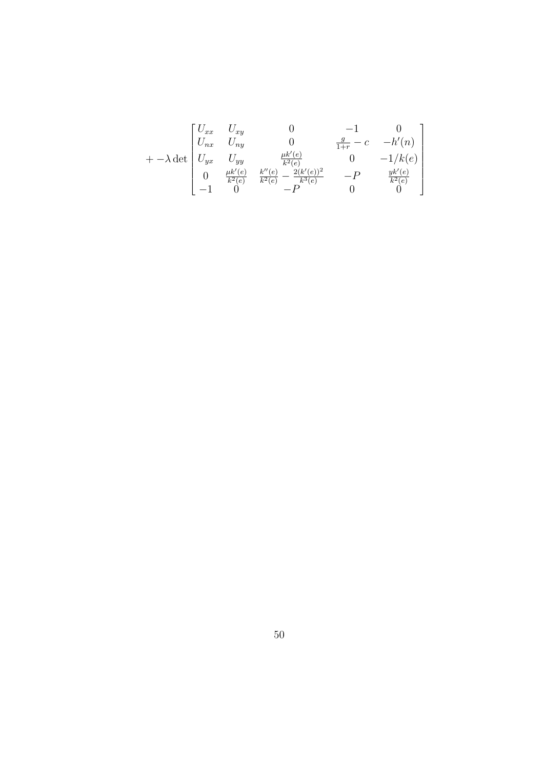$$
+ -\lambda \det \begin{bmatrix} U_{xx} & U_{xy} & 0 & -1 & 0 \\ U_{nx} & U_{ny} & 0 & \frac{g}{1+r} - c & -h'(n) \\ U_{yx} & U_{yy} & \frac{\mu k'(e)}{k^2(e)} & 0 & -1/k(e) \\ 0 & \frac{\mu k'(e)}{k^2(e)} & \frac{k''(e)}{k^2(e)} - \frac{2(k'(e))^2}{k^3(e)} & -P & \frac{yk'(e)}{k^2(e)} \\ -1 & 0 & -P & 0 & 0 \end{bmatrix}
$$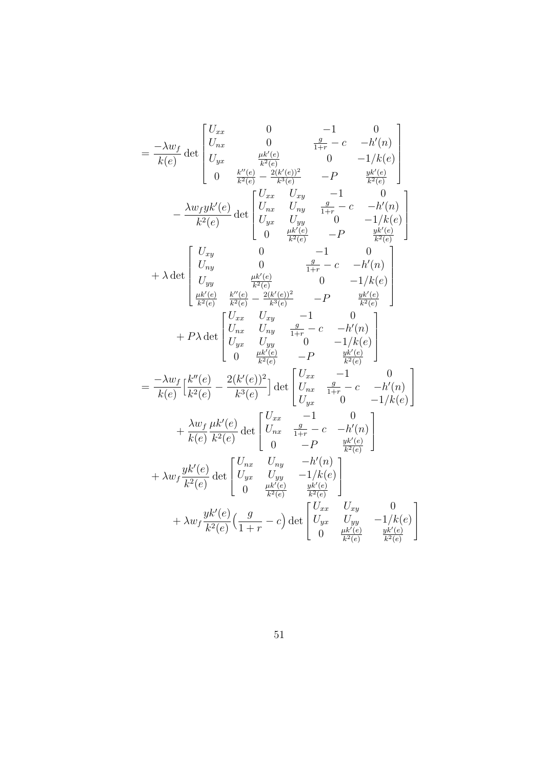$$
= \frac{-\lambda w_f}{k(e)} \det \begin{bmatrix} U_{xx} & 0 & -1 & 0 \\ U_{yx} & 0 & \frac{g}{1+r} - c & -h'(n) \\ U_{yx} & \frac{\mu k'(e)}{k^2(e)} & 0 & -1/k(e) \\ 0 & \frac{k''(e)}{k^2(e)} - \frac{2(k'(e))^2}{k^3(e)} & -P & \frac{yk'(e)}{k^2(e)} \\ U_{yx} & U_{xy} & \frac{g}{1+r} - c & -h'(n) \\ 0 & \frac{\mu k'(e)}{k^2(e)} & 0 & -1/k(e) \\ 0 & \frac{\mu k'(e)}{k^2(e)} & -P & \frac{yk'(e)}{k^2(e)} \\ U_{yy} & 0 & -1 & 0 \\ U_{yy} & \frac{g}{k^2(e)} & 0 & -1/k(e) \\ \frac{\mu k'(e)}{k^2(e)} & \frac{k''(e)}{k^2(e)} - \frac{2(k'(e))^2}{k^3(e)} & -P & \frac{yk'(e)}{k^2(e)} \\ \frac{\mu k'(e)}{k^2(e)} & \frac{k''(e)}{k^2(e)} - \frac{2(k'(e))^2}{k^3(e)} & -P & \frac{yk'(e)}{k^2(e)} \\ +P\lambda \det \begin{bmatrix} U_{xx} & U_{xy} & -1 & 0 \\ U_{yx} & U_{xy} & \frac{g}{1+r} - c & -h'(n) \\ U_{yx} & U_{yy} & 0 & -1/k(e) \\ 0 & \frac{\mu k'(e)}{k^2(e)} & -P & \frac{yk'(e)}{k^2(e)} \end{bmatrix} \\ = \frac{-\lambda w_f}{k(e)} \begin{bmatrix} k''(e) & 2(k'(e))^2 \\ k''(e) & 2(k'(e))^2 \\ k''(e) & 0 & 0 \end{bmatrix} \det \begin{bmatrix} U_{xx} & -1 & 0 \\ U_{xx} & \frac{g}{1+r} - c & -h'(n) \\ U_{yx} & 0 & -1/k(e) \end{bmatrix} \\ + \lambda w_f \frac{yk'(e)}{k^2(e)} \det \begin{bmatrix} U_{xx} & U_{xy} & -h'(n) \\ U_{yx} & U_{yy} & -1/k(e) \\ 0 & \frac{\mu k'(e)}{k^2(e)} & \frac{yk'(e)}{k^2(e)} \end{bmatrix} \\ + \lambda w_f \frac{yk'(e)}{k^2(e)} \det \begin{bmatrix}
$$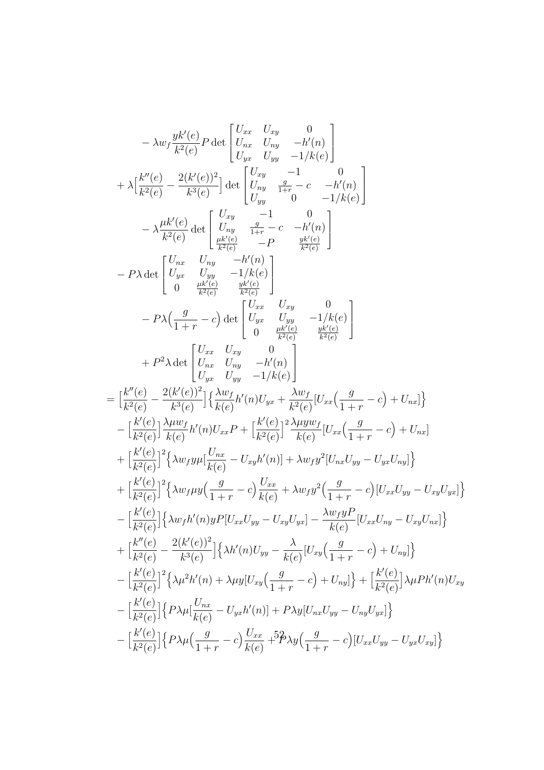$$
- \lambda w_{f} \frac{y k'(e)}{k^{2}(e)} P \det \begin{bmatrix} U_{xx} & U_{xy} & 0 \\ U_{xx} & U_{yy} & -h'(n) \\ U_{yx} & U_{yy} & -1 \end{bmatrix} + \lambda \begin{bmatrix} \frac{k''(e)}{k^{2}(e)} - \frac{2(k'(e))^{2}}{k^{3}(e)} \end{bmatrix} \det \begin{bmatrix} U_{xy} & -1 & 0 \\ U_{yy} & \frac{e}{1+r} - c & -h'(n) \\ U_{yy} & \frac{e}{1+r} - c & -h'(n) \\ U_{yy} & \frac{e}{1+r} - c & -h'(n) \\ U_{zz} & -P & \frac{w(k(e)}{k^{2}(e)} \\ 0 & \frac{w(k(e)}{k^{2}(e)} - P & \frac{w(k(e)}{k^{2}(e)} \end{bmatrix} - P \lambda \det \begin{bmatrix} U_{xx} & U_{xy} & -h'(n) \\ U_{yx} & U_{yy} & -h'(n) \\ 0 & \frac{w(k(e)}{k^{2}(e)} - \frac{w(k(e)}{k^{2}(e)} \end{bmatrix} - P \lambda \Big( \frac{g}{1+r} - c \Big) \det \begin{bmatrix} U_{yx} & U_{xy} & 0 \\ U_{yx} & U_{yy} & -h'(n) \\ 0 & \frac{w(k(e)}{k^{2}(e)} - \frac{w(k(e)}{k^{2}(e)} \end{bmatrix} - P \lambda \Big( \frac{g}{1+r} - c \Big) \det \begin{bmatrix} U_{xx} & U_{xy} & 0 \\ U_{yx} & U_{yy} & -1/k(e) \\ 0 & \frac{wk'(e)}{k^{2}(e)} - \frac{wk'(e)}{k^{2}(e)} \end{bmatrix} - \frac{k''(e)}{k^{2}(e)} \frac{2(k'(e))^{2}}{k^{2}(e)} \det \begin{bmatrix} U_{xx} & U_{xy} & 0 \\ 0 & \frac{wk'(e)}{k^{2}(e)} - \frac{wk'(e)}{k^{2}(e)} \end{bmatrix} - \left[ \frac{k''(e)}{k^{2}(e)} - \frac{2(k'(e))^{2}}{k^{3}(e)} \right] \Big\{ \lambda w_{xy} & U_{yy} - 1/k(e) \Big\} - \left[ \frac{k''(e)}{k^{2}(e)} \right] \frac{\lambda w_{xy}}{k^{2}(e)} \frac{\lambda w_{yy}w_{y}}{k^{2
$$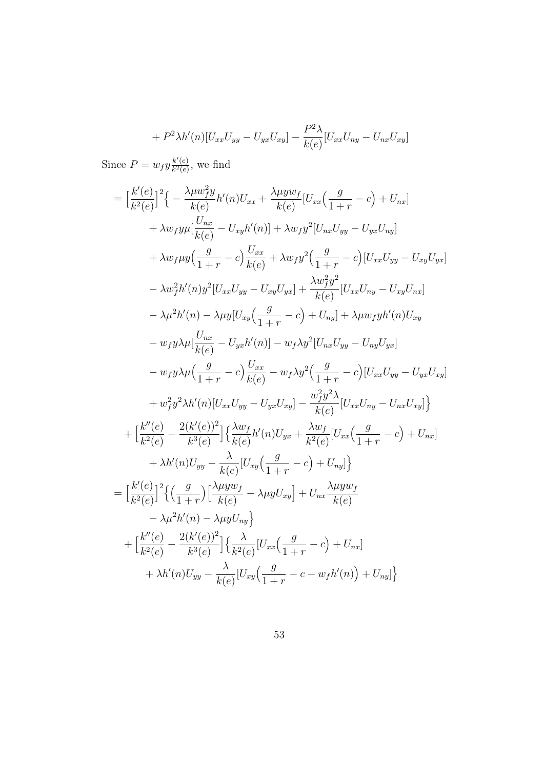$$
+ P2 \lambda h'(n)[U_{xx}U_{yy} - U_{yx}U_{xy}] - \frac{P2}{k(e)}[U_{xx}U_{ny} - U_{nx}U_{xy}]
$$

Since  $P = w_f y \frac{k'(e)}{k^2(e)}$  $\frac{k'(e)}{k^2(e)}$ , we find

$$
= \left[\frac{k'(e)}{k^2(e)}\right]^2 \left\{-\frac{\lambda \mu w_j^2 y}{k(e)} h'(n)U_{xx} + \frac{\lambda \mu y w_j}{k(e)} [U_{xx} \left(\frac{g}{1+r} - c\right) + U_{nx}] + \lambda w_f y \mu [\frac{U_{nx}}{k(e)} - U_{xy}h'(n)] + \lambda w_f y^2 [U_{nx}U_{yy} - U_{yx}U_{ny}] + \lambda w_f \mu y \left(\frac{g}{1+r} - c\right) \frac{U_{xx}}{k(e)} + \lambda w_f y^2 \left(\frac{g}{1+r} - c\right) [U_{xx}U_{yy} - U_{xy}U_{yx}] - \lambda w_f^2 h'(n) y^2 [U_{xx}U_{yy} - U_{xy}U_{yx}] + \frac{\lambda w_f^2 y^2}{k(e)} [U_{xx}U_{ny} - U_{xy}U_{nx}] - \lambda \mu^2 h'(n) - \lambda \mu y [U_{xy} \left(\frac{g}{1+r} - c\right) + U_{ny}] + \lambda \mu w_f y h'(n)U_{xy} - w_f y \lambda \mu [\frac{U_{nx}}{k(e)} - U_{yx}h'(n)] - w_f \lambda y^2 [U_{nx}U_{yy} - U_{ny}U_{yx}] - w_f y \lambda \mu (\frac{g}{1+r} - c) \frac{U_{xx}}{k(e)} - w_f \lambda y^2 \left(\frac{g}{1+r} - c\right) [U_{xx}U_{yy} - U_{yx}U_{xy}] + w_f^2 y^2 \lambda h'(n) [U_{xx}U_{yy} - U_{yx}U_{xy}] - \frac{w_f^2 y^2 \lambda}{k(e)} [U_{xx}U_{ny} - U_{nx}U_{xy}] \right\} + \left[\frac{k''(e)}{k^2(e)} - \frac{2(k'(e))^2}{k^3(e)}\right] \left\{\frac{\lambda w_f}{k(e)} h'(n)U_{yx} + \frac{\lambda w_f}{k^2(e)} [U_{xx} \left(\frac{g}{1+r} - c\right) + U_{nx}] + \lambda h'(n)U_{yy} - \frac{\lambda}{k(e)} [U_{xy} \left(\frac{g}{1+r} - c\right) + U_{ny}] \right\} = \left[\frac{k'(e)}{k^2(e)}\right]^2 \left\{\left(\frac{g}{1+r}\right)\left[\frac{\lambda \mu y w_f}{k(e)} - \lambda \mu y U_{xy}\right] \right
$$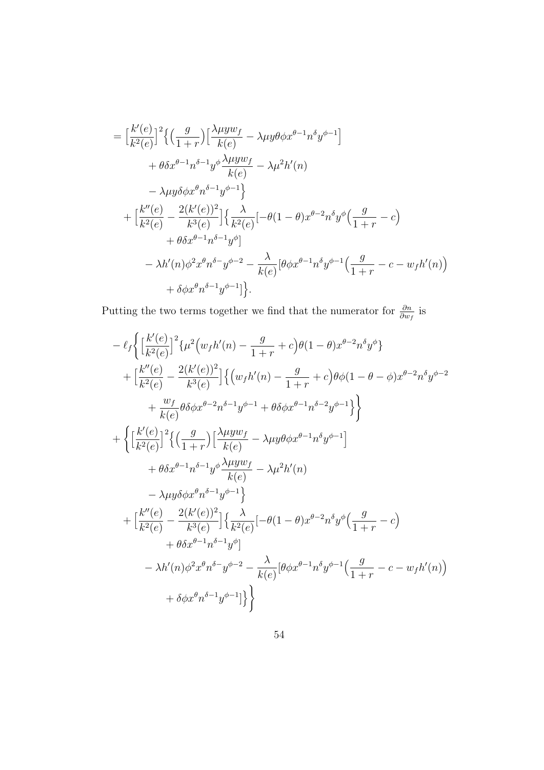$$
= \left[\frac{k'(e)}{k^2(e)}\right]^2 \left\{ \left(\frac{g}{1+r}\right) \left[\frac{\lambda \mu y w_f}{k(e)} - \lambda \mu y \theta \phi x^{\theta-1} n^{\delta} y^{\phi-1}\right] \right.+ \theta \delta x^{\theta-1} n^{\delta-1} y^{\phi} \frac{\lambda \mu y w_f}{k(e)} - \lambda \mu^2 h'(n) - \lambda \mu y \delta \phi x^{\theta} n^{\delta-1} y^{\phi-1} \right\}+ \left[\frac{k''(e)}{k^2(e)} - \frac{2(k'(e))^2}{k^3(e)}\right] \left\{ \frac{\lambda}{k^2(e)} \left[-\theta(1-\theta)x^{\theta-2} n^{\delta} y^{\phi}\left(\frac{g}{1+r} - c\right) \right. + \theta \delta x^{\theta-1} n^{\delta-1} y^{\phi}\right] - \lambda h'(n) \phi^2 x^{\theta} n^{\delta-1} y^{\phi-2} - \frac{\lambda}{k(e)} \left[\theta \phi x^{\theta-1} n^{\delta} y^{\phi-1}\left(\frac{g}{1+r} - c - w_f h'(n)\right) \right. + \delta \phi x^{\theta} n^{\delta-1} y^{\phi-1}\right].
$$

Putting the two terms together we find that the numerator for  $\frac{\partial n}{\partial w_f}$  is

$$
-\ell_{f}\Big\{\Big[\frac{k'(e)}{k^{2}(e)}\Big]^{2}\{\mu^{2}(w_{f}h'(n)-\frac{g}{1+r}+c)\theta(1-\theta)x^{\theta-2}n^{\delta}y^{\phi}\}+\Big[\frac{k''(e)}{k^{2}(e)}-\frac{2(k'(e))^2}{k^{3}(e)}\Big]\Big\{(w_{f}h'(n)-\frac{g}{1+r}+c)\theta\phi(1-\theta-\phi)x^{\theta-2}n^{\delta}y^{\phi-2}\newline +\frac{w_{f}}{k(e)}\theta\delta\phi x^{\theta-2}n^{\delta-1}y^{\phi-1}+\theta\delta\phi x^{\theta-1}n^{\delta-2}y^{\phi-1}\Big\}\Big\}+\Big\{\Big[\frac{k'(e)}{k^{2}(e)}\Big]^{2}\Big\{\Big(\frac{g}{1+r}\Big)\Big[\frac{\lambda\mu yw_{f}}{k(e)}-\lambda\mu y\theta\phi x^{\theta-1}n^{\delta}y^{\phi-1}\Big] \newline +\theta\delta x^{\theta-1}n^{\delta-1}y^{\phi}\frac{\lambda\mu yw_{f}}{k(e)}-\lambda\mu^{2}h'(n)\newline -\lambda\mu y\delta\phi x^{\theta}n^{\delta-1}y^{\phi-1}\Big\}+\Big[\frac{k''(e)}{k^{2}(e)}-\frac{2(k'(e))^2}{k^{3}(e)}\Big]\Big\{\frac{\lambda}{k^{2}(e)}[-\theta(1-\theta)x^{\theta-2}n^{\delta}y^{\phi}(\frac{g}{1+r}-c) \newline +\theta\delta x^{\theta-1}n^{\delta-1}y^{\phi}] \newline -\lambda h'(n)\phi^{2}x^{\theta}n^{\delta-1}y^{\phi-2}-\frac{\lambda}{k(e)}[\theta\phi x^{\theta-1}n^{\delta}y^{\phi-1}(\frac{g}{1+r}-c-w_{f}h'(n)) \newline +\delta\phi x^{\theta}n^{\delta-1}y^{\phi-1}]\Big\}\Big\}
$$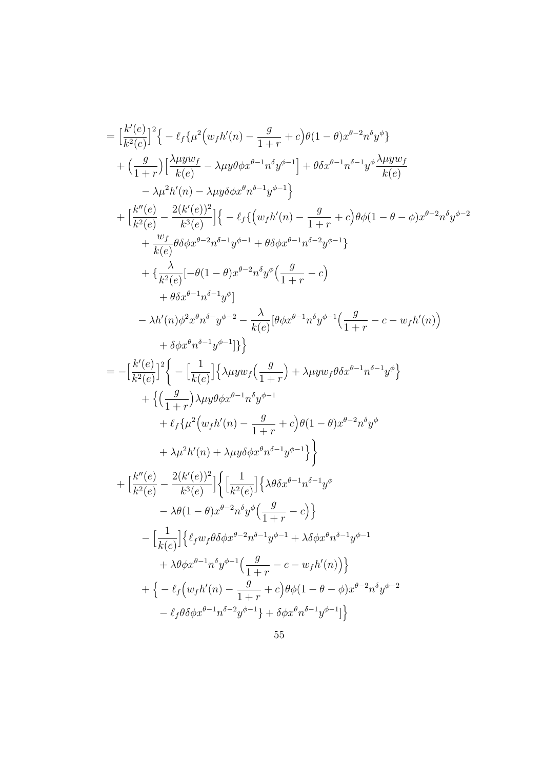$$
\begin{split} &=\left[\frac{k'(e)}{k^2(e)}\right]^2\big\{-\ell_f\{\mu^2(w_fh'(n)-\frac{g}{1+r}+c\big)\theta(1-\theta)x^{\theta-2}n^{\delta}y^{\phi}\big\}\\ &+\Big(\frac{g}{1+r}\Big)\Big[\frac{\lambda\mu yw_f}{k(e)}-\lambda\mu y\theta\phi x^{\theta-1}n^{\delta}y^{\phi-1}\Big]+\theta\delta x^{\theta-1}n^{\delta-1}y^{\phi}\frac{\lambda\mu yw_f}{k(e)}\\ &-\lambda\mu^2h'(n)-\lambda\mu y\delta\phi x^{\theta}n^{\delta-1}y^{\phi-1}\big\}\\ &+\Big[\frac{k''(e)}{k^2(e)}-\frac{2(k'(e))^2}{k^3(e)}\Big]\big\{-\ell_f\big\{\big(w_fh'(n)-\frac{g}{1+r}+c\big)\theta\phi(1-\theta-\phi)x^{\theta-2}n^{\delta}y^{\phi-2}\big\}\\ &+\frac{w_f}{k(e)}\theta\delta\phi x^{\theta-2}n^{\delta-1}y^{\phi-1}+\theta\delta\phi x^{\theta-1}n^{\delta-2}y^{\phi-1}\big\}\\ &+\Big\{\frac{\lambda}{k^2(e)}[-\theta(1-\theta)x^{\theta-2}n^{\delta}y^{\phi}\Big(\frac{g}{1+r}-c\Big)\\ &+\theta\delta x^{\theta-1}n^{\delta-1}y^{\phi}]\\ &-\lambda h'(n)\phi^2x^{\theta}n^{\delta}-y^{\phi-2}-\frac{\lambda}{k(e)}[\theta\phi x^{\theta-1}n^{\delta}y^{\phi-1}\Big(\frac{g}{1+r}-c-w_fh'(n)\Big)\\ &+\delta\phi x^{\theta}n^{\delta-1}y^{\phi-1}\big]\big\}\\ =&-\Big[\frac{k'(e)}{k^2(e)}\Big]^2\bigg\{-\Big[\frac{1}{k(e)}\Big]\big\{\lambda\mu yw_f\Big(\frac{g}{1+r}\Big)+\lambda\mu yw_f\theta\delta x^{\theta-1}n^{\delta-1}y^{\phi}\big\}\\ &+\big\{\Big(\frac{g}{1+r}\Big)\lambda\mu y\theta\phi x^{\theta-1}n^{\delta}y^{\phi-1}\\ &+\ell_f\{\mu^2(w_fh'(n)-\frac{g}{1+r}+c\big)\theta(1-\theta)x^{\theta-2}n^{\delta}y^{\phi}\\ &+\lambda\mu^2h'(n)+\lambda\mu y\
$$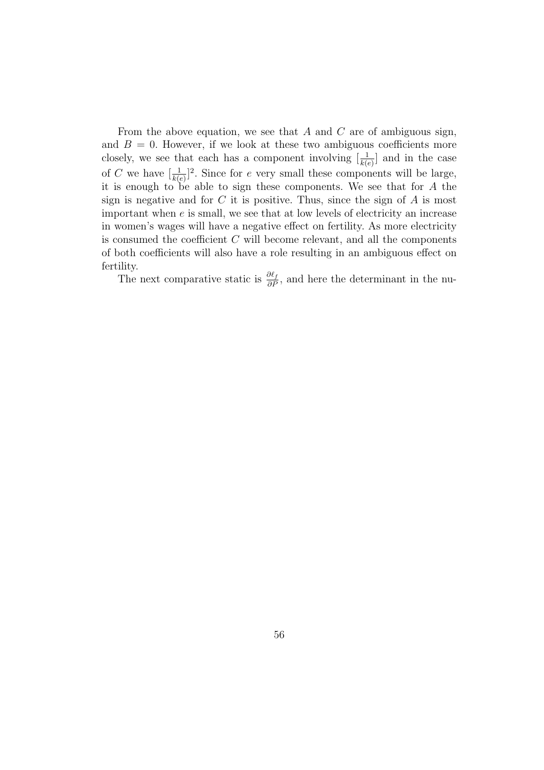From the above equation, we see that  $A$  and  $C$  are of ambiguous sign, and  $B = 0$ . However, if we look at these two ambiguous coefficients more closely, we see that each has a component involving  $\left[\frac{1}{k(e)}\right]$  and in the case of C we have  $\left[\frac{1}{k(e)}\right]^2$ . Since for e very small these components will be large, it is enough to be able to sign these components. We see that for A the sign is negative and for  $C$  it is positive. Thus, since the sign of  $A$  is most important when e is small, we see that at low levels of electricity an increase in women's wages will have a negative effect on fertility. As more electricity is consumed the coefficient  $C$  will become relevant, and all the components of both coefficients will also have a role resulting in an ambiguous effect on fertility.

The next comparative static is  $\frac{\partial \ell_f}{\partial P}$ , and here the determinant in the nu-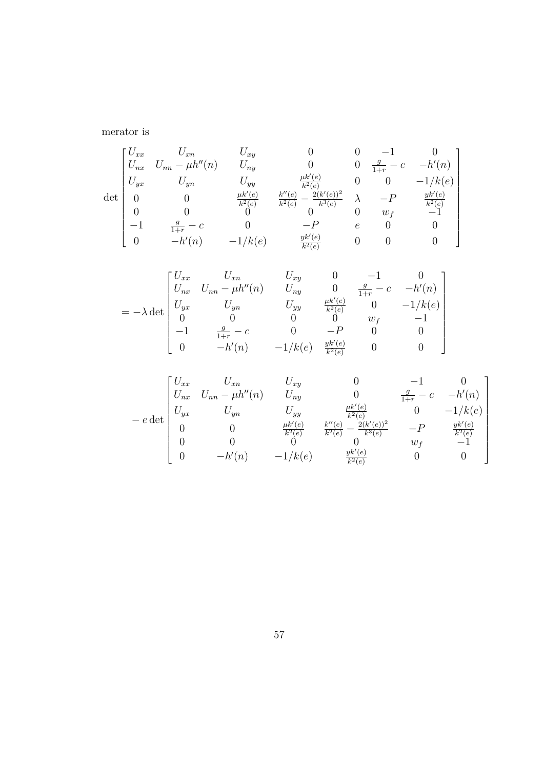merator is

$$
\det\begin{bmatrix}U_{xx} & U_{xn} & U_{xy} & 0 & 0 & -1 & 0\\U_{nx} & U_{nn} - \mu h''(n) & U_{ny} & 0 & 0 & \frac{g}{1+r} - c & -h'(n)\\U_{yx} & U_{yn} & U_{yy} & \frac{\mu k'(e)}{k^2(e)} & 0 & 0 & -1/k(e)\\0 & 0 & \frac{\mu k'(e)}{k^2(e)} & \frac{k''(e)}{k^2(e)} - \frac{2(k'(e))^2}{k^3(e)} & \lambda & -P & \frac{yk'(e)}{k^2(e)}\\-1 & \frac{g}{1+r} - c & 0 & -P & e & 0 & 0\\0 & -h'(n) & -1/k(e) & \frac{yk'(e)}{k^2(e)} & 0 & 0 & 0\end{bmatrix}
$$

$$
= -\lambda \det \begin{bmatrix} U_{xx} & U_{xn} & U_{xy} & 0 & -1 & 0 \\ U_{nx} & U_{nn} - \mu h''(n) & U_{ny} & 0 & \frac{g}{1+r} - c & -h'(n) \\ U_{yx} & U_{yn} & U_{yy} & \frac{\mu k'(e)}{k^2(e)} & 0 & -1/k(e) \\ 0 & 0 & 0 & 0 & w_f & -1 \\ -1 & \frac{g}{1+r} - c & 0 & -P & 0 & 0 \\ 0 & -h'(n) & -1/k(e) & \frac{yk'(e)}{k^2(e)} & 0 & 0 \end{bmatrix}
$$

$$
-e \det \begin{bmatrix} U_{xx} & U_{xn} & U_{xy} & 0 & -1 & 0 \\ U_{nx} & U_{nn} - \mu h''(n) & U_{ny} & 0 & \frac{g}{1+r} - c & -h'(n) \\ U_{yx} & U_{yn} & U_{yy} & \frac{\mu k'(e)}{k^2(e)} & 0 & -1/k(e) \\ 0 & 0 & \frac{\mu k'(e)}{k^2(e)} & \frac{k''(e)}{k^2(e)} - \frac{2(k'(e))^2}{k^3(e)} & -P & \frac{yk'(e)}{k^2(e)} \\ 0 & 0 & 0 & 0 & w_f & -1 \\ 0 & -h'(n) & -1/k(e) & \frac{yk'(e)}{k^2(e)} & 0 & 0 \end{bmatrix}
$$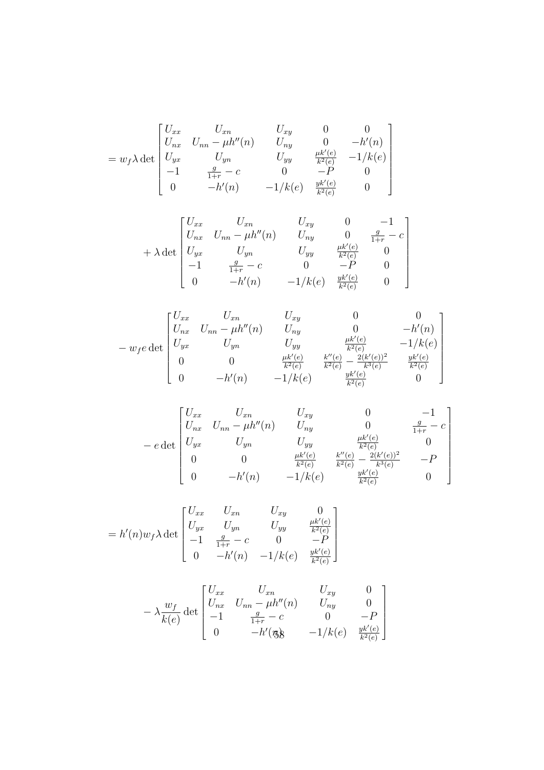$$
= w_f \lambda \det \begin{bmatrix} U_{xx} & U_{xn} & U_{xy} & 0 & 0 \\ U_{nx} & U_{nn} - \mu h''(n) & U_{ny} & 0 & -h'(n) \\ U_{yx} & U_{yn} & U_{yy} & \frac{\mu k'(e)}{k^2(e)} & -1/k(e) \\ -1 & \frac{g}{1+r} - c & 0 & -P & 0 \\ 0 & -h'(n) & -1/k(e) & \frac{y k'(e)}{k^2(e)} & 0 \end{bmatrix}
$$

$$
+\lambda \det \begin{bmatrix} U_{xx} & U_{xn} & U_{xy} & 0 & -1 \\ U_{nx} & U_{nn} - \mu h''(n) & U_{ny} & 0 & \frac{g}{1+r} - c \\ U_{yx} & U_{yn} & U_{yy} & \frac{\mu k'(e)}{k^2(e)} & 0 \\ -1 & \frac{g}{1+r} - c & 0 & -P & 0 \\ 0 & -h'(n) & -1/k(e) & \frac{yk'(e)}{k^2(e)} & 0 \end{bmatrix}
$$

$$
- w_f e \det \begin{bmatrix} U_{xx} & U_{xn} & U_{xy} & 0 & 0 \\ U_{nx} & U_{nn} - \mu h''(n) & U_{ny} & 0 & -h'(n) \\ U_{yx} & U_{yn} & U_{yy} & \frac{\mu k'(e)}{k^2(e)} & -1/k(e) \\ 0 & 0 & \frac{\mu k'(e)}{k^2(e)} & \frac{k''(e)}{k^2(e)} - \frac{2(k'(e))^2}{k^3(e)} & \frac{yk'(e)}{k^2(e)} \\ 0 & -h'(n) & -1/k(e) & \frac{yk'(e)}{k^2(e)} & 0 \end{bmatrix}
$$

$$
-e \det \begin{bmatrix} U_{xx} & U_{xn} & U_{xy} & 0 & -1 \\ U_{nx} & U_{nn} - \mu h''(n) & U_{ny} & 0 & \frac{g}{1+r} - c \\ U_{yx} & U_{yn} & U_{yy} & \frac{\mu k'(e)}{k^2(e)} & 0 \\ 0 & 0 & \frac{\mu k'(e)}{k^2(e)} & \frac{k''(e)}{k^2(e)} - \frac{2(k'(e))^2}{k^3(e)} & -P \\ 0 & -h'(n) & -1/k(e) & \frac{yk'(e)}{k^2(e)} & 0 \end{bmatrix}
$$

$$
= h'(n)w_f \lambda \det \begin{bmatrix} U_{xx} & U_{xn} & U_{xy} & 0 \\ U_{yx} & U_{yn} & U_{yy} & \frac{\mu k'(e)}{k^2(e)} \\ -1 & \frac{g}{1+r} - c & 0 & -P \\ 0 & -h'(n) & -1/k(e) & \frac{yk'(e)}{k^2(e)} \end{bmatrix}
$$

$$
-\lambda \frac{w_f}{k(e)} \det \begin{bmatrix} U_{xx} & U_{xn} & U_{xy} & 0 \\ U_{nx} & U_{nn} - \mu h''(n) & U_{ny} & 0 \\ -1 & \frac{g}{1+r} - c & 0 & -P \\ 0 & -h'(\mathfrak{g}) & -1/k(e) & \frac{yk'(e)}{k^2(e)} \end{bmatrix}
$$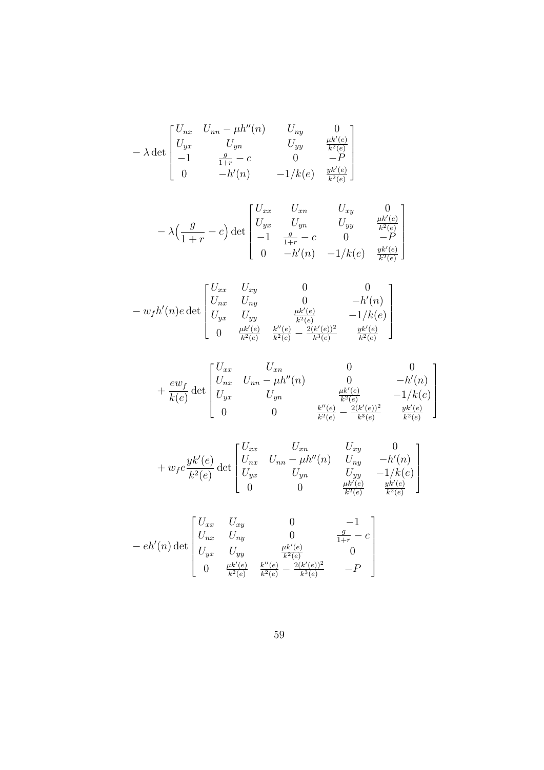$$
-\lambda \det \begin{bmatrix} U_{nx} & U_{nn} - \mu h''(n) & U_{ny} & 0 \\ U_{yx} & U_{yn} & U_{yy} & \frac{\mu k'(e)}{k^2(e)} \\ -1 & \frac{g}{1+r} - c & 0 & -P \\ 0 & -h'(n) & -1/k(e) & \frac{yk'(e)}{k^2(e)} \end{bmatrix}
$$

$$
-\lambda \Big(\frac{g}{1+r} - c\Big) \det \begin{bmatrix} U_{xx} & U_{xn} & U_{xy} & 0 \\ U_{yx} & U_{yn} & U_{yy} & \frac{\mu k'(e)}{k^2(e)} \\ -1 & \frac{g}{1+r} - c & 0 & -P \\ 0 & -h'(n) & -1/k(e) & \frac{yk'(e)}{k^2(e)} \end{bmatrix}
$$

$$
- w_f h'(n) e \det \begin{bmatrix} U_{xx} & U_{xy} & 0 & 0 \\ U_{nx} & U_{ny} & 0 & -h'(n) \\ U_{yx} & U_{yy} & \frac{\mu k'(e)}{k^2(e)} & -1/k(e) \\ 0 & \frac{\mu k'(e)}{k^2(e)} & \frac{k''(e)}{k^2(e)} - \frac{2(k'(e))^2}{k^3(e)} & \frac{yk'(e)}{k^2(e)} \end{bmatrix}
$$

$$
+\frac{ew_f}{k(e)}\det\begin{bmatrix}U_{xx} & U_{xn} & 0 & 0\\U_{nx} & U_{nn} - \mu h''(n) & 0 & -h'(n)\\U_{yx} & U_{yn} & \frac{\mu k'(e)}{k^2(e)} & -1/k(e)\\0 & 0 & \frac{k''(e)}{k^2(e)} - \frac{2(k'(e))^2}{k^3(e)} & \frac{yk'(e)}{k^2(e)}\end{bmatrix}
$$

$$
+ w_f e \frac{yk'(e)}{k^2(e)} \det \begin{bmatrix} U_{xx} & U_{xn} & U_{xy} & 0 \\ U_{nx} & U_{nn} - \mu h''(n) & U_{ny} & -h'(n) \\ U_{yx} & U_{yn} & U_{yy} & -1/k(e) \\ 0 & 0 & \frac{\mu k'(e)}{k^2(e)} & \frac{yk'(e)}{k^2(e)} \end{bmatrix}
$$

$$
-eh'(n) \det \begin{bmatrix} U_{xx} & U_{xy} & 0 & -1 \\ U_{nx} & U_{ny} & 0 & \frac{g}{1+r} - c \\ U_{yx} & U_{yy} & \frac{\mu k'(e)}{k^2(e)} & 0 \\ 0 & \frac{\mu k'(e)}{k^2(e)} & \frac{k''(e)}{k^2(e)} - \frac{2(k'(e))^2}{k^3(e)} & -P \end{bmatrix}
$$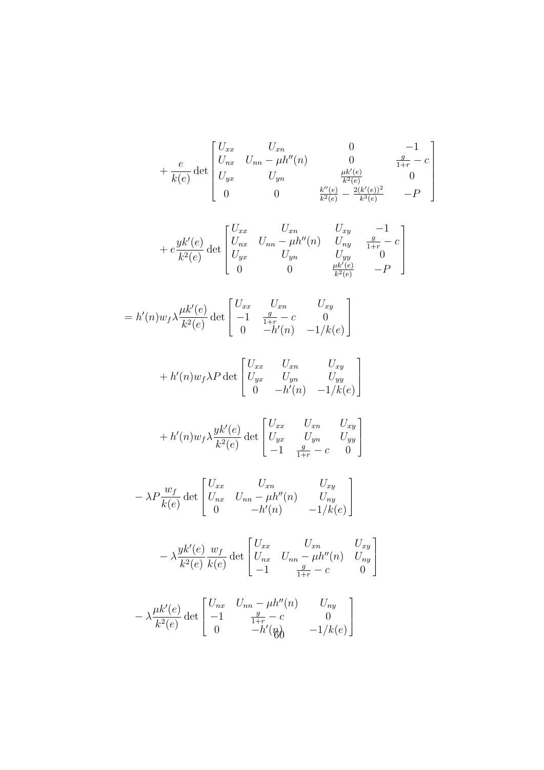$$
+\frac{e}{k(e)}\det\begin{bmatrix}U_{xx} & U_{xn} & 0 & -1\\U_{nx} & U_{nn} - \mu h''(n) & 0 & \frac{g}{1+r} - c\\U_{yx} & U_{yn} & \frac{\mu k'(e)}{k^2(e)} & 0\\0 & 0 & \frac{k''(e)}{k^2(e)} - \frac{2(k'(e))^2}{k^3(e)} & -P\end{bmatrix}
$$

$$
+ e \frac{yk'(e)}{k^2(e)} \det \begin{bmatrix} U_{xx} & U_{xn} & U_{xy} & -1 \\ U_{nx} & U_{nn} - \mu h''(n) & U_{ny} & \frac{g}{1+r} - c \\ U_{yx} & U_{yn} & U_{yy} & 0 \\ 0 & 0 & \frac{\mu k'(e)}{k^2(e)} & -P \end{bmatrix}
$$

$$
= h'(n)w_f \lambda \frac{\mu k'(e)}{k^2(e)} \det \begin{bmatrix} U_{xx} & U_{xn} & U_{xy} \\ -1 & \frac{g}{1+r} - c & 0 \\ 0 & -h'(n) & -1/k(e) \end{bmatrix}
$$

$$
+ h'(n)w_f \lambda P \det \begin{bmatrix} U_{xx} & U_{xn} & U_{xy} \\ U_{yx} & U_{yn} & U_{yy} \\ 0 & -h'(n) & -1/k(e) \end{bmatrix}
$$

$$
+ h'(n) w_f \lambda \frac{yk'(e)}{k^2(e)} \det \begin{bmatrix} U_{xx} & U_{xn} & U_{xy} \\ U_{yx} & U_{yn} & U_{yy} \\ -1 & \frac{g}{1+r} - c & 0 \end{bmatrix}
$$

$$
-\lambda P \frac{w_f}{k(e)} \det \begin{bmatrix} U_{xx} & U_{xn} & U_{xy} \\ U_{nx} & U_{nn} - \mu h''(n) & U_{ny} \\ 0 & -h'(n) & -1/k(e) \end{bmatrix}
$$

$$
-\lambda \frac{yk'(e)}{k^2(e)} \frac{w_f}{k(e)} \det \begin{bmatrix} U_{xx} & U_{xn} & U_{xy} \\ U_{nx} & U_{nn} - \mu h''(n) & U_{ny} \\ -1 & \frac{g}{1+r} - c & 0 \end{bmatrix}
$$

$$
-\lambda \frac{\mu k'(e)}{k^2(e)} \det \begin{bmatrix} U_{nx} & U_{nn} - \mu h''(n) & U_{ny} \\ -1 & \frac{g}{1+r} - c & 0 \\ 0 & -h'(\frac{g}{b}) & -1/k(e) \end{bmatrix}
$$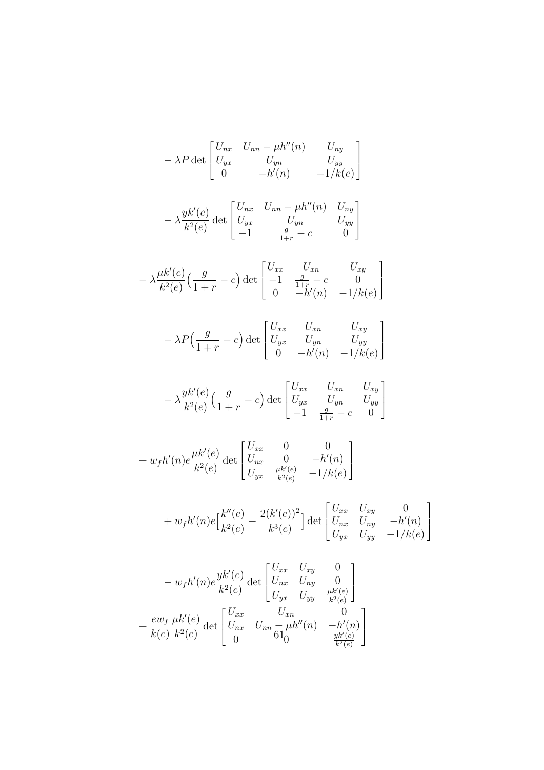$$
-\lambda P \det \begin{bmatrix} U_{nx} & U_{nn} - \mu h''(n) & U_{ny} \\ U_{yx} & U_{yn} & U_{yy} \\ 0 & -h'(n) & -1/k(e) \end{bmatrix}
$$
  
\n
$$
-\lambda \frac{yk'(e)}{k^2(e)} \det \begin{bmatrix} U_{nx} & U_{nn} - \mu h''(n) & U_{ny} \\ U_{yx} & U_{yn} & U_{yy} \\ -1 & \frac{g}{1+r} - c & 0 \end{bmatrix}
$$
  
\n
$$
-\lambda \frac{\mu k'(e)}{k^2(e)} \Big( \frac{g}{1+r} - c \Big) \det \begin{bmatrix} U_{xx} & U_{xn} & U_{xy} \\ -1 & \frac{g}{1+r} - c & 0 \\ 0 & -h'(n) & -1/k(e) \end{bmatrix}
$$
  
\n
$$
-\lambda P \Big( \frac{g}{1+r} - c \Big) \det \begin{bmatrix} U_{xx} & U_{xn} & U_{xy} \\ U_{yx} & U_{yn} & U_{yy} \\ 0 & -h'(n) & -1/k(e) \end{bmatrix}
$$
  
\n
$$
-\lambda \frac{yk'(e)}{k^2(e)} \Big( \frac{g}{1+r} - c \Big) \det \begin{bmatrix} U_{xx} & U_{xn} & U_{xy} \\ U_{yx} & U_{yn} & U_{yy} \\ -1 & \frac{g}{1+r} - c & 0 \end{bmatrix}
$$
  
\n
$$
+ w_f h'(n) e \frac{\mu k'(e)}{k^2(e)} \det \begin{bmatrix} U_{xx} & 0 & 0 \\ U_{nx} & 0 & -h'(n) \\ U_{yx} & \frac{\mu k'(e)}{k^2(e)} & -1/k(e) \end{bmatrix}
$$
  
\n
$$
+ w_f h'(n) e \Big( \frac{k''(e)}{k^2(e)} - \frac{2(k'(e))^2}{k^3(e)} \Big) \det \begin{bmatrix} U_{xx} & U_{xy} & 0 \\ U_{nx} & U_{ny} & -h'(n) \\ U_{yx} & U_{yy} & 0 \end{bmatrix}
$$
  
\n
$$
+ \frac{ew_f}{k(e)} \frac{yk'(e)}{k^2(e)} \det \begin{bmatrix} U_{xx} & U_{xy} & 0 \\ U_{nx} & U_{ny} & 0 \\ U_{yx} & U_{yy} & 0 \end{bmatrix}
$$
  
\n

1

 $\overline{\phantom{a}}$ 

 $\overline{k^2(e)}$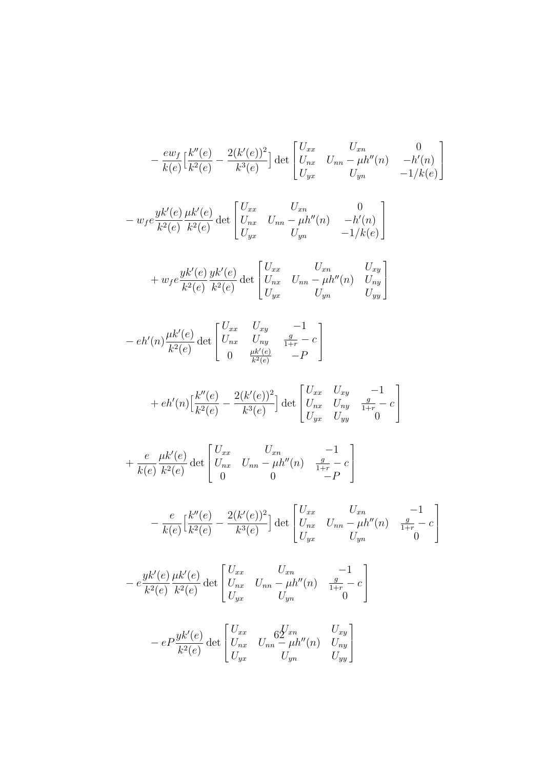$$
-\frac{ew_f}{k(e)} \Big[\frac{k''(e)}{k^2(e)} - \frac{2(k'(e))^2}{k^3(e)}\Big] \det \begin{bmatrix} U_{xx} & U_{xn} & 0\\ U_{nx} & U_{nn} - \mu h''(n) & -h'(n)\\ U_{yx} & U_{yn} & -1/k(e) \end{bmatrix}
$$

$$
- w_f e \frac{yk'(e)}{k^2(e)} \frac{\mu k'(e)}{k^2(e)} \det \begin{bmatrix} U_{xx} & U_{xn} & 0 \\ U_{nx} & U_{nn} - \mu h''(n) & -h'(n) \\ U_{yx} & U_{yn} & -1/k(e) \end{bmatrix}
$$

$$
+ w_f e \frac{yk'(e)}{k^2(e)} \frac{yk'(e)}{k^2(e)} \det \begin{bmatrix} U_{xx} & U_{xn} & U_{xy} \\ U_{nx} & U_{nn} - \mu h''(n) & U_{ny} \\ U_{yx} & U_{yn} & U_{yy} \end{bmatrix}
$$

$$
- eh'(n)\frac{\mu k'(e)}{k^2(e)}\det\begin{bmatrix}U_{xx} & U_{xy} & -1\\U_{nx} & U_{ny} & \frac{g}{1+r} - c\\0 & \frac{\mu k'(e)}{k^2(e)} & -P\end{bmatrix}
$$

+ 
$$
eh'(n)\left[\frac{k''(e)}{k^2(e)} - \frac{2(k'(e))^2}{k^3(e)}\right]
$$
 det  $\begin{bmatrix} U_{xx} & U_{xy} & -1\\ U_{nx} & U_{ny} & \frac{g}{1+r} - c\\ U_{yx} & U_{yy} & 0 \end{bmatrix}$ 

$$
+\frac{e}{k(e)} \frac{\mu k'(e)}{k^2(e)} \det \begin{bmatrix} U_{xx} & U_{xn} & -1 \\ U_{nx} & U_{nn} - \mu h''(n) & \frac{g}{1+r} - c \\ 0 & 0 & -P \end{bmatrix}
$$

$$
-\frac{e}{k(e)} \left[\frac{k''(e)}{k^2(e)} - \frac{2(k'(e))^2}{k^3(e)}\right] \det \begin{bmatrix} U_{xx} & U_{xn} & -1\\ U_{nx} & U_{nn} - \mu h''(n) & \frac{g}{1+r} - c\\ U_{yx} & U_{yn} & 0 \end{bmatrix}
$$

$$
- e \frac{y k'(e)}{k^2(e)} \frac{\mu k'(e)}{k^2(e)} \det \begin{bmatrix} U_{xx} & U_{xn} & -1 \\ U_{nx} & U_{nn} - \mu h''(n) & \frac{g}{1+r} - c \\ U_{yx} & U_{yn} & 0 \end{bmatrix}
$$

$$
- e P \frac{y k'(e)}{k^2(e)} \det \begin{bmatrix} U_{xx} & 6 \frac{y}{2} x_n & U_{xy} \\ U_{nx} & U_{nn} - \mu h''(n) & U_{ny} \\ U_{yx} & U_{yn} & U_{yy} \end{bmatrix}
$$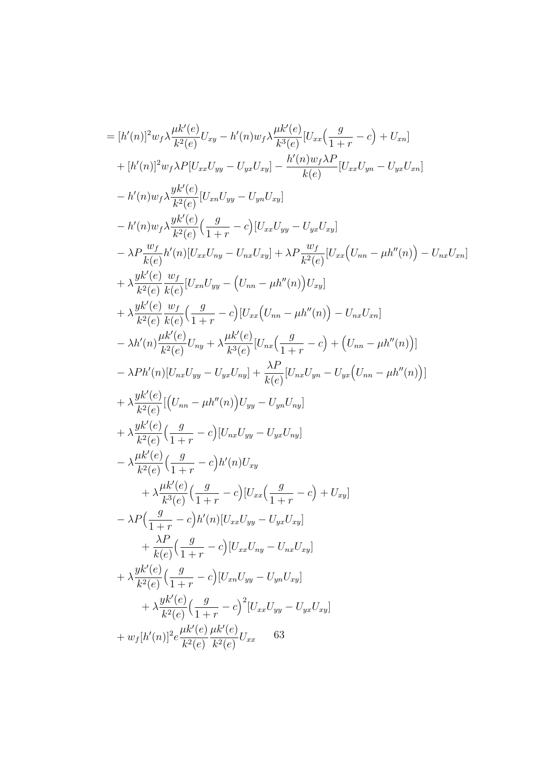$$
= [h'(n)]^{2} w_{f} \lambda \frac{\mu k'(e)}{k^{2}(e)} U_{xy} - h'(n) w_{f} \lambda \frac{\mu k'(e)}{k^{3}(e)} [U_{xx}(\frac{g}{1+r} - c) + U_{xn}]
$$
  
+  $[h'(n)]^{2} w_{f} \lambda P[U_{xx}U_{yy} - U_{yx}U_{xy}] - \frac{h'(n) w_{f} \lambda P}{k(e)} [U_{xx}U_{yn} - U_{yx}U_{xn}]$   
-  $h'(n) w_{f} \lambda \frac{y k'(e)}{k^{2}(e)} [U_{xn}U_{yy} - U_{yn}U_{xy}]$   
-  $h'(n) w_{f} \lambda \frac{y k'(e)}{k^{2}(e)} (\frac{g}{1+r} - c) [U_{xx}U_{yy} - U_{yx}U_{xy}]$   
-  $\lambda P \frac{w_{f}}{k(e)} h'(n) [U_{xx}U_{ny} - U_{nx}U_{xy}] + \lambda P \frac{w_{f}}{k^{2}(e)} [U_{xx}(U_{nn} - \mu h''(n)) - U_{nx}U_{xn}]$   
+  $\lambda \frac{y k'(e)}{k^{2}(e)} \frac{w_{f}}{k(e)} [U_{xn}U_{yy} - (U_{nn} - \mu h''(n)) - U_{nx}U_{xn}]$   
+  $\lambda \frac{y k'(e)}{k^{2}(e)} \frac{w_{f}}{k(e)} [\frac{g}{1+r} - c) [U_{xx}(U_{nn} - \mu h''(n)) - U_{nx}U_{xn}]$   
-  $\lambda h'(n) \frac{\mu k'(e)}{k^{2}(e)} U_{ny} + \lambda \frac{\mu k'(e)}{k^{3}(e)} [U_{nx}(\frac{g}{1+r} - c) + (U_{nn} - \mu h''(n))]$   
-  $\lambda P h'(n) [U_{nx}U_{yy} - U_{yx}U_{ny}] + \frac{\lambda P}{k(e)} [U_{nx}U_{yn} - U_{yx}(U_{nn} - \mu h''(n))]$   
+  $\lambda \frac{y k'(e)}{k^{2}(e)} (\frac{g}{1+r} - c) [U_{nx}U_{yy} - U_{yn}U_{ny}]$   
+  $\lambda \frac{y k'(e)}{k^{2}(e)} (\frac{g}{1+r} - c) [U_{nx}U_{yy} - U_{nx}U_{ny}]$   
-  $\lambda$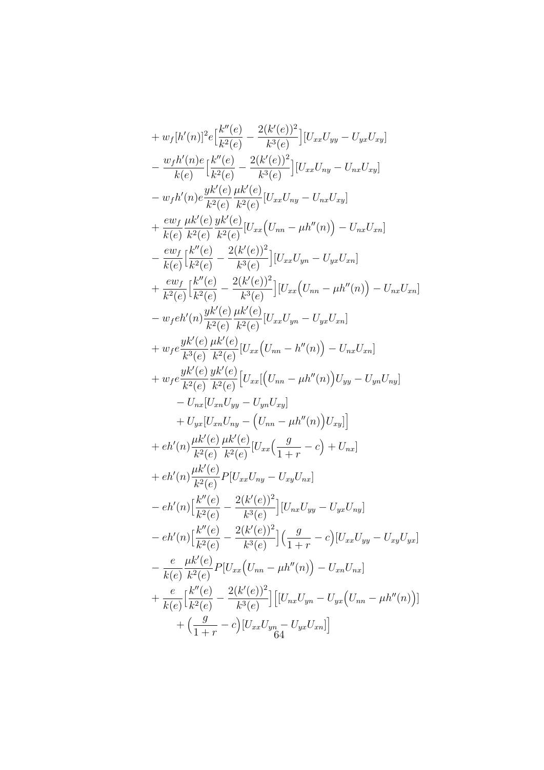+ 
$$
w_f[h'(n)]^2 e \left[\frac{k''(e)}{k^2(e)} - \frac{2(k'(e))^2}{k^3(e)}\right] [U_{xx}U_{yy} - U_{yx}U_{xy}]
$$
  
\n $- \frac{w_fh'(n)e}{k(e)} \left[\frac{k''(e)}{k^2(e)} - \frac{2(k'(e))^2}{k^3(e)}\right] [U_{xx}U_{ny} - U_{nx}U_{xy}]$   
\n $- w_fh'(n)e \frac{yk'(e)}{k^2(e)} \frac{\mu k'(e)}{k^2(e)} [U_{xx}U_{ny} - U_{nx}U_{xy}]$   
\n $+ \frac{ew_f \mu k'(e)}{k(e)} \frac{yk'(e)}{k^2(e)} [U_{xx}(U_{nn} - \mu h''(n)) - U_{nx}U_{xn}]$   
\n $- \frac{ew_f}{k(e)} \left[\frac{k''(e)}{k^2(e)} - \frac{2(k'(e))^2}{k^3(e)}\right] [U_{xx}U_{yn} - U_{yx}U_{xn}]$   
\n $+ \frac{ew_f}{k^2(e)} \left[\frac{k''(e)}{k^2(e)} - \frac{2(k'(e))^2}{k^3(e)}\right] [U_{xx}(U_{nn} - \mu h''(n)) - U_{nx}U_{xn}]$   
\n $- w_f e h'(n) \frac{yk'(e)}{k^2(e)} \frac{\mu k'(e)}{k^2(e)} [U_{xx}(U_{nn} - h''(n)) - U_{nx}U_{xn}]$   
\n $+ w_f e \frac{yk'(e)}{k^3(e)} \frac{\mu k'(e)}{k^2(e)} [U_{xx}(U_{nn} - h''(n)) - U_{nx}U_{xn}]$   
\n $+ w_f e \frac{yk'(e)}{k^2(e)} \frac{yk'(e)}{k^2(e)} [U_{xx}(U_{nn} - \mu h''(n))U_{yy} - U_{yn}U_{ny}]$   
\n $+ t_{yx}U_{xn}U_{ny} - (U_{nn} - \mu h''(n))U_{xy}]$   
\n $+ e h'(n) \frac{\mu k'(e)}{k^2(e)} \frac{\mu k'(e)}{k^2(e)} [U_{xx}(U_{nx} - c) + U_{nx}]$   
\n $+ e h'(n) \frac{\mu k'(e)}{k^2(e)} P[U_{xx}U_{ny} - U_{xy}U_{nx}]$   
\n $- e h'($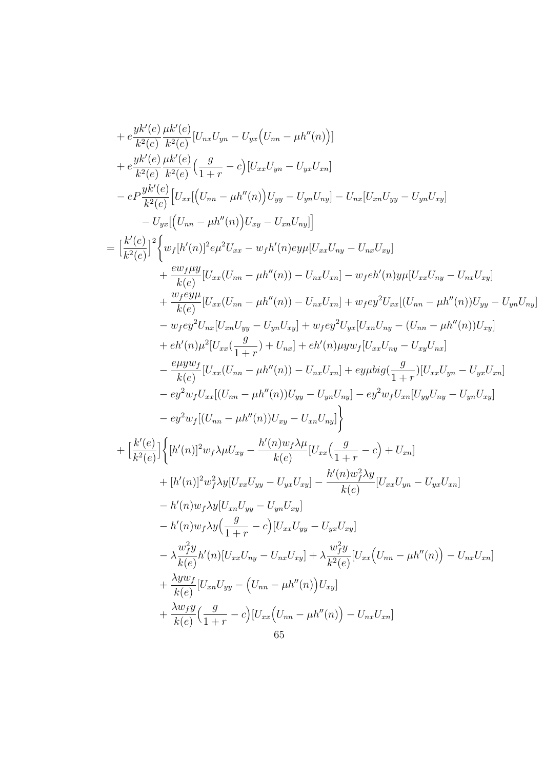+ 
$$
e^{\frac{W}{k^2(e)} \frac{\mu k'(e)}{k^2(e)} [U_{ns}U_{yn} - U_{yx}(U_{nn} - \mu h''(n))]
$$
  
+  $e^{\frac{Wk'(e)}{k^2(e)} \frac{\mu k'(e)}{k^2(e)} (\frac{g}{1+r} - c) [U_{xx}U_{yn} - U_{yx}U_{xn}]$   
-  $e^{\frac{Wk'(e)}{k^2(e)}} [U_{xx}[(U_{nn} - \mu h''(n))U_{yp} - U_{yn}U_{ny}] - U_{nx}[U_{xn}U_{yp} - U_{yn}U_{xy}]$   
-  $U_{yz}[(U_{nn} - \mu h''(n))U_{xy} - U_{xn}U_{ny}]$   
=  $\left[\frac{k'(e)}{k^2(e)}\right]^2 \Big\{ w_f [h'(n)]^2 e\mu^2 U_{xx} - w_f h'(n) e y \mu [U_{xx}U_{ny} - U_{nx}U_{ny}]$   
+  $\frac{e^{\frac{WfHy}{k^2(e)}}{k(e)} [U_{xx}(U_{nn} - \mu h''(n)) - U_{nx}U_{xn}] - w_f e h'(n) y \mu [U_{xx}U_{ny} - U_{nx}U_{xy}]$   
+  $\frac{w_f e y \mu}{k(e)} [U_{xx}(U_{nn} - \mu h''(n)) - U_{nx}U_{xn}] + w_f e y^2 U_{xx} [(U_{nn} - \mu h''(n))U_{yy} - U_{yn}U_{ny}]$   
-  $w_f e y^2 U_{nx} [U_{xn}U_{yy} - U_{yn}U_{xy}] + w_f e y^2 U_{yx} [U_{xn}U_{ny} - (U_{nn} - \mu h''(n))U_{xy}]$   
+  $e h'(n) \mu^2 [U_{xx}(\frac{g}{1+r}) + U_{nx}] + e h'(n) \mu y \mu f [U_{xx}U_{ny} - U_{xy}U_{nx}]$   
-  $\frac{e \mu y w_f}{k(e)} [U_{xx}(U_{nn} - \mu h''(n)) - U_{nx}U_{xn}] + e y \mu b i g(\frac{g}{1+r}) [U_{xx}U_{yn} - U_{yx}U_{xn}]$   
-  $e y^2 w_f [(U_{nn} - \mu h''(n))U_{yy} - U_{yn}U_{ny}]$   
-  $e y^2 w_f [(U_{nn} - \mu h''(n))U_{xy} -$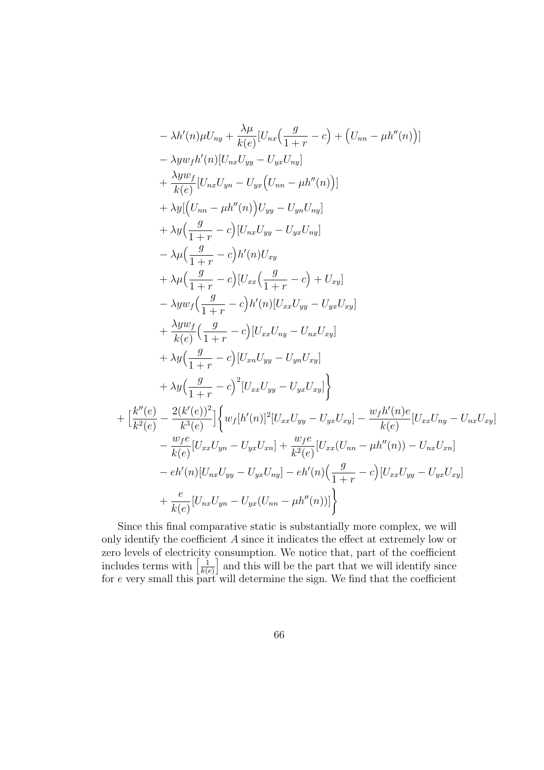$$
-\lambda h'(n)\mu U_{ny} + \frac{\lambda \mu}{k(e)} [U_{nx}(\frac{g}{1+r} - c) + (U_{nn} - \mu h''(n))]
$$
  
\n
$$
-\lambda y w_f h'(n)[U_{nx}U_{yy} - U_{yx}U_{ny}]
$$
  
\n
$$
+\frac{\lambda y w_f}{k(e)} [U_{nx}U_{yn} - U_{yx}(U_{nn} - \mu h''(n))]
$$
  
\n
$$
+\lambda y[(U_{nn} - \mu h''(n))U_{yy} - U_{yn}U_{ny}]
$$
  
\n
$$
+\lambda y(\frac{g}{1+r} - c) [U_{nx}U_{yy} - U_{yx}U_{ny}]
$$
  
\n
$$
-\lambda \mu(\frac{g}{1+r} - c)h'(n)U_{xy}
$$
  
\n
$$
+\lambda \mu(\frac{g}{1+r} - c)h'(n)[U_{xx}U_{yy} - U_{yx}U_{xy}]
$$
  
\n
$$
-\lambda y w_f(\frac{g}{1+r} - c)h'(n)[U_{xx}U_{yy} - U_{yx}U_{xy}]
$$
  
\n
$$
+\frac{\lambda y w_f}{k(e)}(\frac{g}{1+r} - c) [U_{xx}U_{ny} - U_{nx}U_{xy}]
$$
  
\n
$$
+\lambda y(\frac{g}{1+r} - c) [U_{xn}U_{yy} - U_{yn}U_{xy}]
$$
  
\n
$$
+\lambda y(\frac{g}{1+r} - c)^2 [U_{xx}U_{yy} - U_{yx}U_{xy}]
$$
  
\n
$$
+\frac{k''(e)}{k^2(e)} - \frac{2(k'(e))^2}{k^3(e)} \Big\{ w_f[h'(n)]^2 [U_{xx}U_{yy} - U_{yx}U_{xy}] - \frac{w_f h'(n)e}{k(e)} [U_{xx}U_{ny} - U_{nx}U_{xy}]
$$
  
\n
$$
-\frac{w_f e}{k(e)} [U_{xx}U_{yn} - U_{yx}U_{xn}] + \frac{w_f e}{k^2(e)} [U_{xx}(U_{nn} - \mu h''(n)) - U_{nx}U_{xn}]
$$
  
\n
$$
-eh'(n)[U_{nx}U_{yy} - U_{yx}U_{nn}] - eh'(n)(\frac{g}{1+r} - c) [U_{xx}U_{yy} - U_{yx}U_{xy}]
$$
  
\n
$$
+\
$$

Since this final comparative static is substantially more complex, we will only identify the coefficient  $A$  since it indicates the effect at extremely low or zero levels of electricity consumption. We notice that, part of the coefficient includes terms with  $\left[\frac{1}{k\omega}\right]$  $k(e)$ and this will be the part that we will identify since for e very small this part will determine the sign. We find that the coefficient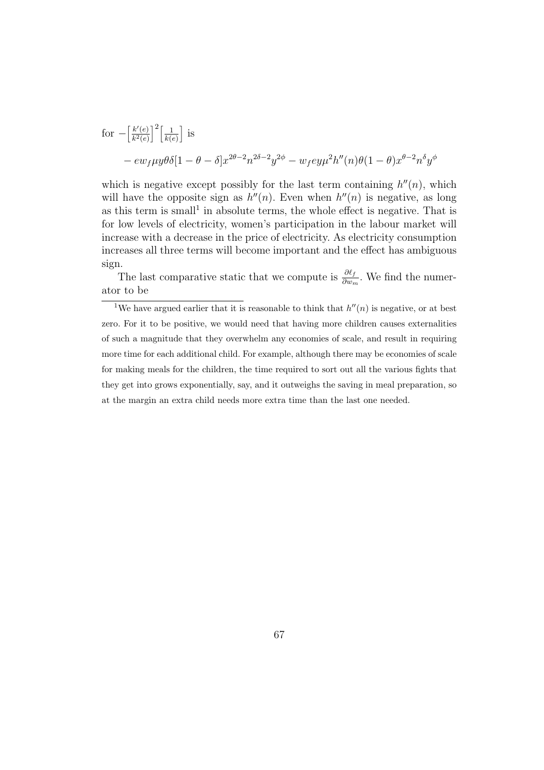for 
$$
-\left[\frac{k'(e)}{k^2(e)}\right]^2 \left[\frac{1}{k(e)}\right]
$$
 is  
\n
$$
-\exp\mu y \theta \delta[1-\theta-\delta]x^{2\theta-2}n^{2\delta-2}y^{2\phi} - w_f e y \mu^2 h''(n)\theta(1-\theta)x^{\theta-2}n^{\delta}y^{\phi}
$$

which is negative except possibly for the last term containing  $h''(n)$ , which will have the opposite sign as  $h''(n)$ . Even when  $h''(n)$  is negative, as long as this term is small<sup>1</sup> in absolute terms, the whole effect is negative. That is for low levels of electricity, women's participation in the labour market will increase with a decrease in the price of electricity. As electricity consumption increases all three terms will become important and the effect has ambiguous sign.

The last comparative static that we compute is  $\frac{\partial \ell_f}{\partial w_m}$ . We find the numerator to be

<sup>&</sup>lt;sup>1</sup>We have argued earlier that it is reasonable to think that  $h''(n)$  is negative, or at best zero. For it to be positive, we would need that having more children causes externalities of such a magnitude that they overwhelm any economies of scale, and result in requiring more time for each additional child. For example, although there may be economies of scale for making meals for the children, the time required to sort out all the various fights that they get into grows exponentially, say, and it outweighs the saving in meal preparation, so at the margin an extra child needs more extra time than the last one needed.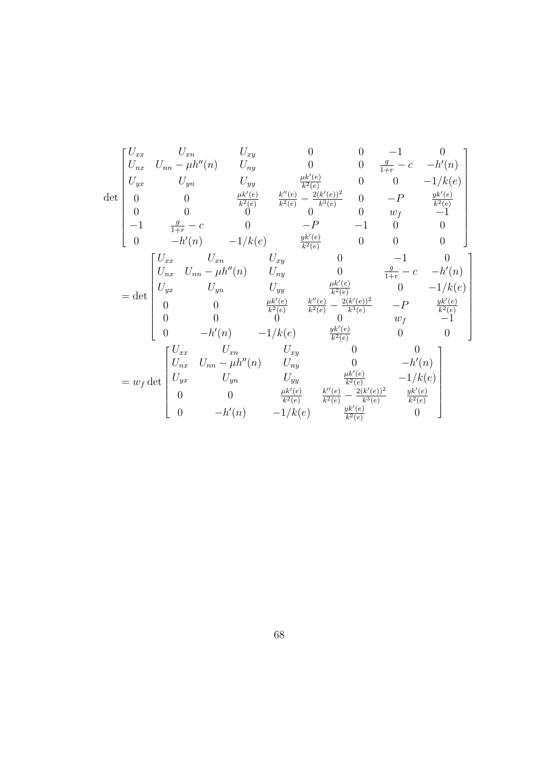$$
\det \begin{bmatrix} U_{xx} & U_{xn} & U_{xy} & 0 & 0 & -1 & 0 \\ U_{nx} & U_{nn} - \mu h''(n) & U_{ny} & 0 & 0 & \frac{g}{1+r} - c & -h'(n) \\ U_{yx} & U_{yn} & U_{yy} & \frac{\mu k'(e)}{k^2(e)} & \frac{8''(e)}{k^2(e)} - \frac{2(k'(e))^2}{k^3(e)} & 0 & -P & \frac{yk'(e)}{k^2(e)} \\ 0 & 0 & \frac{\mu k'(e)}{k^2(e)} & \frac{8''(e)}{k^2(e)} - \frac{2(k'(e))^2}{k^3(e)} & 0 & -P & \frac{yk'(e)}{k^2(e)} \\ -1 & \frac{g}{1+r} - c & 0 & -P & -1 & 0 & 0 \\ 0 & -h'(n) & -1/k(e) & \frac{yk'(e)}{k^2(e)} & 0 & 0 & 0 \\ 0 & -h'(n) & -1/k(e) & \frac{yk'(e)}{k^2(e)} & 0 & -1 & 0 \\ U_{yx} & U_{yn} & U_{yy} & \frac{\mu k'(e)}{k^2(e)} & \frac{2(k'(e))^2}{k^3(e)} & -P & \frac{yk'(e)}{k^2(e)} \\ 0 & 0 & \frac{hk'(e)}{k^2(e)} & \frac{k''(e)}{k^3(e)} - \frac{2(k'(e))^2}{k^3(e)} & -P & \frac{yk'(e)}{k^2(e)} \\ 0 & -h'(n) & -1/k(e) & \frac{yk'(e)}{k^2(e)} & 0 & 0 \\ 0 & -h'(n) & -1/k(e) & \frac{yk'(e)}{k^2(e)} & 0 & -h'(n) \\ U_{yx} & U_{yn} & U_{yy} & \frac{\mu k'(e)}{k^2(e)} & -1/k(e) \\ 0 & 0 & \frac{\mu k'(e)}{k^2(e)} & \frac{2(k'(e))^2}{k^3(e)} & \frac{yk'(e)}{k^3(e)} \\ 0 & -h'(n) & -1/k(e) & \frac{yk'(e)}{k^2(e)} & 0 \end{bmatrix}
$$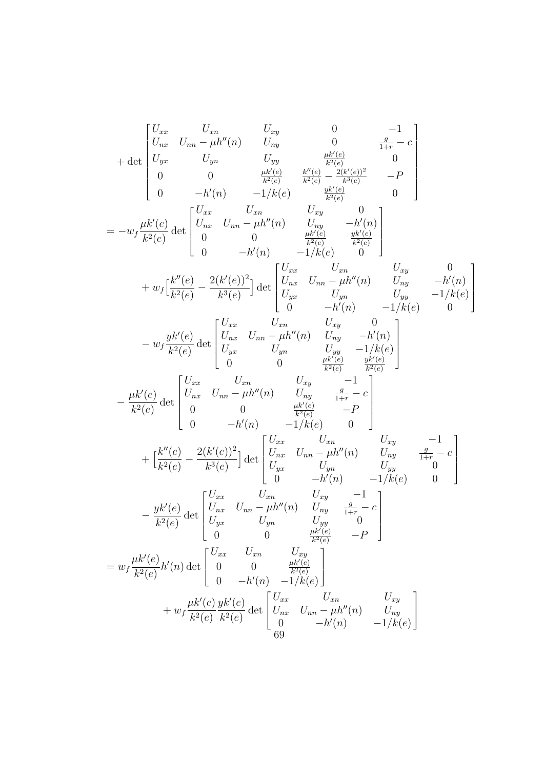$$
+ \det \begin{bmatrix} U_{xx} & U_{xn} & U_{xy} & 0 & -1 \\ U_{yx} & U_{yn} & U_{yy} & \frac{\mu k'(c)}{k^2(c)} & \frac{\mu k'(c)}{c} \\ U_{yx} & U_{yn} & U_{yy} & \frac{\mu k'(c)}{k^2(c)} & -k'(c) \\ 0 & 0 & \frac{\mu k'(c)}{k^2(c)} & \frac{k'(c)}{k^2(c)} & -k'(c) \\ 0 & -h'(n) & -1/k(e) & \frac{\mu k'(c)}{k^2(c)} & 0 \end{bmatrix}
$$
  
\n
$$
= -w_f \frac{\mu k'(e)}{k^2(e)} \det \begin{bmatrix} U_{xx} & U_{xn} & U_{xy} & 0 \\ U_{nx} & U_{nn} & \mu h''(n) & U_{ty} & -h'(n) \\ 0 & 0 & \frac{\mu k'(c)}{k^2(c)} & \frac{\mu k'(c)}{k^2(c)} \\ 0 & -h'(n) & -1/k(e) & 0 \end{bmatrix}
$$
  
\n
$$
+ w_f \begin{bmatrix} k''(e) \\ k^2(e) \end{bmatrix} \det \begin{bmatrix} U_{xx} & U_{xn} & U_{xy} & 0 \\ U_{yx} & U_{yn} & U_{yy} & -h'(n) \\ U_{yx} & U_{yn} & U_{yy} & -h'(n) \\ 0 & -h'(n) & -1/k(e) & 0 \end{bmatrix}
$$
  
\n
$$
- w_f \frac{y k'(e)}{k^2(e)} \det \begin{bmatrix} U_{xx} & U_{xn} & U_{xy} & 0 \\ U_{yx} & U_{yn} & U_{yy} & -h'(n) \\ U_{yx} & U_{yy} & -h'(n) \\ U_{yy} & U_{yy} & -1/k(e) \\ 0 & 0 & \frac{k^2(c)}{k^2(c)} & -P \end{bmatrix}
$$
  
\n
$$
- \frac{\mu k'(e)}{k^2(e)} \det \begin{bmatrix} U_{xx} & U_{xn} & U_{xy} & -1 \\ U_{nx} & U_{nn} & \mu h''(n) & U_{ny} & -h'(n) \\ 0 & 0 & \frac{k^2(c)}{k^2(c)} & -P \\ 0 & -h'(n) & -1/k(e) & 0 \end{bmatrix}
$$
  
\n
$$
+ \begin{bmatrix} k''(e) \\ k^2(e) & 2(k'(e))^2 \\ k^
$$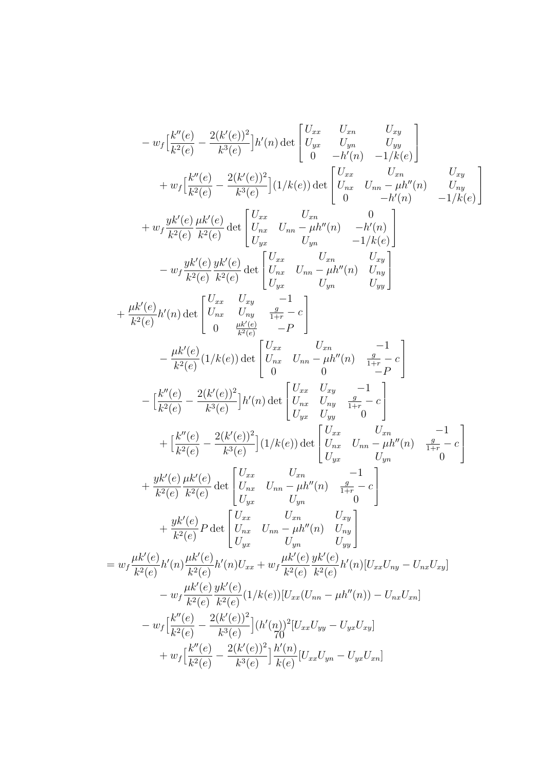$$
-w_{f} \left[\frac{k''(e)}{k^{2}(e)} - \frac{2(k'(e))^{2}}{k^{3}(e)}\right]h'(n) \det\begin{bmatrix} U_{xx} & U_{xx} & U_{yy} \\ U_{yx} & U_{yy} & U_{yy} \\ 0 & -h'(n) & -1/k(e) \end{bmatrix} + w_{f} \left[\frac{k''(e)}{k^{2}(e)} - \frac{2(k'(e))^{2}}{k^{3}(e)}\right](1/k(e)) \det\begin{bmatrix} U_{xx} & U_{xx} & U_{xx} \\ U_{xx} & U_{xx} & -\mu h''(n) & U_{xy} \\ 0 & -h'(n) & -1/k(e) \end{bmatrix} \\ + w_{f} \frac{yk'(e)}{k^{2}(e)} \frac{\mu k'(e)}{k^{2}(e)} \det\begin{bmatrix} U_{xx} & U_{xx} & 0 \\ U_{xx} & U_{yy} & -h''(n) \\ U_{yx} & U_{yy} & -h'(n) \end{bmatrix} \\ - w_{f} \frac{yk'(e)}{k^{2}(e)} \frac{yk'(e)}{k^{2}(e)} \det\begin{bmatrix} U_{xx} & U_{xx} & U_{xy} \\ U_{yx} & U_{yy} & U_{yy} \end{bmatrix} \\ + \frac{\mu k'(e)}{k^{2}(e)} h'(n) \det\begin{bmatrix} U_{xx} & U_{xy} & -1 \\ U_{xx} & U_{yy} & -\mu h''(n) \\ 0 & \frac{\mu k'(e)}{k^{2}(e)} \end{bmatrix} \\ - \frac{\mu k'(e)}{k^{2}(e)} (1/k(e)) \det\begin{bmatrix} U_{xx} & U_{xx} & U_{xx} & -1 \\ U_{xx} & U_{yy} & -1 \\ 0 & 0 & 0 \end{bmatrix} \\ - \frac{\mu k'(e)}{k^{2}(e)} - \frac{2(k'(e))^{2}}{k^{3}(e)}\Big]h'(n) \det\begin{bmatrix} U_{xx} & U_{xy} & -1 \\ U_{xx} & U_{yy} & 0 \\ U_{yx} & U_{yy} & 0 \end{bmatrix} \\ + \frac{\mu k'(e)}{k^{2}(e)} - \frac{2(k'(e))^{2}}{k^{3}(e)}\Big](1/k(e)) \det\begin{bmatrix} U_{xx} & U_{xy} & -1 \\ U_{xx} & U_{yy} & 0 \\ U_{yx} & U_{yy} & 0 \end{bmatrix} \\ + \frac{\mu k'(e)}{k^{2}(e)} \frac
$$

1

 $\overline{\phantom{a}}$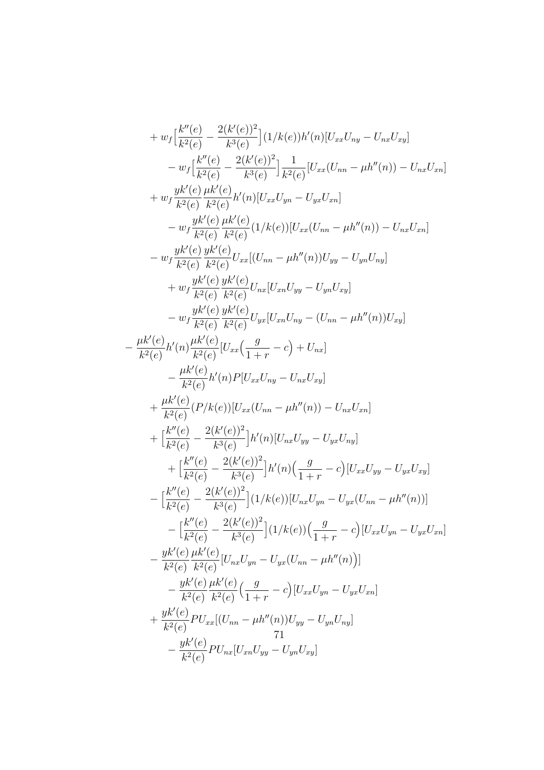+ 
$$
w_f\left[\frac{k''(e)}{k^2(e)} - \frac{2(k'(e))^2}{k^3(e)}\right](1/k(e))h'(n)[U_{xx}U_{ny} - U_{nx}U_{xy}]
$$
  
\n-  $w_f\left[\frac{k''(e)}{k^2(e)} - \frac{2(k'(e))^2}{k^3(e)}\right]\frac{1}{k^2(e)}[U_{xx}(U_{nn} - \mu h''(n)) - U_{nx}U_{xn}]$   
\n+  $w_f\frac{yk'(e)}{k^2(e)}\frac{\mu k'(e)}{k^2(e)}h'(n)[U_{xx}U_{yn} - U_{yx}U_{xn}]$   
\n-  $w_f\frac{yk'(e)}{k^2(e)}\frac{\mu k'(e)}{k^2(e)}(1/k(e))[U_{xx}(U_{nn} - \mu h''(n)) - U_{nx}U_{xn}]$   
\n-  $w_f\frac{yk'(e)}{k^2(e)}\frac{yk'(e)}{k^2(e)}U_{xx}[(U_{nn} - \mu h''(n))U_{yy} - U_{yn}U_{ny}]$   
\n+  $w_f\frac{yk'(e)}{k^2(e)}\frac{yk'(e)}{k^2(e)}U_{xx}[(U_{nn} - \mu h''(n))U_{yy}]$   
\n+  $w_f\frac{yk'(e)}{k^2(e)}\frac{yk'(e)}{k^2(e)}U_{yx}[U_{xn}U_{ny} - (U_{nn} - \mu h''(n))U_{xy}]$   
\n-  $\frac{w_f\frac{yk'(e)}{k^2(e)}\frac{yk'(e)}{k^2(e)}U_{yx}[U_{xn}U_{ny} - (U_{nn} - \mu h''(n))U_{xy}]$   
\n-  $\frac{\mu k'(e)}{k^2(e)}h'(n)P[U_{xx}U_{ny} - U_{nx}U_{xy}]$   
\n+  $\frac{\mu k'(e)}{k^2(e)}\frac{h'(n)P[U_{xx}U_{ny} - U_{nx}U_{xy}]$   
\n+  $\frac{\mu k'(e)}{k^2(e)} - \frac{2(k'(e))^2}{k^3(e)}\frac{h'(n)[U_{nx}U_{yy} - U_{yx}U_{yn}]}{k^3(e)}]$   
\n+  $\left[\frac{k''(e)}{k^2(e)} - \frac{2(k'(e))^2}{k^3(e)}\frac{h'(n)[U_{nx}U_{yy} - U_{yx}U_{ny}]}{k^3$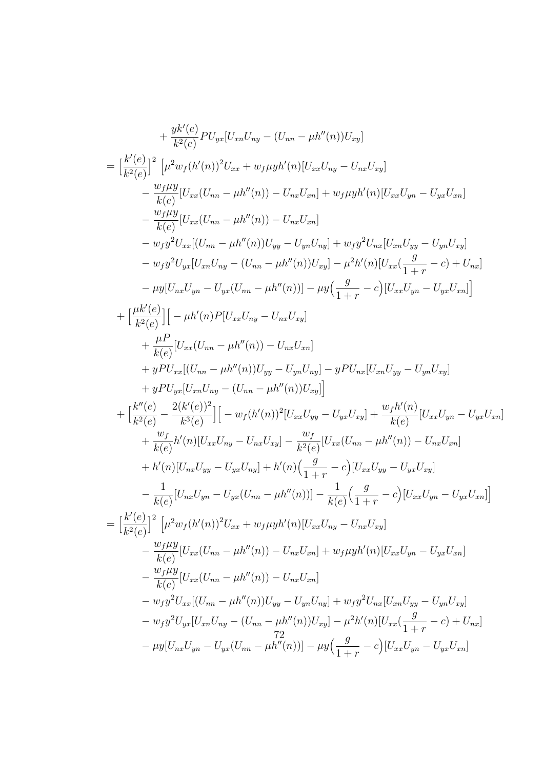$$
+\frac{yK'(e)}{k^2(e)}PU_{yx}[U_{xn}U_{ny} - (U_{nn} - \mu h''(n))U_{xy}]
$$
\n
$$
= \left[\frac{k'(e)}{k^2(e)}\right] \left[\mu^2 w_f (h'(n))^2 U_{xx} + w_f \mu y h'(n)[U_{xx}U_{ny} - U_{nx}U_{xy}] - U_{nx}U_{xy}U_{xy} - U_{nx}U_{xy}U_{xy}\right]
$$
\n
$$
-\frac{w_f \mu y}{k(e)} [U_{xx}(U_{nn} - \mu h''(n)) - U_{nx}U_{xn}]
$$
\n
$$
-\frac{w_f \mu y}{k(e)} [U_{xx}(U_{nn} - \mu h''(n)) - U_{nx}U_{xn}]
$$
\n
$$
-w_f y^2 U_{xx} [(U_{nn} - \mu h''(n))U_{yy} - U_{yn}U_{ny}] + w_f y^2 U_{nx}[U_{xn}U_{yy} - U_{yn}U_{xy}] - w_f y^2 U_{yx}[U_{xn}U_{yy} - U_{yn}U_{xy}] - w_f y^2 U_{yx}[U_{xn}U_{ny} - (U_{nn} - \mu h''(n))] - \mu y \left(\frac{g}{1+r} - c\right) + U_{nx}]
$$
\n
$$
-\mu y [U_{nx}U_{yn} - U_{yx}(U_{nn} - \mu h''(n))] - \mu y \left(\frac{g}{1+r} - c\right) [U_{xx}U_{yn} - U_{yx}U_{xn}]
$$
\n
$$
+ \frac{\mu P}{k(e)} [U_{xx}(U_{nn} - \mu h''(n)) - U_{nx}U_{xn}]
$$
\n
$$
+ y P U_{xx} [(U_{nn} - \mu h''(n)) U_{yy} - U_{yn}U_{ny}] - y P U_{nx}[U_{xn}U_{yy} - U_{yn}U_{xy}]
$$
\n
$$
+ y P U_{yx}[U_{xn}(U_{ny} - (U_{nn} - \mu h''(n)))U_{xy}]]
$$
\n
$$
+ y P U_{yx}[U_{nx}(U_{ny} - U_{nx}U_{xy}]
$$
\n
$$
+ y P U_{yx}[U_{nx}(U_{ny} - U_{nx}U_{xy}) - y P U_{nx}[U_{xn}U_{yy} - U_{yn}U_{xy}]
$$
\n
$$
+ y P U_{yx}[U_{nx}(U_{ny} - U_{nx}U_{xy}) - U_{px}
$$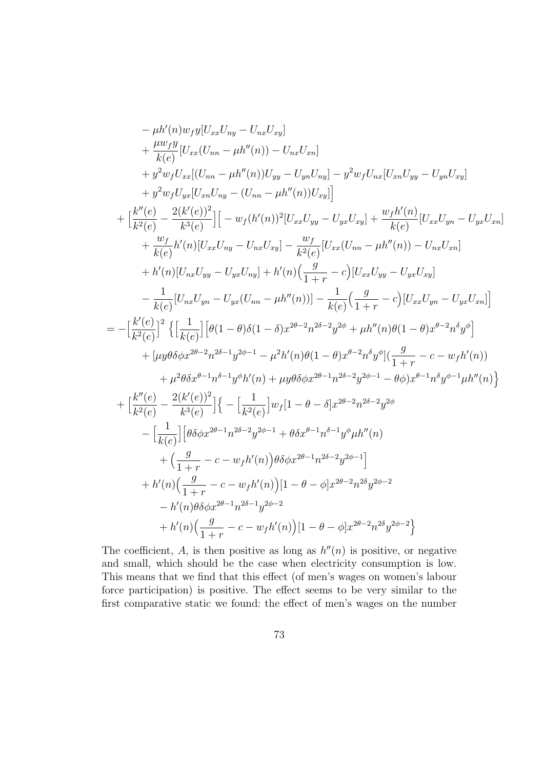$$
-\mu h'(n) w_f y[U_{xx}U_{ny} - U_{nx}U_{xy}] + \frac{\mu w_f y}{k(e)} [U_{xx}(U_{nn} - \mu h''(n)) - U_{nx}U_{xn}] + y^2 w_f U_{xx} [(U_{nn} - \mu h''(n)) U_{yy} - U_{yn}U_{ny}] - y^2 w_f U_{nx} [U_{xn}U_{yy} - U_{yn}U_{xy}] + y^2 w_f U_{yx} [(U_{xn}U_{ny} - (U_{nn} - \mu h''(n))U_{xy}] + \left[\frac{k''(e)}{k^2(e)} - \frac{2(k'(e))^2}{k^3(e)}\right] [-w_f(h'(n))^2[U_{xx}U_{yy} - U_{yx}U_{xy}] + \frac{w_fh'(n)}{k(e)}[U_{xx}U_{yn} - U_{yx}U_{xn}] + \frac{w_f}{k(e)}h'(n)[U_{xx}U_{ny} - U_{nx}U_{xy}] - \frac{w_f}{k^2(e)}[U_{xx}(U_{nn} - \mu h''(n)) - U_{nx}U_{xn}] + h'(n)[U_{nx}U_{yy} - U_{yx}U_{ny}] + h'(n)\left(\frac{g}{1+r} - c\right)[U_{xx}U_{yy} - U_{yx}U_{xy}] - \frac{1}{k(e)}[U_{nx}U_{yn} - U_{yx}(U_{nn} - \mu h''(n))] - \frac{1}{k(e)}\left(\frac{g}{1+r} - c\right)[U_{xx}U_{yn} - U_{yx}U_{xn}] \right] = -\left[\frac{k'(e)}{k^2(e)}\right]^2 \left\{ \left[\frac{1}{k(e)}\right] [\theta(1-\theta)\delta(1-\delta)x^{2\theta-2}n^{2\delta-2}y^{2\phi} + \mu h''(n)\theta(1-\theta)x^{\theta-2}n^5y^{\phi}] + \left[\mu y\theta \delta \phi x^{2\theta-2}n^{2\delta-1}y^{2\phi-1} - \mu^2 h'(n)\theta(1-\theta)x^{\theta-2}n^5y^{\phi}] \left(\frac{g}{1+r} - c - w_f h'(n)) \right. + \mu^2 \theta \delta x^{\theta-1}n^{\delta-1}y^{\phi}h'(n) + \mu y\theta \delta \phi x^{2\theta-1}n^{2\delta-2}y^{2\phi-1} - \theta \phi)x^{\theta-1}n^5y^{\phi-1} \mu h''
$$

The coefficient, A, is then positive as long as  $h''(n)$  is positive, or negative and small, which should be the case when electricity consumption is low. This means that we find that this effect (of men's wages on women's labour force participation) is positive. The effect seems to be very similar to the first comparative static we found: the effect of men's wages on the number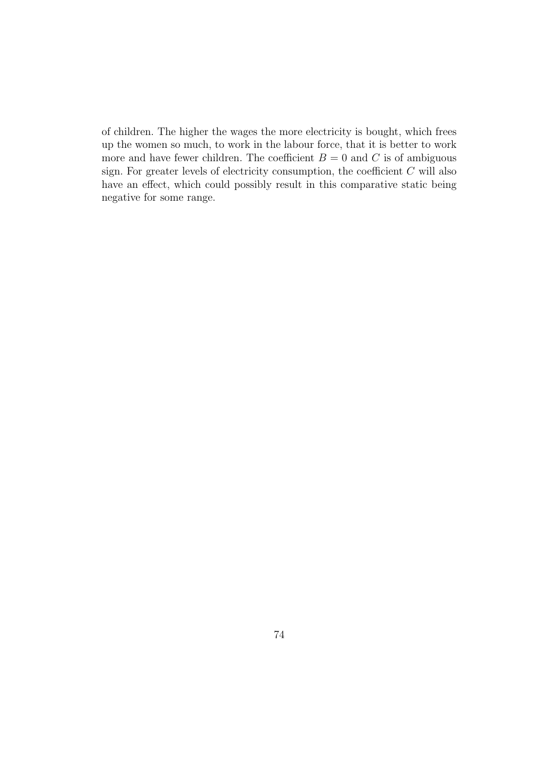of children. The higher the wages the more electricity is bought, which frees up the women so much, to work in the labour force, that it is better to work more and have fewer children. The coefficient  $B = 0$  and C is of ambiguous sign. For greater levels of electricity consumption, the coefficient  $C$  will also have an effect, which could possibly result in this comparative static being negative for some range.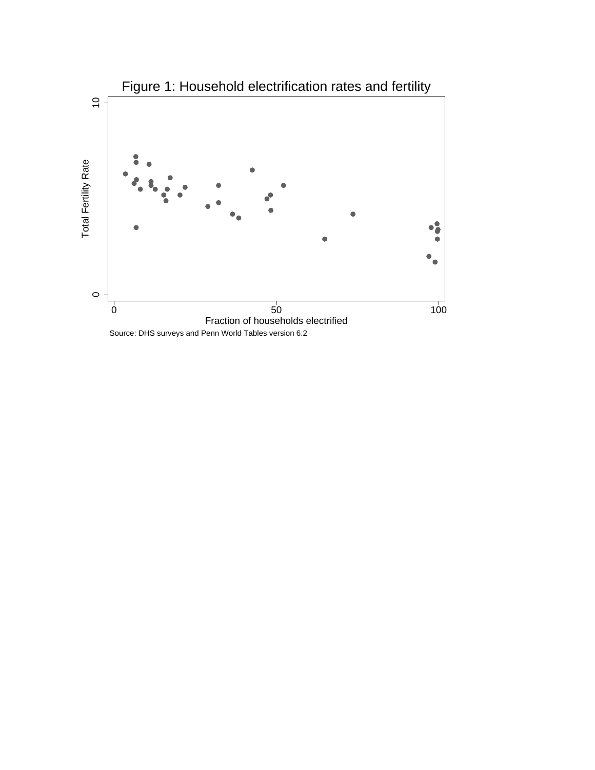